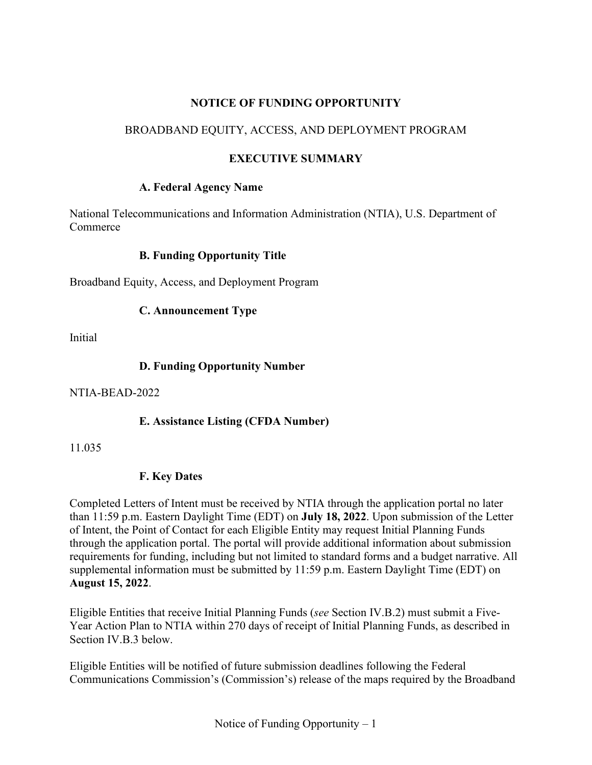### **NOTICE OF FUNDING OPPORTUNITY**

## BROADBAND EQUITY, ACCESS, AND DEPLOYMENT PROGRAM

## **EXECUTIVE SUMMARY**

#### **A. Federal Agency Name**

National Telecommunications and Information Administration (NTIA), U.S. Department of Commerce

#### **B. Funding Opportunity Title**

Broadband Equity, Access, and Deployment Program

#### **C. Announcement Type**

Initial

#### **D. Funding Opportunity Number**

NTIA-BEAD-2022

#### **E. Assistance Listing (CFDA Number)**

11.035

#### **F. Key Dates**

Completed Letters of Intent must be received by NTIA through the application portal no later than 11:59 p.m. Eastern Daylight Time (EDT) on **July 18, 2022**. Upon submission of the Letter of Intent, the Point of Contact for each Eligible Entity may request Initial Planning Funds through the application portal. The portal will provide additional information about submission requirements for funding, including but not limited to standard forms and a budget narrative. All supplemental information must be submitted by 11:59 p.m. Eastern Daylight Time (EDT) on **August 15, 2022**.

Eligible Entities that receive Initial Planning Funds (*see* Section [IV.B.2\)](#page-23-0) must submit a Five-Year Action Plan to NTIA within 270 days of receipt of Initial Planning Funds, as described in Section [IV.B.3](#page-24-0) below.

Eligible Entities will be notified of future submission deadlines following the Federal Communications Commission's (Commission's) release of the maps required by the Broadband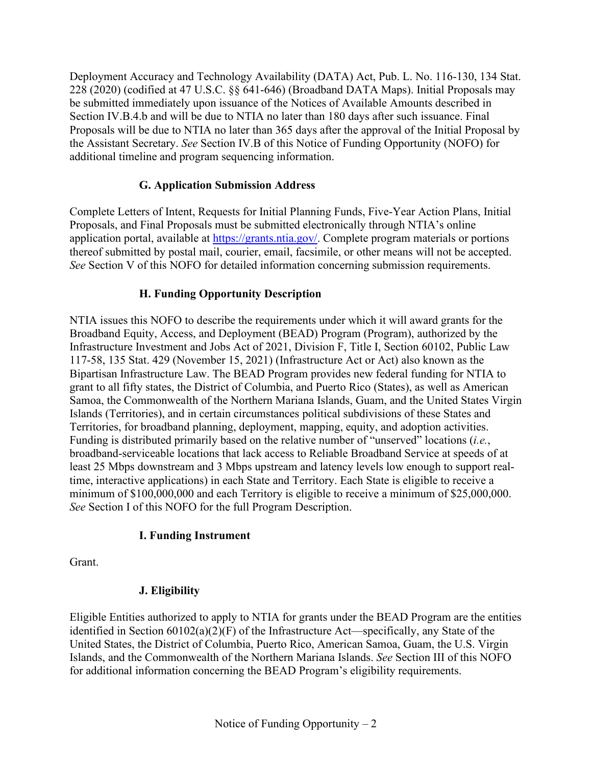Deployment Accuracy and Technology Availability (DATA) Act, Pub. L. No. 116-130, 134 Stat. 228 (2020) (codified at 47 U.S.C. §§ 641-646) (Broadband DATA Maps). Initial Proposals may be submitted immediately upon issuance of the Notices of Available Amounts described in Section [IV.B.4.b](#page-28-0) and will be due to NTIA no later than 180 days after such issuance. Final Proposals will be due to NTIA no later than 365 days after the approval of the Initial Proposal by the Assistant Secretary. *See* Section [IV.B](#page-22-0) of this Notice of Funding Opportunity (NOFO) for additional timeline and program sequencing information.

## **G. Application Submission Address**

Complete Letters of Intent, Requests for Initial Planning Funds, Five-Year Action Plans, Initial Proposals, and Final Proposals must be submitted electronically through NTIA's online application portal, available at [https://grants.ntia.gov/.](https://grants.ntia.gov/) Complete program materials or portions thereof submitted by postal mail, courier, email, facsimile, or other means will not be accepted. *See* Section [V](#page-75-0) of this NOFO for detailed information concerning submission requirements.

## **H. Funding Opportunity Description**

NTIA issues this NOFO to describe the requirements under which it will award grants for the Broadband Equity, Access, and Deployment (BEAD) Program (Program), authorized by the Infrastructure Investment and Jobs Act of 2021, Division F, Title I, Section 60102, Public Law 117-58, 135 Stat. 429 (November 15, 2021) (Infrastructure Act or Act) also known as the Bipartisan Infrastructure Law. The BEAD Program provides new federal funding for NTIA to grant to all fifty states, the District of Columbia, and Puerto Rico (States), as well as American Samoa, the Commonwealth of the Northern Mariana Islands, Guam, and the United States Virgin Islands (Territories), and in certain circumstances political subdivisions of these States and Territories, for broadband planning, deployment, mapping, equity, and adoption activities. Funding is distributed primarily based on the relative number of "unserved" locations (*i.e.*, broadband-serviceable locations that lack access to Reliable Broadband Service at speeds of at least 25 Mbps downstream and 3 Mbps upstream and latency levels low enough to support realtime, interactive applications) in each State and Territory. Each State is eligible to receive a minimum of \$100,000,000 and each Territory is eligible to receive a minimum of \$25,000,000. *See* Section I of this NOFO for the full Program Description.

#### **I. Funding Instrument**

Grant.

## **J. Eligibility**

Eligible Entities authorized to apply to NTIA for grants under the BEAD Program are the entities identified in Section 60102(a)(2)(F) of the Infrastructure Act—specifically, any State of the United States, the District of Columbia, Puerto Rico, American Samoa, Guam, the U.S. Virgin Islands, and the Commonwealth of the Northern Mariana Islands. *See* Section [III](#page-18-0) of this NOFO for additional information concerning the BEAD Program's eligibility requirements.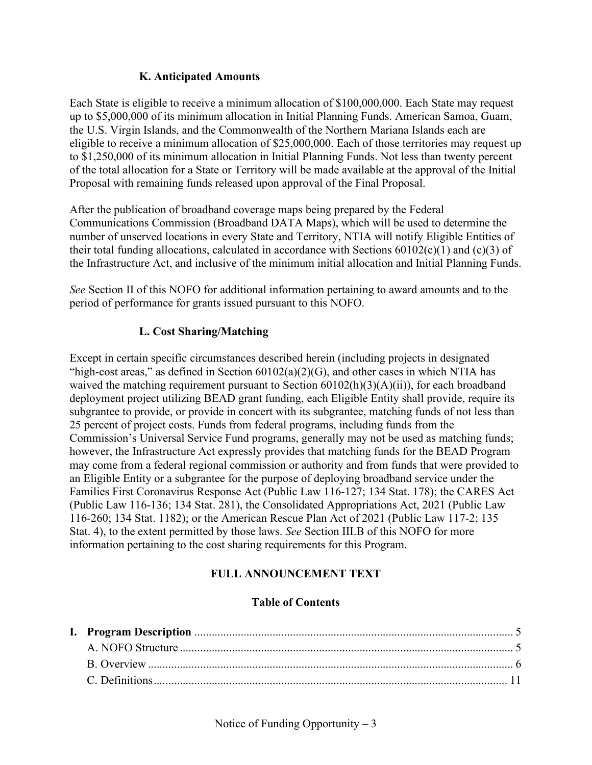#### **K. Anticipated Amounts**

Each State is eligible to receive a minimum allocation of \$100,000,000. Each State may request up to \$5,000,000 of its minimum allocation in Initial Planning Funds. American Samoa, Guam, the U.S. Virgin Islands, and the Commonwealth of the Northern Mariana Islands each are eligible to receive a minimum allocation of \$25,000,000. Each of those territories may request up to \$1,250,000 of its minimum allocation in Initial Planning Funds. Not less than twenty percent of the total allocation for a State or Territory will be made available at the approval of the Initial Proposal with remaining funds released upon approval of the Final Proposal.

After the publication of broadband coverage maps being prepared by the Federal Communications Commission (Broadband DATA Maps), which will be used to determine the number of unserved locations in every State and Territory, NTIA will notify Eligible Entities of their total funding allocations, calculated in accordance with Sections  $60102(c)(1)$  and  $(c)(3)$  of the Infrastructure Act, and inclusive of the minimum initial allocation and Initial Planning Funds.

*See* Section [II](#page-16-0) of this NOFO for additional information pertaining to award amounts and to the period of performance for grants issued pursuant to this NOFO.

## **L. Cost Sharing/Matching**

Except in certain specific circumstances described herein (including projects in designated "high-cost areas," as defined in Section  $60102(a)(2)(G)$ , and other cases in which NTIA has waived the matching requirement pursuant to Section  $60102(h)(3)(A)(ii)$ , for each broadband deployment project utilizing BEAD grant funding, each Eligible Entity shall provide, require its subgrantee to provide, or provide in concert with its subgrantee, matching funds of not less than 25 percent of project costs. Funds from federal programs, including funds from the Commission's Universal Service Fund programs, generally may not be used as matching funds; however, the Infrastructure Act expressly provides that matching funds for the BEAD Program may come from a federal regional commission or authority and from funds that were provided to an Eligible Entity or a subgrantee for the purpose of deploying broadband service under the Families First Coronavirus Response Act (Public Law 116-127; 134 Stat. 178); the CARES Act (Public Law 116-136; 134 Stat. 281), the Consolidated Appropriations Act, 2021 (Public Law 116-260; 134 Stat. 1182); or the American Rescue Plan Act of 2021 (Public Law 117-2; 135 Stat. 4), to the extent permitted by those laws. *See* Section [III.B](#page-19-0) of this NOFO for more information pertaining to the cost sharing requirements for this Program.

## **FULL ANNOUNCEMENT TEXT**

#### **Table of Contents**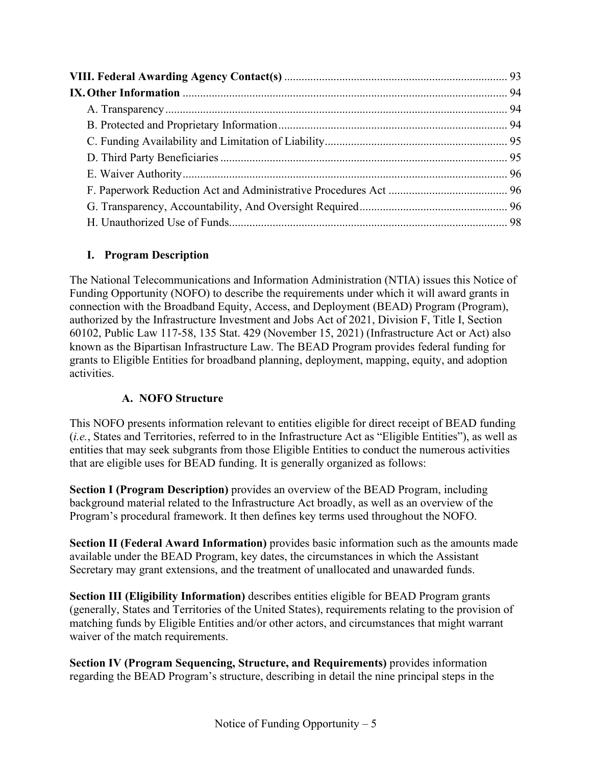# <span id="page-4-0"></span>**I. Program Description**

The National Telecommunications and Information Administration (NTIA) issues this Notice of Funding Opportunity (NOFO) to describe the requirements under which it will award grants in connection with the Broadband Equity, Access, and Deployment (BEAD) Program (Program), authorized by the Infrastructure Investment and Jobs Act of 2021, Division F, Title I, Section 60102, Public Law 117-58, 135 Stat. 429 (November 15, 2021) (Infrastructure Act or Act) also known as the Bipartisan Infrastructure Law. The BEAD Program provides federal funding for grants to Eligible Entities for broadband planning, deployment, mapping, equity, and adoption activities.

## **A. NOFO Structure**

<span id="page-4-1"></span>This NOFO presents information relevant to entities eligible for direct receipt of BEAD funding (*i.e.*, States and Territories, referred to in the Infrastructure Act as "Eligible Entities"), as well as entities that may seek subgrants from those Eligible Entities to conduct the numerous activities that are eligible uses for BEAD funding. It is generally organized as follows:

**Section I (Program Description)** provides an overview of the BEAD Program, including background material related to the Infrastructure Act broadly, as well as an overview of the Program's procedural framework. It then defines key terms used throughout the NOFO.

**Section II (Federal Award Information)** provides basic information such as the amounts made available under the BEAD Program, key dates, the circumstances in which the Assistant Secretary may grant extensions, and the treatment of unallocated and unawarded funds.

**Section III (Eligibility Information)** describes entities eligible for BEAD Program grants (generally, States and Territories of the United States), requirements relating to the provision of matching funds by Eligible Entities and/or other actors, and circumstances that might warrant waiver of the match requirements.

**Section IV (Program Sequencing, Structure, and Requirements)** provides information regarding the BEAD Program's structure, describing in detail the nine principal steps in the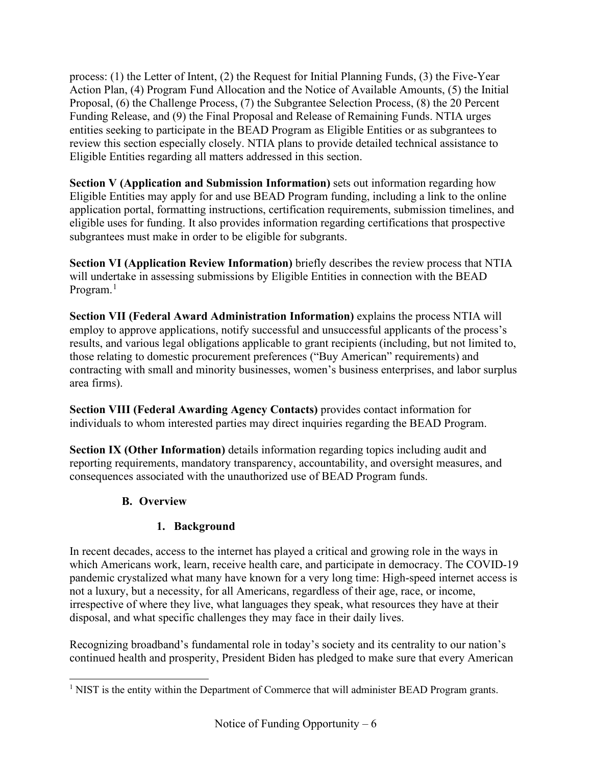process: (1) the Letter of Intent, (2) the Request for Initial Planning Funds, (3) the Five-Year Action Plan, (4) Program Fund Allocation and the Notice of Available Amounts, (5) the Initial Proposal, (6) the Challenge Process, (7) the Subgrantee Selection Process, (8) the 20 Percent Funding Release, and (9) the Final Proposal and Release of Remaining Funds. NTIA urges entities seeking to participate in the BEAD Program as Eligible Entities or as subgrantees to review this section especially closely. NTIA plans to provide detailed technical assistance to Eligible Entities regarding all matters addressed in this section.

**Section V (Application and Submission Information)** sets out information regarding how Eligible Entities may apply for and use BEAD Program funding, including a link to the online application portal, formatting instructions, certification requirements, submission timelines, and eligible uses for funding. It also provides information regarding certifications that prospective subgrantees must make in order to be eligible for subgrants.

**Section VI (Application Review Information)** briefly describes the review process that NTIA will undertake in assessing submissions by Eligible Entities in connection with the BEAD Program.<sup>[1](#page-5-1)</sup>

**Section VII (Federal Award Administration Information)** explains the process NTIA will employ to approve applications, notify successful and unsuccessful applicants of the process's results, and various legal obligations applicable to grant recipients (including, but not limited to, those relating to domestic procurement preferences ("Buy American" requirements) and contracting with small and minority businesses, women's business enterprises, and labor surplus area firms).

**Section VIII (Federal Awarding Agency Contacts)** provides contact information for individuals to whom interested parties may direct inquiries regarding the BEAD Program.

<span id="page-5-0"></span>**Section IX (Other Information)** details information regarding topics including audit and reporting requirements, mandatory transparency, accountability, and oversight measures, and consequences associated with the unauthorized use of BEAD Program funds.

## **B. Overview**

# **1. Background**

In recent decades, access to the internet has played a critical and growing role in the ways in which Americans work, learn, receive health care, and participate in democracy. The COVID-19 pandemic crystalized what many have known for a very long time: High-speed internet access is not a luxury, but a necessity, for all Americans, regardless of their age, race, or income, irrespective of where they live, what languages they speak, what resources they have at their disposal, and what specific challenges they may face in their daily lives.

Recognizing broadband's fundamental role in today's society and its centrality to our nation's continued health and prosperity, President Biden has pledged to make sure that every American

<span id="page-5-1"></span><sup>&</sup>lt;sup>1</sup> NIST is the entity within the Department of Commerce that will administer BEAD Program grants.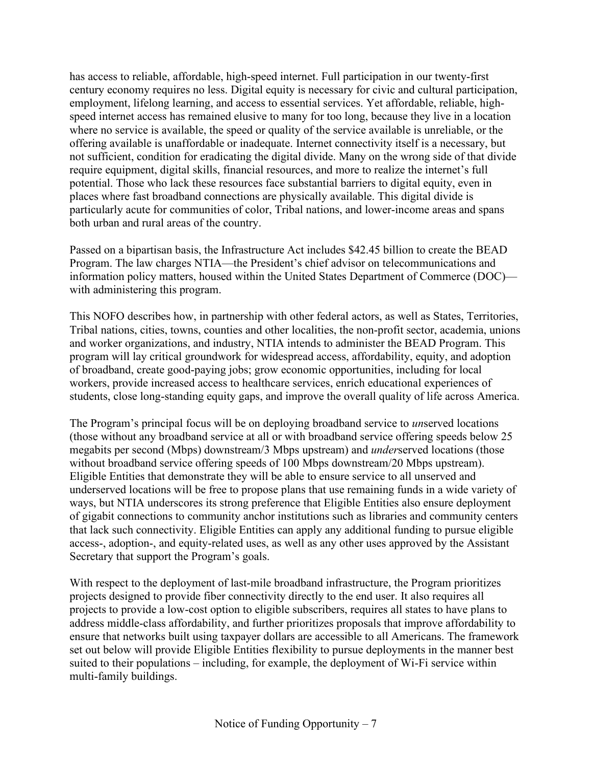has access to reliable, affordable, high-speed internet. Full participation in our twenty-first century economy requires no less. Digital equity is necessary for civic and cultural participation, employment, lifelong learning, and access to essential services. Yet affordable, reliable, highspeed internet access has remained elusive to many for too long, because they live in a location where no service is available, the speed or quality of the service available is unreliable, or the offering available is unaffordable or inadequate. Internet connectivity itself is a necessary, but not sufficient, condition for eradicating the digital divide. Many on the wrong side of that divide require equipment, digital skills, financial resources, and more to realize the internet's full potential. Those who lack these resources face substantial barriers to digital equity, even in places where fast broadband connections are physically available. This digital divide is particularly acute for communities of color, Tribal nations, and lower-income areas and spans both urban and rural areas of the country.

Passed on a bipartisan basis, the Infrastructure Act includes \$42.45 billion to create the BEAD Program. The law charges NTIA—the President's chief advisor on telecommunications and information policy matters, housed within the United States Department of Commerce (DOC) with administering this program.

This NOFO describes how, in partnership with other federal actors, as well as States, Territories, Tribal nations, cities, towns, counties and other localities, the non-profit sector, academia, unions and worker organizations, and industry, NTIA intends to administer the BEAD Program. This program will lay critical groundwork for widespread access, affordability, equity, and adoption of broadband, create good-paying jobs; grow economic opportunities, including for local workers, provide increased access to healthcare services, enrich educational experiences of students, close long-standing equity gaps, and improve the overall quality of life across America.

The Program's principal focus will be on deploying broadband service to *un*served locations (those without any broadband service at all or with broadband service offering speeds below 25 megabits per second (Mbps) downstream/3 Mbps upstream) and *under*served locations (those without broadband service offering speeds of 100 Mbps downstream/20 Mbps upstream). Eligible Entities that demonstrate they will be able to ensure service to all unserved and underserved locations will be free to propose plans that use remaining funds in a wide variety of ways, but NTIA underscores its strong preference that Eligible Entities also ensure deployment of gigabit connections to community anchor institutions such as libraries and community centers that lack such connectivity. Eligible Entities can apply any additional funding to pursue eligible access-, adoption-, and equity-related uses, as well as any other uses approved by the Assistant Secretary that support the Program's goals.

With respect to the deployment of last-mile broadband infrastructure, the Program prioritizes projects designed to provide fiber connectivity directly to the end user. It also requires all projects to provide a low-cost option to eligible subscribers, requires all states to have plans to address middle-class affordability, and further prioritizes proposals that improve affordability to ensure that networks built using taxpayer dollars are accessible to all Americans. The framework set out below will provide Eligible Entities flexibility to pursue deployments in the manner best suited to their populations – including, for example, the deployment of Wi-Fi service within multi-family buildings.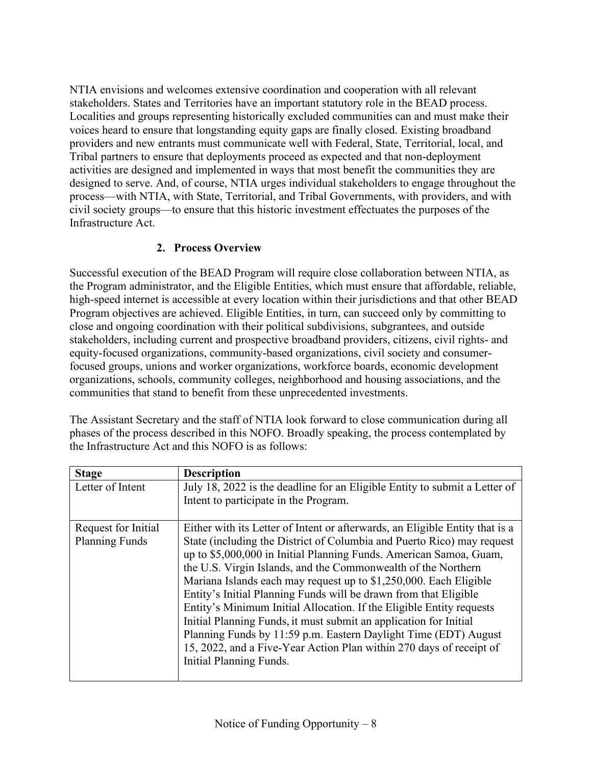NTIA envisions and welcomes extensive coordination and cooperation with all relevant stakeholders. States and Territories have an important statutory role in the BEAD process. Localities and groups representing historically excluded communities can and must make their voices heard to ensure that longstanding equity gaps are finally closed. Existing broadband providers and new entrants must communicate well with Federal, State, Territorial, local, and Tribal partners to ensure that deployments proceed as expected and that non-deployment activities are designed and implemented in ways that most benefit the communities they are designed to serve. And, of course, NTIA urges individual stakeholders to engage throughout the process—with NTIA, with State, Territorial, and Tribal Governments, with providers, and with civil society groups—to ensure that this historic investment effectuates the purposes of the Infrastructure Act.

## **2. Process Overview**

Successful execution of the BEAD Program will require close collaboration between NTIA, as the Program administrator, and the Eligible Entities, which must ensure that affordable, reliable, high-speed internet is accessible at every location within their jurisdictions and that other BEAD Program objectives are achieved. Eligible Entities, in turn, can succeed only by committing to close and ongoing coordination with their political subdivisions, subgrantees, and outside stakeholders, including current and prospective broadband providers, citizens, civil rights- and equity-focused organizations, community-based organizations, civil society and consumerfocused groups, unions and worker organizations, workforce boards, economic development organizations, schools, community colleges, neighborhood and housing associations, and the communities that stand to benefit from these unprecedented investments.

The Assistant Secretary and the staff of NTIA look forward to close communication during all phases of the process described in this NOFO. Broadly speaking, the process contemplated by the Infrastructure Act and this NOFO is as follows:

| <b>Stage</b>          | <b>Description</b>                                                           |
|-----------------------|------------------------------------------------------------------------------|
| Letter of Intent      | July 18, 2022 is the deadline for an Eligible Entity to submit a Letter of   |
|                       | Intent to participate in the Program.                                        |
|                       |                                                                              |
| Request for Initial   | Either with its Letter of Intent or afterwards, an Eligible Entity that is a |
| <b>Planning Funds</b> | State (including the District of Columbia and Puerto Rico) may request       |
|                       | up to \$5,000,000 in Initial Planning Funds. American Samoa, Guam,           |
|                       | the U.S. Virgin Islands, and the Commonwealth of the Northern                |
|                       | Mariana Islands each may request up to \$1,250,000. Each Eligible            |
|                       | Entity's Initial Planning Funds will be drawn from that Eligible             |
|                       | Entity's Minimum Initial Allocation. If the Eligible Entity requests         |
|                       | Initial Planning Funds, it must submit an application for Initial            |
|                       | Planning Funds by 11:59 p.m. Eastern Daylight Time (EDT) August              |
|                       | 15, 2022, and a Five-Year Action Plan within 270 days of receipt of          |
|                       | Initial Planning Funds.                                                      |
|                       |                                                                              |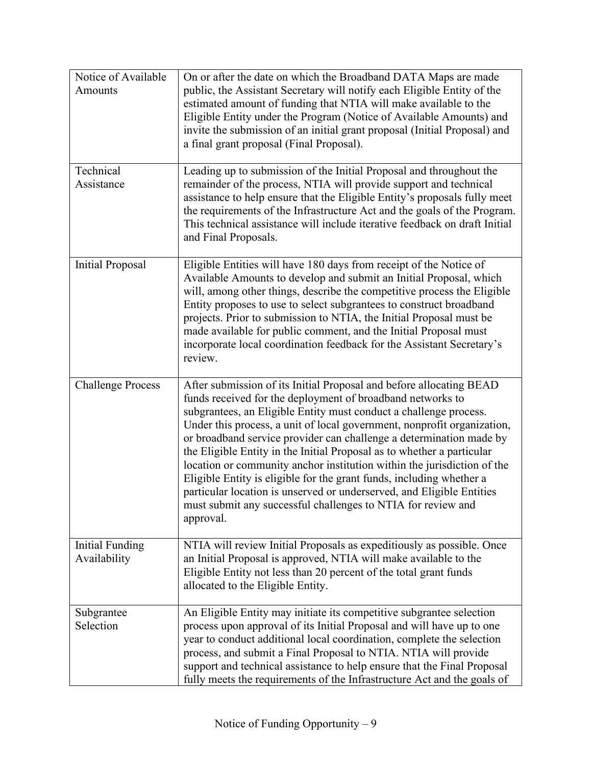| Notice of Available<br>Amounts         | On or after the date on which the Broadband DATA Maps are made<br>public, the Assistant Secretary will notify each Eligible Entity of the<br>estimated amount of funding that NTIA will make available to the<br>Eligible Entity under the Program (Notice of Available Amounts) and<br>invite the submission of an initial grant proposal (Initial Proposal) and<br>a final grant proposal (Final Proposal).                                                                                                                                                                                                                                                                                                                               |
|----------------------------------------|---------------------------------------------------------------------------------------------------------------------------------------------------------------------------------------------------------------------------------------------------------------------------------------------------------------------------------------------------------------------------------------------------------------------------------------------------------------------------------------------------------------------------------------------------------------------------------------------------------------------------------------------------------------------------------------------------------------------------------------------|
| Technical<br>Assistance                | Leading up to submission of the Initial Proposal and throughout the<br>remainder of the process, NTIA will provide support and technical<br>assistance to help ensure that the Eligible Entity's proposals fully meet<br>the requirements of the Infrastructure Act and the goals of the Program.<br>This technical assistance will include iterative feedback on draft Initial<br>and Final Proposals.                                                                                                                                                                                                                                                                                                                                     |
| <b>Initial Proposal</b>                | Eligible Entities will have 180 days from receipt of the Notice of<br>Available Amounts to develop and submit an Initial Proposal, which<br>will, among other things, describe the competitive process the Eligible<br>Entity proposes to use to select subgrantees to construct broadband<br>projects. Prior to submission to NTIA, the Initial Proposal must be<br>made available for public comment, and the Initial Proposal must<br>incorporate local coordination feedback for the Assistant Secretary's<br>review.                                                                                                                                                                                                                   |
| <b>Challenge Process</b>               | After submission of its Initial Proposal and before allocating BEAD<br>funds received for the deployment of broadband networks to<br>subgrantees, an Eligible Entity must conduct a challenge process.<br>Under this process, a unit of local government, nonprofit organization,<br>or broadband service provider can challenge a determination made by<br>the Eligible Entity in the Initial Proposal as to whether a particular<br>location or community anchor institution within the jurisdiction of the<br>Eligible Entity is eligible for the grant funds, including whether a<br>particular location is unserved or underserved, and Eligible Entities<br>must submit any successful challenges to NTIA for review and<br>approval. |
| <b>Initial Funding</b><br>Availability | NTIA will review Initial Proposals as expeditiously as possible. Once<br>an Initial Proposal is approved, NTIA will make available to the<br>Eligible Entity not less than 20 percent of the total grant funds<br>allocated to the Eligible Entity.                                                                                                                                                                                                                                                                                                                                                                                                                                                                                         |
| Subgrantee<br>Selection                | An Eligible Entity may initiate its competitive subgrantee selection<br>process upon approval of its Initial Proposal and will have up to one<br>year to conduct additional local coordination, complete the selection<br>process, and submit a Final Proposal to NTIA. NTIA will provide<br>support and technical assistance to help ensure that the Final Proposal<br>fully meets the requirements of the Infrastructure Act and the goals of                                                                                                                                                                                                                                                                                             |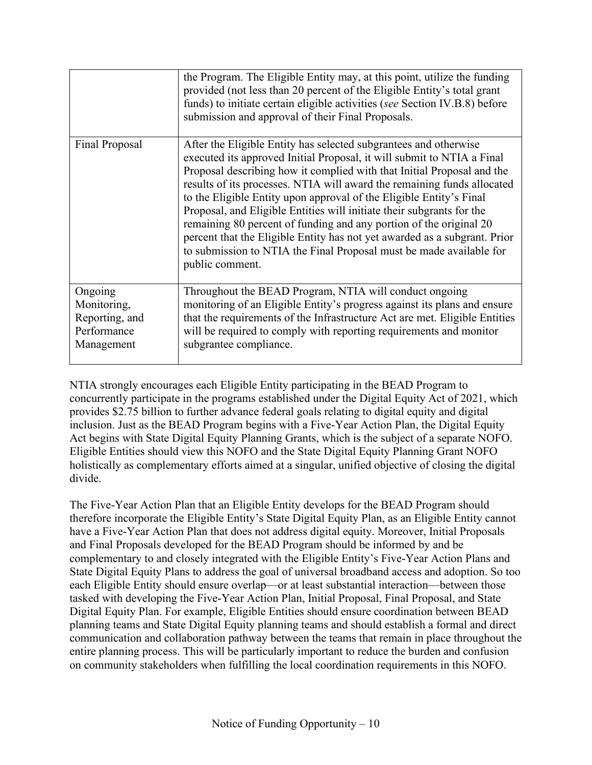|                                                                       | the Program. The Eligible Entity may, at this point, utilize the funding<br>provided (not less than 20 percent of the Eligible Entity's total grant<br>funds) to initiate certain eligible activities (see Section IV.B.8) before<br>submission and approval of their Final Proposals.                                                                                                                                                                                                                                                                                                                                                                                                       |
|-----------------------------------------------------------------------|----------------------------------------------------------------------------------------------------------------------------------------------------------------------------------------------------------------------------------------------------------------------------------------------------------------------------------------------------------------------------------------------------------------------------------------------------------------------------------------------------------------------------------------------------------------------------------------------------------------------------------------------------------------------------------------------|
| <b>Final Proposal</b>                                                 | After the Eligible Entity has selected subgrantees and otherwise<br>executed its approved Initial Proposal, it will submit to NTIA a Final<br>Proposal describing how it complied with that Initial Proposal and the<br>results of its processes. NTIA will award the remaining funds allocated<br>to the Eligible Entity upon approval of the Eligible Entity's Final<br>Proposal, and Eligible Entities will initiate their subgrants for the<br>remaining 80 percent of funding and any portion of the original 20<br>percent that the Eligible Entity has not yet awarded as a subgrant. Prior<br>to submission to NTIA the Final Proposal must be made available for<br>public comment. |
| Ongoing<br>Monitoring,<br>Reporting, and<br>Performance<br>Management | Throughout the BEAD Program, NTIA will conduct ongoing<br>monitoring of an Eligible Entity's progress against its plans and ensure<br>that the requirements of the Infrastructure Act are met. Eligible Entities<br>will be required to comply with reporting requirements and monitor<br>subgrantee compliance.                                                                                                                                                                                                                                                                                                                                                                             |

NTIA strongly encourages each Eligible Entity participating in the BEAD Program to concurrently participate in the programs established under the Digital Equity Act of 2021, which provides \$2.75 billion to further advance federal goals relating to digital equity and digital inclusion. Just as the BEAD Program begins with a Five-Year Action Plan, the Digital Equity Act begins with State Digital Equity Planning Grants, which is the subject of a separate NOFO. Eligible Entities should view this NOFO and the State Digital Equity Planning Grant NOFO holistically as complementary efforts aimed at a singular, unified objective of closing the digital divide.

The Five-Year Action Plan that an Eligible Entity develops for the BEAD Program should therefore incorporate the Eligible Entity's State Digital Equity Plan, as an Eligible Entity cannot have a Five-Year Action Plan that does not address digital equity. Moreover, Initial Proposals and Final Proposals developed for the BEAD Program should be informed by and be complementary to and closely integrated with the Eligible Entity's Five-Year Action Plans and State Digital Equity Plans to address the goal of universal broadband access and adoption. So too each Eligible Entity should ensure overlap—or at least substantial interaction—between those tasked with developing the Five-Year Action Plan, Initial Proposal, Final Proposal, and State Digital Equity Plan. For example, Eligible Entities should ensure coordination between BEAD planning teams and State Digital Equity planning teams and should establish a formal and direct communication and collaboration pathway between the teams that remain in place throughout the entire planning process. This will be particularly important to reduce the burden and confusion on community stakeholders when fulfilling the local coordination requirements in this NOFO.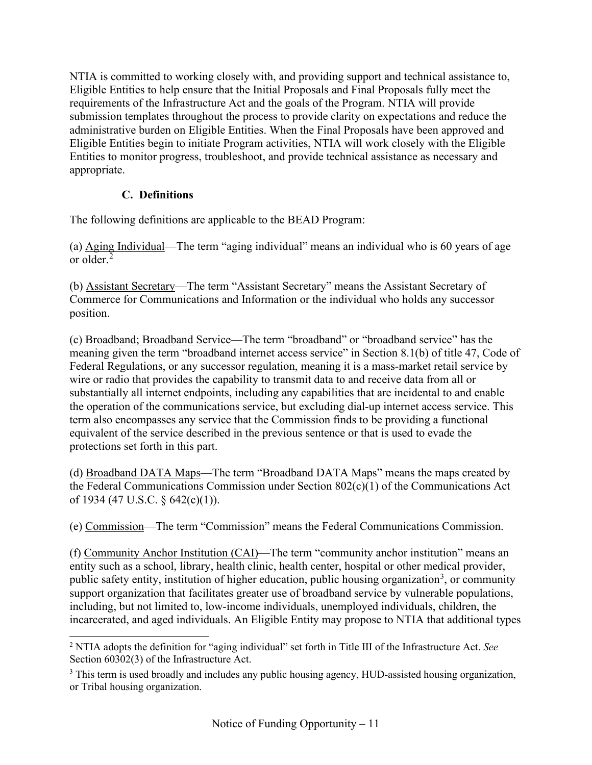NTIA is committed to working closely with, and providing support and technical assistance to, Eligible Entities to help ensure that the Initial Proposals and Final Proposals fully meet the requirements of the Infrastructure Act and the goals of the Program. NTIA will provide submission templates throughout the process to provide clarity on expectations and reduce the administrative burden on Eligible Entities. When the Final Proposals have been approved and Eligible Entities begin to initiate Program activities, NTIA will work closely with the Eligible Entities to monitor progress, troubleshoot, and provide technical assistance as necessary and appropriate.

## **C. Definitions**

<span id="page-10-0"></span>The following definitions are applicable to the BEAD Program:

(a) Aging Individual—The term "aging individual" means an individual who is 60 years of age or older.[2](#page-10-1)

(b) Assistant Secretary—The term "Assistant Secretary" means the Assistant Secretary of Commerce for Communications and Information or the individual who holds any successor position.

(c) Broadband; Broadband Service—The term "broadband" or "broadband service" has the meaning given the term "broadband internet access service" in Section 8.1(b) of title 47, Code of Federal Regulations, or any successor regulation, meaning it is a mass-market retail service by wire or radio that provides the capability to transmit data to and receive data from all or substantially all internet endpoints, including any capabilities that are incidental to and enable the operation of the communications service, but excluding dial-up internet access service. This term also encompasses any service that the Commission finds to be providing a functional equivalent of the service described in the previous sentence or that is used to evade the protections set forth in this part.

(d) Broadband DATA Maps—The term "Broadband DATA Maps" means the maps created by the Federal Communications Commission under Section 802(c)(1) of the Communications Act of 1934 (47 U.S.C. § 642(c)(1)).

(e) Commission—The term "Commission" means the Federal Communications Commission.

(f) Community Anchor Institution (CAI)—The term "community anchor institution" means an entity such as a school, library, health clinic, health center, hospital or other medical provider, public safety entity, institution of higher education, public housing organization<sup>[3](#page-10-2)</sup>, or community support organization that facilitates greater use of broadband service by vulnerable populations, including, but not limited to, low-income individuals, unemployed individuals, children, the incarcerated, and aged individuals. An Eligible Entity may propose to NTIA that additional types

<span id="page-10-1"></span><sup>2</sup> NTIA adopts the definition for "aging individual" set forth in Title III of the Infrastructure Act. *See* Section 60302(3) of the Infrastructure Act.

<span id="page-10-2"></span><sup>&</sup>lt;sup>3</sup> This term is used broadly and includes any public housing agency, HUD-assisted housing organization, or Tribal housing organization.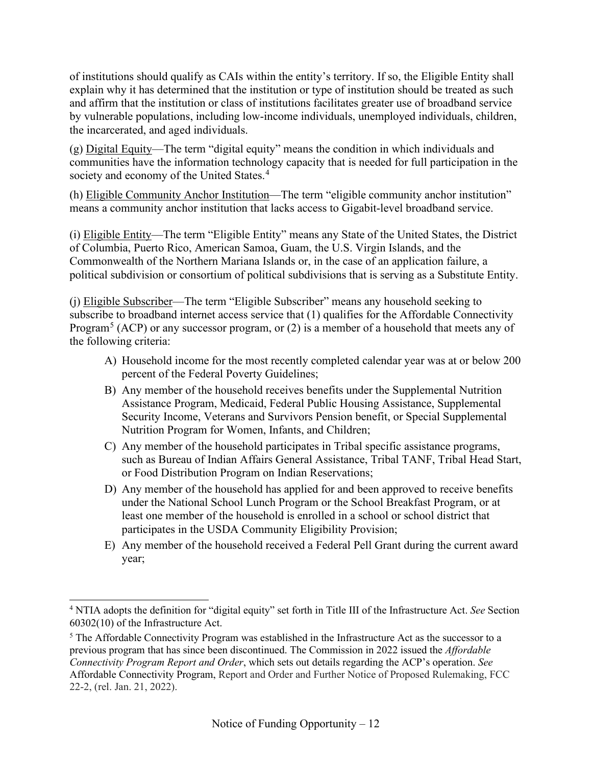of institutions should qualify as CAIs within the entity's territory. If so, the Eligible Entity shall explain why it has determined that the institution or type of institution should be treated as such and affirm that the institution or class of institutions facilitates greater use of broadband service by vulnerable populations, including low-income individuals, unemployed individuals, children, the incarcerated, and aged individuals.

(g) Digital Equity—The term "digital equity" means the condition in which individuals and communities have the information technology capacity that is needed for full participation in the society and economy of the United States.<sup>[4](#page-11-0)</sup>

(h) Eligible Community Anchor Institution—The term "eligible community anchor institution" means a community anchor institution that lacks access to Gigabit-level broadband service.

(i) Eligible Entity—The term "Eligible Entity" means any State of the United States, the District of Columbia, Puerto Rico, American Samoa, Guam, the U.S. Virgin Islands, and the Commonwealth of the Northern Mariana Islands or, in the case of an application failure, a political subdivision or consortium of political subdivisions that is serving as a Substitute Entity.

(j) Eligible Subscriber—The term "Eligible Subscriber" means any household seeking to subscribe to broadband internet access service that (1) qualifies for the Affordable Connectivity Program<sup>[5](#page-11-1)</sup> (ACP) or any successor program, or  $(2)$  is a member of a household that meets any of the following criteria:

- A) Household income for the most recently completed calendar year was at or below 200 percent of the Federal Poverty Guidelines;
- B) Any member of the household receives benefits under the Supplemental Nutrition Assistance Program, Medicaid, Federal Public Housing Assistance, Supplemental Security Income, Veterans and Survivors Pension benefit, or Special Supplemental Nutrition Program for Women, Infants, and Children;
- C) Any member of the household participates in Tribal specific assistance programs, such as Bureau of Indian Affairs General Assistance, Tribal TANF, Tribal Head Start, or Food Distribution Program on Indian Reservations;
- D) Any member of the household has applied for and been approved to receive benefits under the National School Lunch Program or the School Breakfast Program, or at least one member of the household is enrolled in a school or school district that participates in the USDA Community Eligibility Provision;
- E) Any member of the household received a Federal Pell Grant during the current award year;

<span id="page-11-0"></span><sup>4</sup> NTIA adopts the definition for "digital equity" set forth in Title III of the Infrastructure Act. *See* Section 60302(10) of the Infrastructure Act.

<span id="page-11-1"></span><sup>&</sup>lt;sup>5</sup> The Affordable Connectivity Program was established in the Infrastructure Act as the successor to a previous program that has since been discontinued. The Commission in 2022 issued the *Affordable Connectivity Program Report and Order*, which sets out details regarding the ACP's operation. *See* Affordable Connectivity Program, Report and Order and Further Notice of Proposed Rulemaking, FCC 22-2, (rel. Jan. 21, 2022).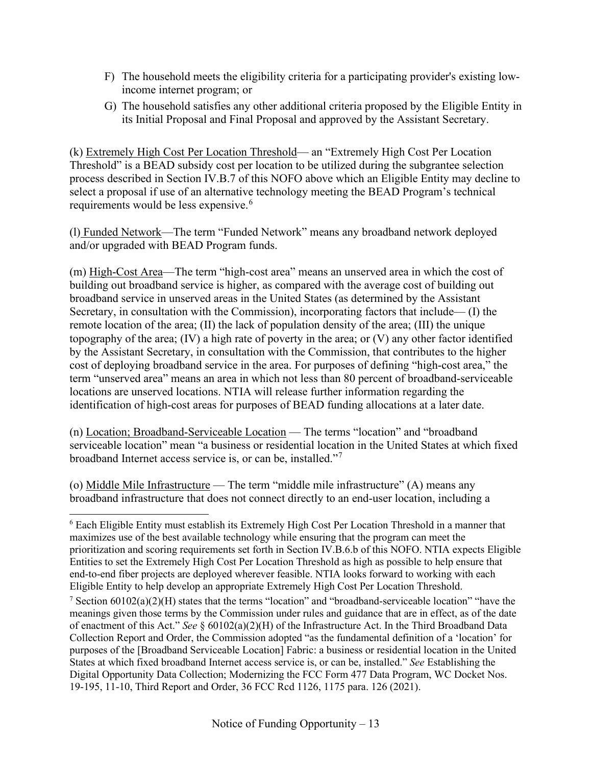- F) The household meets the eligibility criteria for a participating provider's existing lowincome internet program; or
- G) The household satisfies any other additional criteria proposed by the Eligible Entity in its Initial Proposal and Final Proposal and approved by the Assistant Secretary.

(k) Extremely High Cost Per Location Threshold— an "Extremely High Cost Per Location Threshold" is a BEAD subsidy cost per location to be utilized during the subgrantee selection process described in Section [IV.B.7](#page-34-0) of this NOFO above which an Eligible Entity may decline to select a proposal if use of an alternative technology meeting the BEAD Program's technical requirements would be less expensive.<sup>[6](#page-12-0)</sup>

(l) Funded Network—The term "Funded Network" means any broadband network deployed and/or upgraded with BEAD Program funds.

(m) High-Cost Area—The term "high-cost area" means an unserved area in which the cost of building out broadband service is higher, as compared with the average cost of building out broadband service in unserved areas in the United States (as determined by the Assistant Secretary, in consultation with the Commission), incorporating factors that include— (I) the remote location of the area; (II) the lack of population density of the area; (III) the unique topography of the area; (IV) a high rate of poverty in the area; or (V) any other factor identified by the Assistant Secretary, in consultation with the Commission, that contributes to the higher cost of deploying broadband service in the area. For purposes of defining "high-cost area," the term "unserved area" means an area in which not less than 80 percent of broadband-serviceable locations are unserved locations. NTIA will release further information regarding the identification of high-cost areas for purposes of BEAD funding allocations at a later date.

(n) Location; Broadband-Serviceable Location — The terms "location" and "broadband serviceable location" mean "a business or residential location in the United States at which fixed broadband Internet access service is, or can be, installed."[7](#page-12-1)

(o) Middle Mile Infrastructure — The term "middle mile infrastructure" (A) means any broadband infrastructure that does not connect directly to an end-user location, including a

<span id="page-12-0"></span><sup>6</sup> Each Eligible Entity must establish its Extremely High Cost Per Location Threshold in a manner that maximizes use of the best available technology while ensuring that the program can meet the prioritization and scoring requirements set forth in Section [IV.B.6.b](#page-39-0) of this NOFO. NTIA expects Eligible Entities to set the Extremely High Cost Per Location Threshold as high as possible to help ensure that end-to-end fiber projects are deployed wherever feasible. NTIA looks forward to working with each Eligible Entity to help develop an appropriate Extremely High Cost Per Location Threshold.

<span id="page-12-1"></span><sup>&</sup>lt;sup>7</sup> Section  $60102(a)(2)(H)$  states that the terms "location" and "broadband-serviceable location" "have the meanings given those terms by the Commission under rules and guidance that are in effect, as of the date of enactment of this Act." *See* § 60102(a)(2)(H) of the Infrastructure Act. In the Third Broadband Data Collection Report and Order, the Commission adopted "as the fundamental definition of a 'location' for purposes of the [Broadband Serviceable Location] Fabric: a business or residential location in the United States at which fixed broadband Internet access service is, or can be, installed." *See* Establishing the Digital Opportunity Data Collection; Modernizing the FCC Form 477 Data Program, WC Docket Nos. 19‐195, 11‐10, Third Report and Order, 36 FCC Rcd 1126, 1175 para. 126 (2021).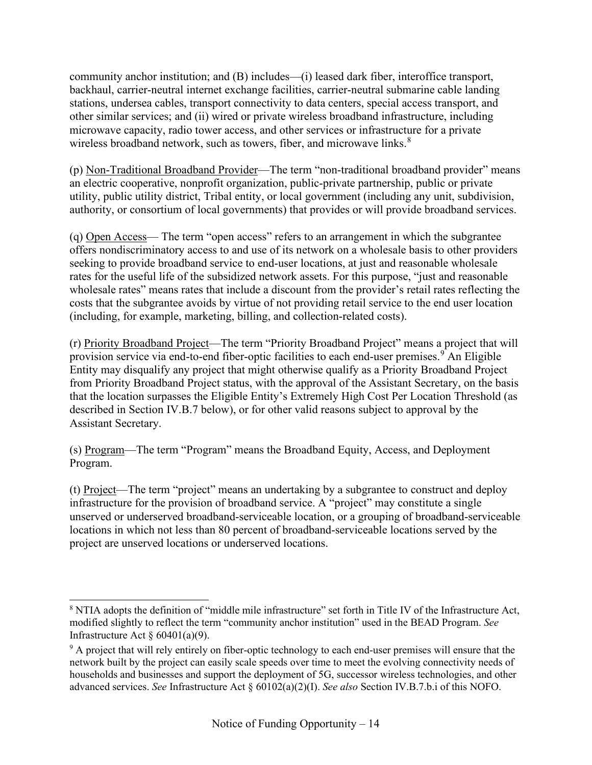community anchor institution; and (B) includes—(i) leased dark fiber, interoffice transport, backhaul, carrier-neutral internet exchange facilities, carrier-neutral submarine cable landing stations, undersea cables, transport connectivity to data centers, special access transport, and other similar services; and (ii) wired or private wireless broadband infrastructure, including microwave capacity, radio tower access, and other services or infrastructure for a private wireless broadband network, such as towers, fiber, and microwave links.<sup>[8](#page-13-0)</sup>

(p) Non-Traditional Broadband Provider—The term "non-traditional broadband provider" means an electric cooperative, nonprofit organization, public-private partnership, public or private utility, public utility district, Tribal entity, or local government (including any unit, subdivision, authority, or consortium of local governments) that provides or will provide broadband services.

(q) Open Access— The term "open access" refers to an arrangement in which the subgrantee offers nondiscriminatory access to and use of its network on a wholesale basis to other providers seeking to provide broadband service to end-user locations, at just and reasonable wholesale rates for the useful life of the subsidized network assets. For this purpose, "just and reasonable wholesale rates" means rates that include a discount from the provider's retail rates reflecting the costs that the subgrantee avoids by virtue of not providing retail service to the end user location (including, for example, marketing, billing, and collection-related costs).

(r) Priority Broadband Project—The term "Priority Broadband Project" means a project that will provision service via end-to-end fiber-optic facilities to each end-user premises. [9](#page-13-1) An Eligible Entity may disqualify any project that might otherwise qualify as a Priority Broadband Project from Priority Broadband Project status, with the approval of the Assistant Secretary, on the basis that the location surpasses the Eligible Entity's Extremely High Cost Per Location Threshold (as described in Section [IV.B.7](#page-34-0) below), or for other valid reasons subject to approval by the Assistant Secretary.

(s) Program—The term "Program" means the Broadband Equity, Access, and Deployment Program.

(t) Project—The term "project" means an undertaking by a subgrantee to construct and deploy infrastructure for the provision of broadband service. A "project" may constitute a single unserved or underserved broadband-serviceable location, or a grouping of broadband-serviceable locations in which not less than 80 percent of broadband-serviceable locations served by the project are unserved locations or underserved locations.

<span id="page-13-0"></span> $8$  NTIA adopts the definition of "middle mile infrastructure" set forth in Title IV of the Infrastructure Act, modified slightly to reflect the term "community anchor institution" used in the BEAD Program. *See* Infrastructure Act  $\delta$  60401(a)(9).

<span id="page-13-1"></span><sup>&</sup>lt;sup>9</sup> A project that will rely entirely on fiber-optic technology to each end-user premises will ensure that the network built by the project can easily scale speeds over time to meet the evolving connectivity needs of households and businesses and support the deployment of 5G, successor wireless technologies, and other advanced services. *See* Infrastructure Act § 60102(a)(2)(I). *See also* Sectio[n IV.B.7.b.i](#page-41-0) of this NOFO.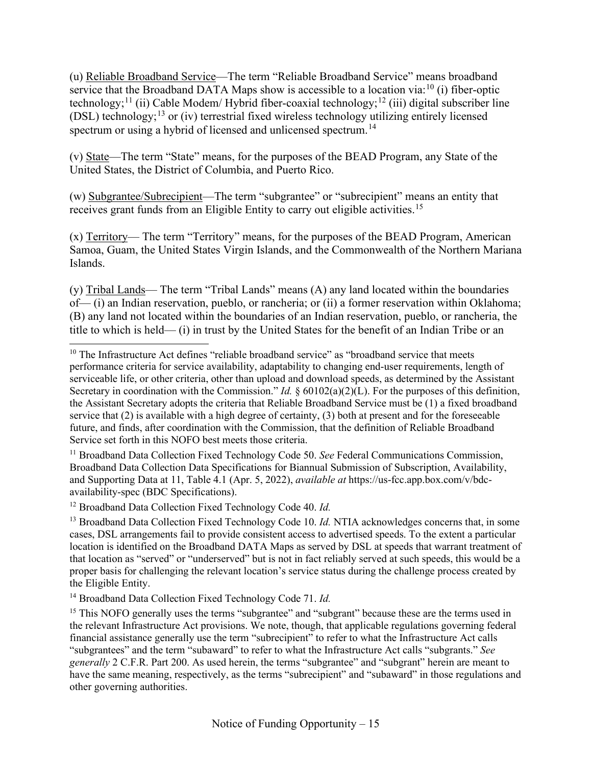(u) Reliable Broadband Service—The term "Reliable Broadband Service" means broadband service that the Broadband DATA Maps show is accessible to a location via:<sup>[10](#page-14-0)</sup> (i) fiber-optic technology;<sup>[11](#page-14-1)</sup> (ii) Cable Modem/ Hybrid fiber-coaxial technology;<sup>[12](#page-14-2)</sup> (iii) digital subscriber line (DSL) technology;[13](#page-14-3) or (iv) terrestrial fixed wireless technology utilizing entirely licensed spectrum or using a hybrid of licensed and unlicensed spectrum.<sup>[14](#page-14-4)</sup>

(v) State—The term "State" means, for the purposes of the BEAD Program, any State of the United States, the District of Columbia, and Puerto Rico.

(w) Subgrantee/Subrecipient—The term "subgrantee" or "subrecipient" means an entity that receives grant funds from an Eligible Entity to carry out eligible activities.<sup>[15](#page-14-5)</sup>

(x) Territory— The term "Territory" means, for the purposes of the BEAD Program, American Samoa, Guam, the United States Virgin Islands, and the Commonwealth of the Northern Mariana Islands.

(y) Tribal Lands— The term "Tribal Lands" means (A) any land located within the boundaries of— (i) an Indian reservation, pueblo, or rancheria; or (ii) a former reservation within Oklahoma; (B) any land not located within the boundaries of an Indian reservation, pueblo, or rancheria, the title to which is held— (i) in trust by the United States for the benefit of an Indian Tribe or an

<span id="page-14-1"></span><sup>11</sup> Broadband Data Collection Fixed Technology Code 50. *See* Federal Communications Commission, Broadband Data Collection Data Specifications for Biannual Submission of Subscription, Availability, and Supporting Data at 11, Table 4.1 (Apr. 5, 2022), *available at* https://us-fcc.app.box.com/v/bdcavailability-spec (BDC Specifications).

<span id="page-14-2"></span><sup>12</sup> Broadband Data Collection Fixed Technology Code 40. *Id.*

<span id="page-14-3"></span><sup>13</sup> Broadband Data Collection Fixed Technology Code 10. *Id.* NTIA acknowledges concerns that, in some cases, DSL arrangements fail to provide consistent access to advertised speeds. To the extent a particular location is identified on the Broadband DATA Maps as served by DSL at speeds that warrant treatment of that location as "served" or "underserved" but is not in fact reliably served at such speeds, this would be a proper basis for challenging the relevant location's service status during the challenge process created by the Eligible Entity.

<span id="page-14-4"></span><sup>14</sup> Broadband Data Collection Fixed Technology Code 71. *Id.* 

<span id="page-14-5"></span><sup>15</sup> This NOFO generally uses the terms "subgrantee" and "subgrant" because these are the terms used in the relevant Infrastructure Act provisions. We note, though, that applicable regulations governing federal financial assistance generally use the term "subrecipient" to refer to what the Infrastructure Act calls "subgrantees" and the term "subaward" to refer to what the Infrastructure Act calls "subgrants." *See generally* 2 C.F.R. Part 200. As used herein, the terms "subgrantee" and "subgrant" herein are meant to have the same meaning, respectively, as the terms "subrecipient" and "subaward" in those regulations and other governing authorities.

<span id="page-14-0"></span> $10$  The Infrastructure Act defines "reliable broadband service" as "broadband service that meets performance criteria for service availability, adaptability to changing end-user requirements, length of serviceable life, or other criteria, other than upload and download speeds, as determined by the Assistant Secretary in coordination with the Commission." *Id.* § 60102(a)(2)(L). For the purposes of this definition, the Assistant Secretary adopts the criteria that Reliable Broadband Service must be (1) a fixed broadband service that (2) is available with a high degree of certainty, (3) both at present and for the foreseeable future, and finds, after coordination with the Commission, that the definition of Reliable Broadband Service set forth in this NOFO best meets those criteria.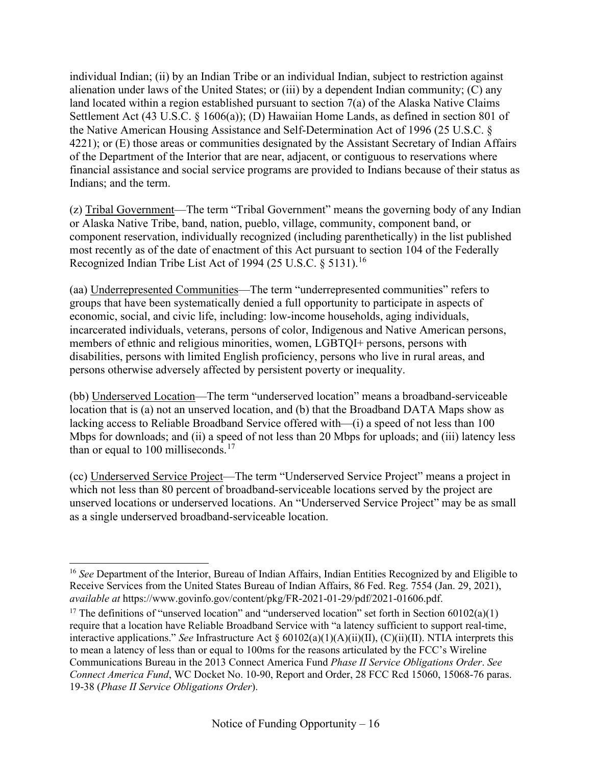individual Indian; (ii) by an Indian Tribe or an individual Indian, subject to restriction against alienation under laws of the United States; or (iii) by a dependent Indian community; (C) any land located within a region established pursuant to section 7(a) of the Alaska Native Claims Settlement Act (43 U.S.C. § 1606(a)); (D) Hawaiian Home Lands, as defined in section 801 of the Native American Housing Assistance and Self-Determination Act of 1996 (25 U.S.C. § 4221); or (E) those areas or communities designated by the Assistant Secretary of Indian Affairs of the Department of the Interior that are near, adjacent, or contiguous to reservations where financial assistance and social service programs are provided to Indians because of their status as Indians; and the term.

(z) Tribal Government—The term "Tribal Government" means the governing body of any Indian or Alaska Native Tribe, band, nation, pueblo, village, community, component band, or component reservation, individually recognized (including parenthetically) in the list published most recently as of the date of enactment of this Act pursuant to section 104 of the Federally Recognized Indian Tribe List Act of 1994 (25 U.S.C. § 5131).<sup>[16](#page-15-0)</sup>

(aa) Underrepresented Communities—The term "underrepresented communities" refers to groups that have been systematically denied a full opportunity to participate in aspects of economic, social, and civic life, including: low-income households, aging individuals, incarcerated individuals, veterans, persons of color, Indigenous and Native American persons, members of ethnic and religious minorities, women, LGBTQI+ persons, persons with disabilities, persons with limited English proficiency, persons who live in rural areas, and persons otherwise adversely affected by persistent poverty or inequality.

(bb) Underserved Location—The term "underserved location" means a broadband-serviceable location that is (a) not an unserved location, and (b) that the Broadband DATA Maps show as lacking access to Reliable Broadband Service offered with—(i) a speed of not less than 100 Mbps for downloads; and (ii) a speed of not less than 20 Mbps for uploads; and (iii) latency less than or equal to 100 milliseconds.<sup>[17](#page-15-1)</sup>

(cc) Underserved Service Project—The term "Underserved Service Project" means a project in which not less than 80 percent of broadband-serviceable locations served by the project are unserved locations or underserved locations. An "Underserved Service Project" may be as small as a single underserved broadband-serviceable location.

<span id="page-15-0"></span><sup>&</sup>lt;sup>16</sup> See Department of the Interior, Bureau of Indian Affairs, Indian Entities Recognized by and Eligible to Receive Services from the United States Bureau of Indian Affairs, 86 Fed. Reg. 7554 (Jan. 29, 2021), *available at* https://www.govinfo.gov/content/pkg/FR-2021-01-29/pdf/2021-01606.pdf.

<span id="page-15-1"></span><sup>&</sup>lt;sup>17</sup> The definitions of "unserved location" and "underserved location" set forth in Section  $60102(a)(1)$ require that a location have Reliable Broadband Service with "a latency sufficient to support real-time, interactive applications." *See* Infrastructure Act § 60102(a)(1)(A)(ii)(II), (C)(ii)(II). NTIA interprets this to mean a latency of less than or equal to 100ms for the reasons articulated by the FCC's Wireline Communications Bureau in the 2013 Connect America Fund *Phase II Service Obligations Order*. *See Connect America Fund*, WC Docket No. 10-90, Report and Order, 28 FCC Rcd 15060, 15068-76 paras. 19-38 (*Phase II Service Obligations Order*).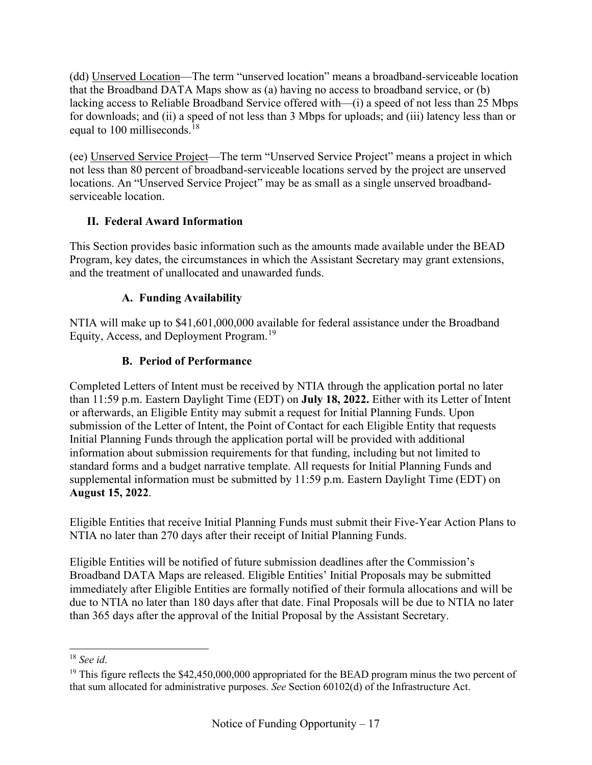(dd) Unserved Location—The term "unserved location" means a broadband-serviceable location that the Broadband DATA Maps show as (a) having no access to broadband service, or (b) lacking access to Reliable Broadband Service offered with—(i) a speed of not less than 25 Mbps for downloads; and (ii) a speed of not less than 3 Mbps for uploads; and (iii) latency less than or equal to 100 milliseconds.<sup>[18](#page-16-3)</sup>

(ee) Unserved Service Project—The term "Unserved Service Project" means a project in which not less than 80 percent of broadband-serviceable locations served by the project are unserved locations. An "Unserved Service Project" may be as small as a single unserved broadbandserviceable location.

# <span id="page-16-0"></span>**II. Federal Award Information**

This Section provides basic information such as the amounts made available under the BEAD Program, key dates, the circumstances in which the Assistant Secretary may grant extensions, and the treatment of unallocated and unawarded funds.

# **A. Funding Availability**

<span id="page-16-2"></span><span id="page-16-1"></span>NTIA will make up to \$41,601,000,000 available for federal assistance under the Broadband Equity, Access, and Deployment Program.<sup>[19](#page-16-4)</sup>

# **B. Period of Performance**

Completed Letters of Intent must be received by NTIA through the application portal no later than 11:59 p.m. Eastern Daylight Time (EDT) on **July 18, 2022.** Either with its Letter of Intent or afterwards, an Eligible Entity may submit a request for Initial Planning Funds. Upon submission of the Letter of Intent, the Point of Contact for each Eligible Entity that requests Initial Planning Funds through the application portal will be provided with additional information about submission requirements for that funding, including but not limited to standard forms and a budget narrative template. All requests for Initial Planning Funds and supplemental information must be submitted by 11:59 p.m. Eastern Daylight Time (EDT) on **August 15, 2022**.

Eligible Entities that receive Initial Planning Funds must submit their Five-Year Action Plans to NTIA no later than 270 days after their receipt of Initial Planning Funds.

Eligible Entities will be notified of future submission deadlines after the Commission's Broadband DATA Maps are released. Eligible Entities' Initial Proposals may be submitted immediately after Eligible Entities are formally notified of their formula allocations and will be due to NTIA no later than 180 days after that date. Final Proposals will be due to NTIA no later than 365 days after the approval of the Initial Proposal by the Assistant Secretary.

<span id="page-16-3"></span><sup>18</sup> *See id*.

<span id="page-16-4"></span><sup>&</sup>lt;sup>19</sup> This figure reflects the \$42,450,000,000 appropriated for the BEAD program minus the two percent of that sum allocated for administrative purposes. *See* Section 60102(d) of the Infrastructure Act.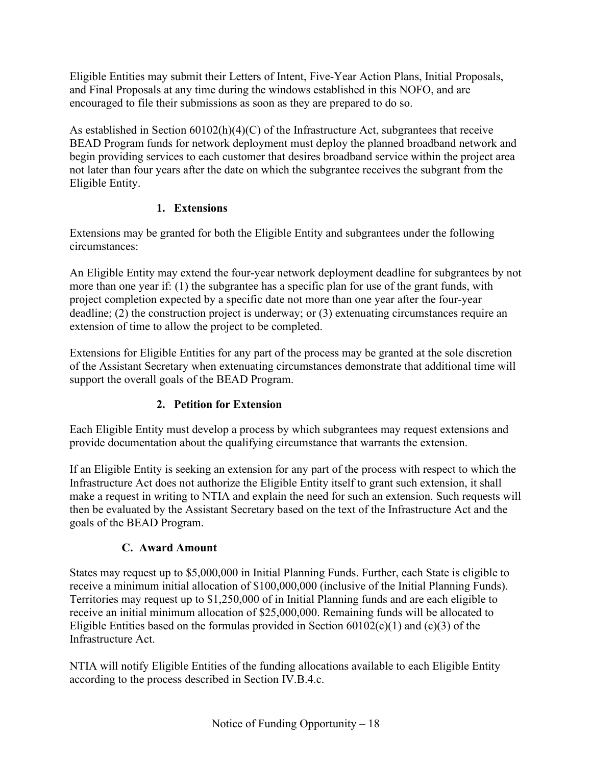Eligible Entities may submit their Letters of Intent, Five-Year Action Plans, Initial Proposals, and Final Proposals at any time during the windows established in this NOFO, and are encouraged to file their submissions as soon as they are prepared to do so.

As established in Section 60102(h)(4)(C) of the Infrastructure Act, subgrantees that receive BEAD Program funds for network deployment must deploy the planned broadband network and begin providing services to each customer that desires broadband service within the project area not later than four years after the date on which the subgrantee receives the subgrant from the Eligible Entity.

# **1. Extensions**

<span id="page-17-1"></span>Extensions may be granted for both the Eligible Entity and subgrantees under the following circumstances:

An Eligible Entity may extend the four-year network deployment deadline for subgrantees by not more than one year if: (1) the subgrantee has a specific plan for use of the grant funds, with project completion expected by a specific date not more than one year after the four-year deadline; (2) the construction project is underway; or (3) extenuating circumstances require an extension of time to allow the project to be completed.

Extensions for Eligible Entities for any part of the process may be granted at the sole discretion of the Assistant Secretary when extenuating circumstances demonstrate that additional time will support the overall goals of the BEAD Program.

# **2. Petition for Extension**

Each Eligible Entity must develop a process by which subgrantees may request extensions and provide documentation about the qualifying circumstance that warrants the extension.

If an Eligible Entity is seeking an extension for any part of the process with respect to which the Infrastructure Act does not authorize the Eligible Entity itself to grant such extension, it shall make a request in writing to NTIA and explain the need for such an extension. Such requests will then be evaluated by the Assistant Secretary based on the text of the Infrastructure Act and the goals of the BEAD Program.

# **C. Award Amount**

<span id="page-17-0"></span>States may request up to \$5,000,000 in Initial Planning Funds. Further, each State is eligible to receive a minimum initial allocation of \$100,000,000 (inclusive of the Initial Planning Funds). Territories may request up to \$1,250,000 of in Initial Planning funds and are each eligible to receive an initial minimum allocation of \$25,000,000. Remaining funds will be allocated to Eligible Entities based on the formulas provided in Section  $60102(c)(1)$  and  $(c)(3)$  of the Infrastructure Act.

NTIA will notify Eligible Entities of the funding allocations available to each Eligible Entity according to the process described in Section [IV.B.4.c.](#page-28-1)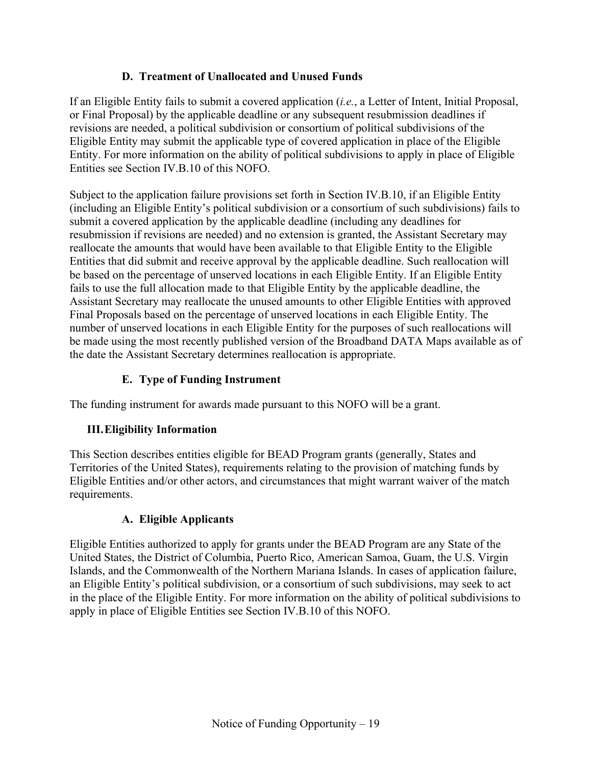## **D. Treatment of Unallocated and Unused Funds**

<span id="page-18-1"></span>If an Eligible Entity fails to submit a covered application (*i.e.*, a Letter of Intent, Initial Proposal, or Final Proposal) by the applicable deadline or any subsequent resubmission deadlines if revisions are needed, a political subdivision or consortium of political subdivisions of the Eligible Entity may submit the applicable type of covered application in place of the Eligible Entity. For more information on the ability of political subdivisions to apply in place of Eligible Entities see Section [IV.B.10](#page-49-1) of this NOFO.

Subject to the application failure provisions set forth in Section [IV.B.10,](#page-49-1) if an Eligible Entity (including an Eligible Entity's political subdivision or a consortium of such subdivisions) fails to submit a covered application by the applicable deadline (including any deadlines for resubmission if revisions are needed) and no extension is granted, the Assistant Secretary may reallocate the amounts that would have been available to that Eligible Entity to the Eligible Entities that did submit and receive approval by the applicable deadline. Such reallocation will be based on the percentage of unserved locations in each Eligible Entity. If an Eligible Entity fails to use the full allocation made to that Eligible Entity by the applicable deadline, the Assistant Secretary may reallocate the unused amounts to other Eligible Entities with approved Final Proposals based on the percentage of unserved locations in each Eligible Entity. The number of unserved locations in each Eligible Entity for the purposes of such reallocations will be made using the most recently published version of the Broadband DATA Maps available as of the date the Assistant Secretary determines reallocation is appropriate.

## **E. Type of Funding Instrument**

<span id="page-18-2"></span><span id="page-18-0"></span>The funding instrument for awards made pursuant to this NOFO will be a grant.

#### **III.Eligibility Information**

This Section describes entities eligible for BEAD Program grants (generally, States and Territories of the United States), requirements relating to the provision of matching funds by Eligible Entities and/or other actors, and circumstances that might warrant waiver of the match requirements.

#### **A. Eligible Applicants**

<span id="page-18-3"></span>Eligible Entities authorized to apply for grants under the BEAD Program are any State of the United States, the District of Columbia, Puerto Rico, American Samoa, Guam, the U.S. Virgin Islands, and the Commonwealth of the Northern Mariana Islands. In cases of application failure, an Eligible Entity's political subdivision, or a consortium of such subdivisions, may seek to act in the place of the Eligible Entity. For more information on the ability of political subdivisions to apply in place of Eligible Entities see Section [IV.B.10](#page-49-1) of this NOFO.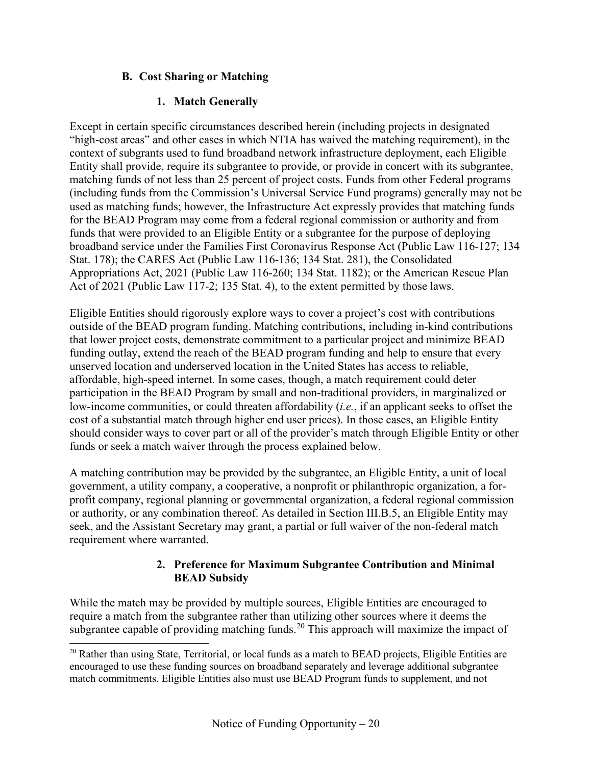### **B. Cost Sharing or Matching**

### **1. Match Generally**

<span id="page-19-0"></span>Except in certain specific circumstances described herein (including projects in designated "high-cost areas" and other cases in which NTIA has waived the matching requirement), in the context of subgrants used to fund broadband network infrastructure deployment, each Eligible Entity shall provide, require its subgrantee to provide, or provide in concert with its subgrantee, matching funds of not less than 25 percent of project costs. Funds from other Federal programs (including funds from the Commission's Universal Service Fund programs) generally may not be used as matching funds; however, the Infrastructure Act expressly provides that matching funds for the BEAD Program may come from a federal regional commission or authority and from funds that were provided to an Eligible Entity or a subgrantee for the purpose of deploying broadband service under the Families First Coronavirus Response Act (Public Law 116-127; 134 Stat. 178); the CARES Act (Public Law 116-136; 134 Stat. 281), the Consolidated Appropriations Act, 2021 (Public Law 116-260; 134 Stat. 1182); or the American Rescue Plan Act of 2021 (Public Law 117-2; 135 Stat. 4), to the extent permitted by those laws.

Eligible Entities should rigorously explore ways to cover a project's cost with contributions outside of the BEAD program funding. Matching contributions, including in-kind contributions that lower project costs, demonstrate commitment to a particular project and minimize BEAD funding outlay, extend the reach of the BEAD program funding and help to ensure that every unserved location and underserved location in the United States has access to reliable, affordable, high-speed internet. In some cases, though, a match requirement could deter participation in the BEAD Program by small and non-traditional providers, in marginalized or low-income communities, or could threaten affordability (*i.e.*, if an applicant seeks to offset the cost of a substantial match through higher end user prices). In those cases, an Eligible Entity should consider ways to cover part or all of the provider's match through Eligible Entity or other funds or seek a match waiver through the process explained below.

A matching contribution may be provided by the subgrantee, an Eligible Entity, a unit of local government, a utility company, a cooperative, a nonprofit or philanthropic organization, a forprofit company, regional planning or governmental organization, a federal regional commission or authority, or any combination thereof. As detailed in Section [III.B.5,](#page-21-2) an Eligible Entity may seek, and the Assistant Secretary may grant, a partial or full waiver of the non-federal match requirement where warranted.

#### **2. Preference for Maximum Subgrantee Contribution and Minimal BEAD Subsidy**

While the match may be provided by multiple sources, Eligible Entities are encouraged to require a match from the subgrantee rather than utilizing other sources where it deems the subgrantee capable of providing matching funds.<sup>[20](#page-19-1)</sup> This approach will maximize the impact of

<span id="page-19-1"></span><sup>&</sup>lt;sup>20</sup> Rather than using State, Territorial, or local funds as a match to BEAD projects, Eligible Entities are encouraged to use these funding sources on broadband separately and leverage additional subgrantee match commitments. Eligible Entities also must use BEAD Program funds to supplement, and not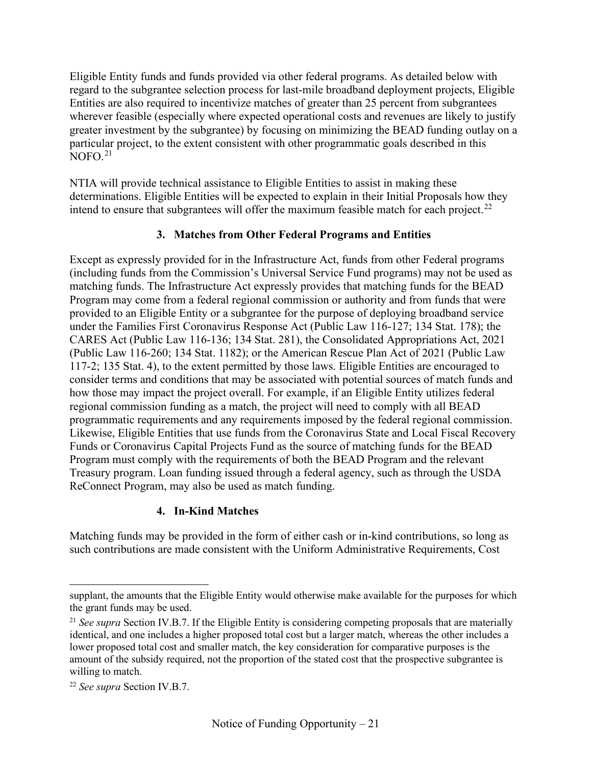Eligible Entity funds and funds provided via other federal programs. As detailed below with regard to the subgrantee selection process for last-mile broadband deployment projects, Eligible Entities are also required to incentivize matches of greater than 25 percent from subgrantees wherever feasible (especially where expected operational costs and revenues are likely to justify greater investment by the subgrantee) by focusing on minimizing the BEAD funding outlay on a particular project, to the extent consistent with other programmatic goals described in this  $N$ OFO $^{21}$  $^{21}$  $^{21}$ 

NTIA will provide technical assistance to Eligible Entities to assist in making these determinations. Eligible Entities will be expected to explain in their Initial Proposals how they intend to ensure that subgrantees will offer the maximum feasible match for each project.<sup>[22](#page-20-1)</sup>

#### **3. Matches from Other Federal Programs and Entities**

Except as expressly provided for in the Infrastructure Act, funds from other Federal programs (including funds from the Commission's Universal Service Fund programs) may not be used as matching funds. The Infrastructure Act expressly provides that matching funds for the BEAD Program may come from a federal regional commission or authority and from funds that were provided to an Eligible Entity or a subgrantee for the purpose of deploying broadband service under the Families First Coronavirus Response Act (Public Law 116-127; 134 Stat. 178); the CARES Act (Public Law 116-136; 134 Stat. 281), the Consolidated Appropriations Act, 2021 (Public Law 116-260; 134 Stat. 1182); or the American Rescue Plan Act of 2021 (Public Law 117-2; 135 Stat. 4), to the extent permitted by those laws. Eligible Entities are encouraged to consider terms and conditions that may be associated with potential sources of match funds and how those may impact the project overall. For example, if an Eligible Entity utilizes federal regional commission funding as a match, the project will need to comply with all BEAD programmatic requirements and any requirements imposed by the federal regional commission. Likewise, Eligible Entities that use funds from the Coronavirus State and Local Fiscal Recovery Funds or Coronavirus Capital Projects Fund as the source of matching funds for the BEAD Program must comply with the requirements of both the BEAD Program and the relevant Treasury program. Loan funding issued through a federal agency, such as through the USDA ReConnect Program, may also be used as match funding.

#### **4. In-Kind Matches**

Matching funds may be provided in the form of either cash or in-kind contributions, so long as such contributions are made consistent with the Uniform Administrative Requirements, Cost

supplant, the amounts that the Eligible Entity would otherwise make available for the purposes for which the grant funds may be used.

<span id="page-20-0"></span><sup>&</sup>lt;sup>21</sup> See supra Section [IV.B.7.](#page-34-0) If the Eligible Entity is considering competing proposals that are materially identical, and one includes a higher proposed total cost but a larger match, whereas the other includes a lower proposed total cost and smaller match, the key consideration for comparative purposes is the amount of the subsidy required, not the proportion of the stated cost that the prospective subgrantee is willing to match.

<span id="page-20-1"></span><sup>22</sup> *See supra* Section [IV.B.7.](#page-34-0)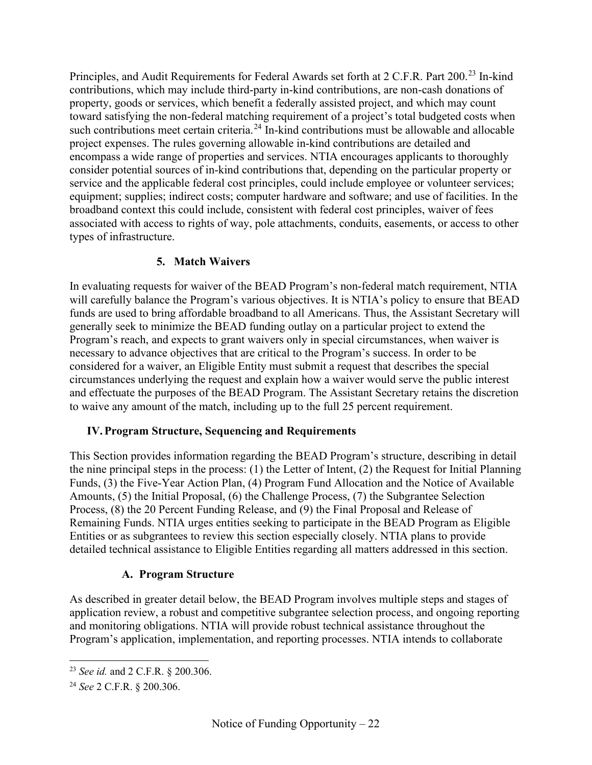Principles, and Audit Requirements for Federal Awards set forth at 2 C.F.R. Part 200.<sup>[23](#page-21-3)</sup> In-kind contributions, which may include third-party in-kind contributions, are non-cash donations of property, goods or services, which benefit a federally assisted project, and which may count toward satisfying the non-federal matching requirement of a project's total budgeted costs when such contributions meet certain criteria.<sup>[24](#page-21-4)</sup> In-kind contributions must be allowable and allocable project expenses. The rules governing allowable in-kind contributions are detailed and encompass a wide range of properties and services. NTIA encourages applicants to thoroughly consider potential sources of in-kind contributions that, depending on the particular property or service and the applicable federal cost principles, could include employee or volunteer services; equipment; supplies; indirect costs; computer hardware and software; and use of facilities. In the broadband context this could include, consistent with federal cost principles, waiver of fees associated with access to rights of way, pole attachments, conduits, easements, or access to other types of infrastructure.

## **5. Match Waivers**

<span id="page-21-2"></span>In evaluating requests for waiver of the BEAD Program's non-federal match requirement, NTIA will carefully balance the Program's various objectives. It is NTIA's policy to ensure that BEAD funds are used to bring affordable broadband to all Americans. Thus, the Assistant Secretary will generally seek to minimize the BEAD funding outlay on a particular project to extend the Program's reach, and expects to grant waivers only in special circumstances, when waiver is necessary to advance objectives that are critical to the Program's success. In order to be considered for a waiver, an Eligible Entity must submit a request that describes the special circumstances underlying the request and explain how a waiver would serve the public interest and effectuate the purposes of the BEAD Program. The Assistant Secretary retains the discretion to waive any amount of the match, including up to the full 25 percent requirement.

#### <span id="page-21-0"></span>**IV.Program Structure, Sequencing and Requirements**

This Section provides information regarding the BEAD Program's structure, describing in detail the nine principal steps in the process: (1) the Letter of Intent, (2) the Request for Initial Planning Funds, (3) the Five-Year Action Plan, (4) Program Fund Allocation and the Notice of Available Amounts, (5) the Initial Proposal, (6) the Challenge Process, (7) the Subgrantee Selection Process, (8) the 20 Percent Funding Release, and (9) the Final Proposal and Release of Remaining Funds. NTIA urges entities seeking to participate in the BEAD Program as Eligible Entities or as subgrantees to review this section especially closely. NTIA plans to provide detailed technical assistance to Eligible Entities regarding all matters addressed in this section.

#### **A. Program Structure**

<span id="page-21-1"></span>As described in greater detail below, the BEAD Program involves multiple steps and stages of application review, a robust and competitive subgrantee selection process, and ongoing reporting and monitoring obligations. NTIA will provide robust technical assistance throughout the Program's application, implementation, and reporting processes. NTIA intends to collaborate

<span id="page-21-3"></span><sup>23</sup> *See id.* and 2 C.F.R. § 200.306.

<span id="page-21-4"></span><sup>24</sup> *See* 2 C.F.R. § 200.306.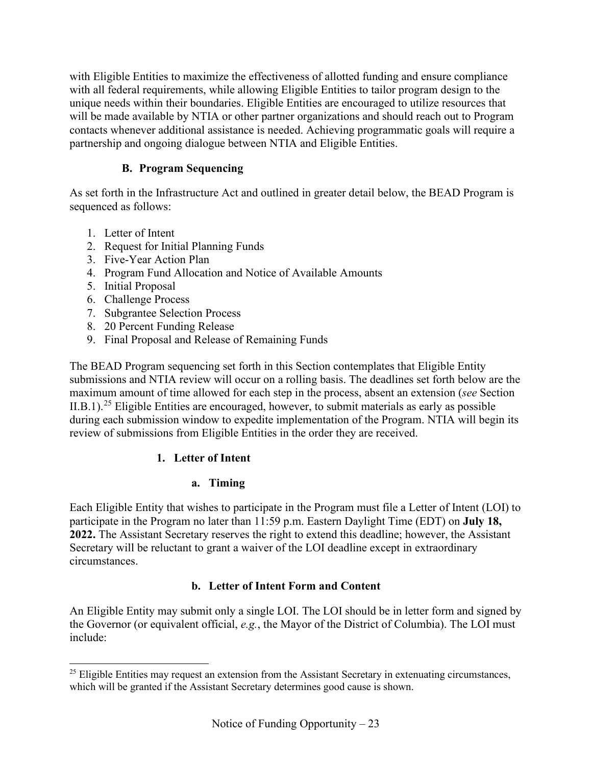with Eligible Entities to maximize the effectiveness of allotted funding and ensure compliance with all federal requirements, while allowing Eligible Entities to tailor program design to the unique needs within their boundaries. Eligible Entities are encouraged to utilize resources that will be made available by NTIA or other partner organizations and should reach out to Program contacts whenever additional assistance is needed. Achieving programmatic goals will require a partnership and ongoing dialogue between NTIA and Eligible Entities.

# **B. Program Sequencing**

<span id="page-22-0"></span>As set forth in the Infrastructure Act and outlined in greater detail below, the BEAD Program is sequenced as follows:

- 1. Letter of Intent
- 2. Request for Initial Planning Funds
- 3. Five-Year Action Plan
- 4. Program Fund Allocation and Notice of Available Amounts
- 5. Initial Proposal
- 6. Challenge Process
- 7. Subgrantee Selection Process
- 8. 20 Percent Funding Release
- 9. Final Proposal and Release of Remaining Funds

The BEAD Program sequencing set forth in this Section contemplates that Eligible Entity submissions and NTIA review will occur on a rolling basis. The deadlines set forth below are the maximum amount of time allowed for each step in the process, absent an extension (*see* Section [II.B.1\)](#page-17-1).<sup>[25](#page-22-1)</sup> Eligible Entities are encouraged, however, to submit materials as early as possible during each submission window to expedite implementation of the Program. NTIA will begin its review of submissions from Eligible Entities in the order they are received.

## **1. Letter of Intent**

# **a. Timing**

Each Eligible Entity that wishes to participate in the Program must file a Letter of Intent (LOI) to participate in the Program no later than 11:59 p.m. Eastern Daylight Time (EDT) on **July 18, 2022.** The Assistant Secretary reserves the right to extend this deadline; however, the Assistant Secretary will be reluctant to grant a waiver of the LOI deadline except in extraordinary circumstances.

## **b. Letter of Intent Form and Content**

An Eligible Entity may submit only a single LOI. The LOI should be in letter form and signed by the Governor (or equivalent official, *e.g.*, the Mayor of the District of Columbia). The LOI must include:

<span id="page-22-1"></span> $25$  Eligible Entities may request an extension from the Assistant Secretary in extenuating circumstances, which will be granted if the Assistant Secretary determines good cause is shown.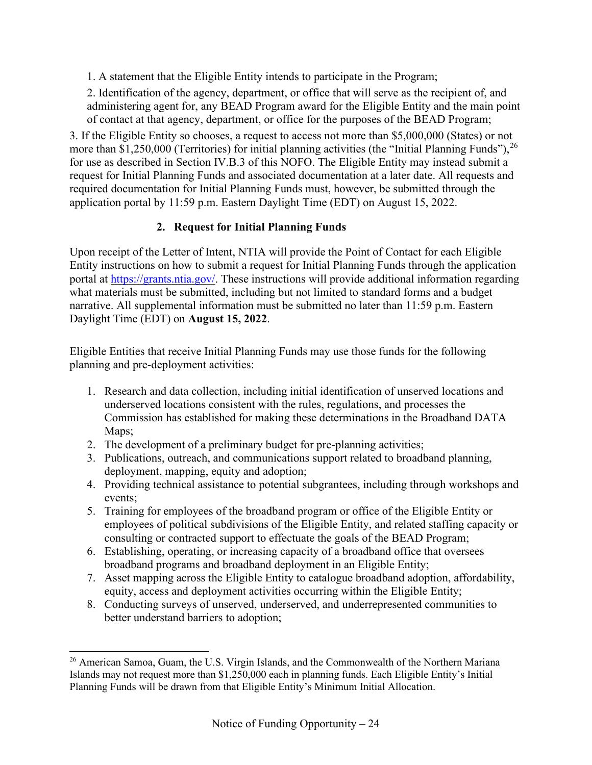1. A statement that the Eligible Entity intends to participate in the Program;

2. Identification of the agency, department, or office that will serve as the recipient of, and administering agent for, any BEAD Program award for the Eligible Entity and the main point of contact at that agency, department, or office for the purposes of the BEAD Program;

3. If the Eligible Entity so chooses, a request to access not more than \$5,000,000 (States) or not more than \$1,250,000 (Territories) for initial planning activities (the "Initial Planning Funds"),  $^{26}$  $^{26}$  $^{26}$ for use as described in Section [IV.B.3](#page-24-0) of this NOFO. The Eligible Entity may instead submit a request for Initial Planning Funds and associated documentation at a later date. All requests and required documentation for Initial Planning Funds must, however, be submitted through the application portal by 11:59 p.m. Eastern Daylight Time (EDT) on August 15, 2022.

# **2. Request for Initial Planning Funds**

<span id="page-23-0"></span>Upon receipt of the Letter of Intent, NTIA will provide the Point of Contact for each Eligible Entity instructions on how to submit a request for Initial Planning Funds through the application portal at [https://grants.ntia.gov/.](https://grants.ntia.gov/%20.) These instructions will provide additional information regarding what materials must be submitted, including but not limited to standard forms and a budget narrative. All supplemental information must be submitted no later than 11:59 p.m. Eastern Daylight Time (EDT) on **August 15, 2022**.

Eligible Entities that receive Initial Planning Funds may use those funds for the following planning and pre-deployment activities:

- 1. Research and data collection, including initial identification of unserved locations and underserved locations consistent with the rules, regulations, and processes the Commission has established for making these determinations in the Broadband DATA Maps;
- 2. The development of a preliminary budget for pre-planning activities;
- 3. Publications, outreach, and communications support related to broadband planning, deployment, mapping, equity and adoption;
- 4. Providing technical assistance to potential subgrantees, including through workshops and events;
- 5. Training for employees of the broadband program or office of the Eligible Entity or employees of political subdivisions of the Eligible Entity, and related staffing capacity or consulting or contracted support to effectuate the goals of the BEAD Program;
- 6. Establishing, operating, or increasing capacity of a broadband office that oversees broadband programs and broadband deployment in an Eligible Entity;
- 7. Asset mapping across the Eligible Entity to catalogue broadband adoption, affordability, equity, access and deployment activities occurring within the Eligible Entity;
- 8. Conducting surveys of unserved, underserved, and underrepresented communities to better understand barriers to adoption;

<span id="page-23-1"></span><sup>&</sup>lt;sup>26</sup> American Samoa, Guam, the U.S. Virgin Islands, and the Commonwealth of the Northern Mariana Islands may not request more than \$1,250,000 each in planning funds. Each Eligible Entity's Initial Planning Funds will be drawn from that Eligible Entity's Minimum Initial Allocation.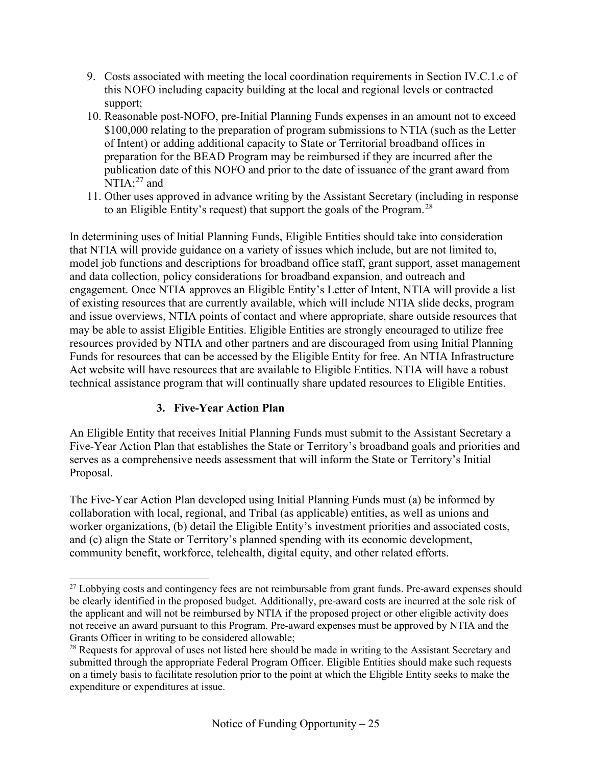- 9. Costs associated with meeting the local coordination requirements in Section [IV.C.1.c](#page-50-0) of this NOFO including capacity building at the local and regional levels or contracted support;
- 10. Reasonable post-NOFO, pre-Initial Planning Funds expenses in an amount not to exceed \$100,000 relating to the preparation of program submissions to NTIA (such as the Letter of Intent) or adding additional capacity to State or Territorial broadband offices in preparation for the BEAD Program may be reimbursed if they are incurred after the publication date of this NOFO and prior to the date of issuance of the grant award from  $NTIA;^{27}$  $NTIA;^{27}$  $NTIA;^{27}$  and
- 11. Other uses approved in advance writing by the Assistant Secretary (including in response to an Eligible Entity's request) that support the goals of the Program.<sup>[28](#page-24-2)</sup>

In determining uses of Initial Planning Funds, Eligible Entities should take into consideration that NTIA will provide guidance on a variety of issues which include, but are not limited to, model job functions and descriptions for broadband office staff, grant support, asset management and data collection, policy considerations for broadband expansion, and outreach and engagement. Once NTIA approves an Eligible Entity's Letter of Intent, NTIA will provide a list of existing resources that are currently available, which will include NTIA slide decks, program and issue overviews, NTIA points of contact and where appropriate, share outside resources that may be able to assist Eligible Entities. Eligible Entities are strongly encouraged to utilize free resources provided by NTIA and other partners and are discouraged from using Initial Planning Funds for resources that can be accessed by the Eligible Entity for free. An NTIA Infrastructure Act website will have resources that are available to Eligible Entities. NTIA will have a robust technical assistance program that will continually share updated resources to Eligible Entities.

## **3. Five-Year Action Plan**

<span id="page-24-0"></span>An Eligible Entity that receives Initial Planning Funds must submit to the Assistant Secretary a Five-Year Action Plan that establishes the State or Territory's broadband goals and priorities and serves as a comprehensive needs assessment that will inform the State or Territory's Initial Proposal.

The Five-Year Action Plan developed using Initial Planning Funds must (a) be informed by collaboration with local, regional, and Tribal (as applicable) entities, as well as unions and worker organizations, (b) detail the Eligible Entity's investment priorities and associated costs, and (c) align the State or Territory's planned spending with its economic development, community benefit, workforce, telehealth, digital equity, and other related efforts.

<span id="page-24-1"></span><sup>&</sup>lt;sup>27</sup> Lobbying costs and contingency fees are not reimbursable from grant funds. Pre-award expenses should be clearly identified in the proposed budget. Additionally, pre-award costs are incurred at the sole risk of the applicant and will not be reimbursed by NTIA if the proposed project or other eligible activity does not receive an award pursuant to this Program. Pre-award expenses must be approved by NTIA and the Grants Officer in writing to be considered allowable;

<span id="page-24-2"></span><sup>&</sup>lt;sup>28</sup> Requests for approval of uses not listed here should be made in writing to the Assistant Secretary and submitted through the appropriate Federal Program Officer. Eligible Entities should make such requests on a timely basis to facilitate resolution prior to the point at which the Eligible Entity seeks to make the expenditure or expenditures at issue.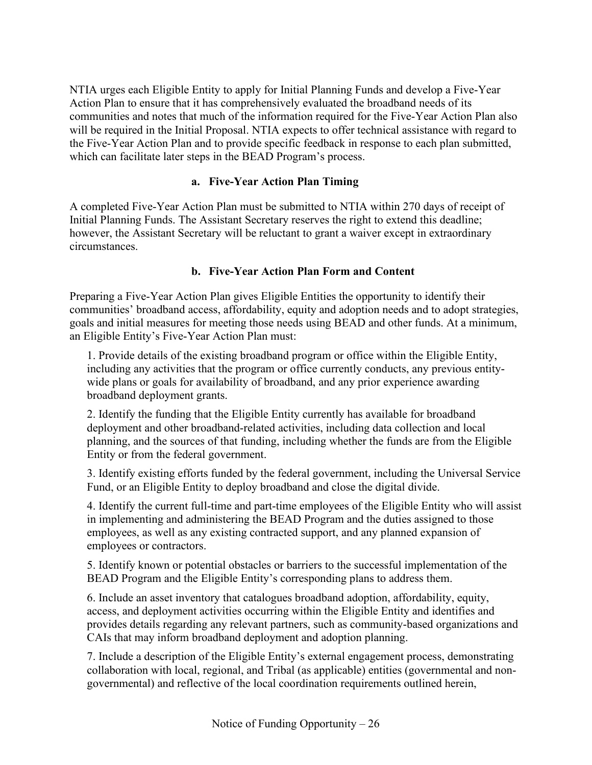NTIA urges each Eligible Entity to apply for Initial Planning Funds and develop a Five-Year Action Plan to ensure that it has comprehensively evaluated the broadband needs of its communities and notes that much of the information required for the Five-Year Action Plan also will be required in the Initial Proposal. NTIA expects to offer technical assistance with regard to the Five-Year Action Plan and to provide specific feedback in response to each plan submitted, which can facilitate later steps in the BEAD Program's process.

#### **a. Five-Year Action Plan Timing**

A completed Five-Year Action Plan must be submitted to NTIA within 270 days of receipt of Initial Planning Funds. The Assistant Secretary reserves the right to extend this deadline; however, the Assistant Secretary will be reluctant to grant a waiver except in extraordinary circumstances.

#### **b. Five-Year Action Plan Form and Content**

Preparing a Five-Year Action Plan gives Eligible Entities the opportunity to identify their communities' broadband access, affordability, equity and adoption needs and to adopt strategies, goals and initial measures for meeting those needs using BEAD and other funds. At a minimum, an Eligible Entity's Five-Year Action Plan must:

1. Provide details of the existing broadband program or office within the Eligible Entity, including any activities that the program or office currently conducts, any previous entitywide plans or goals for availability of broadband, and any prior experience awarding broadband deployment grants.

2. Identify the funding that the Eligible Entity currently has available for broadband deployment and other broadband-related activities, including data collection and local planning, and the sources of that funding, including whether the funds are from the Eligible Entity or from the federal government.

3. Identify existing efforts funded by the federal government, including the Universal Service Fund, or an Eligible Entity to deploy broadband and close the digital divide.

4. Identify the current full-time and part-time employees of the Eligible Entity who will assist in implementing and administering the BEAD Program and the duties assigned to those employees, as well as any existing contracted support, and any planned expansion of employees or contractors.

5. Identify known or potential obstacles or barriers to the successful implementation of the BEAD Program and the Eligible Entity's corresponding plans to address them.

6. Include an asset inventory that catalogues broadband adoption, affordability, equity, access, and deployment activities occurring within the Eligible Entity and identifies and provides details regarding any relevant partners, such as community-based organizations and CAIs that may inform broadband deployment and adoption planning.

7. Include a description of the Eligible Entity's external engagement process, demonstrating collaboration with local, regional, and Tribal (as applicable) entities (governmental and nongovernmental) and reflective of the local coordination requirements outlined herein,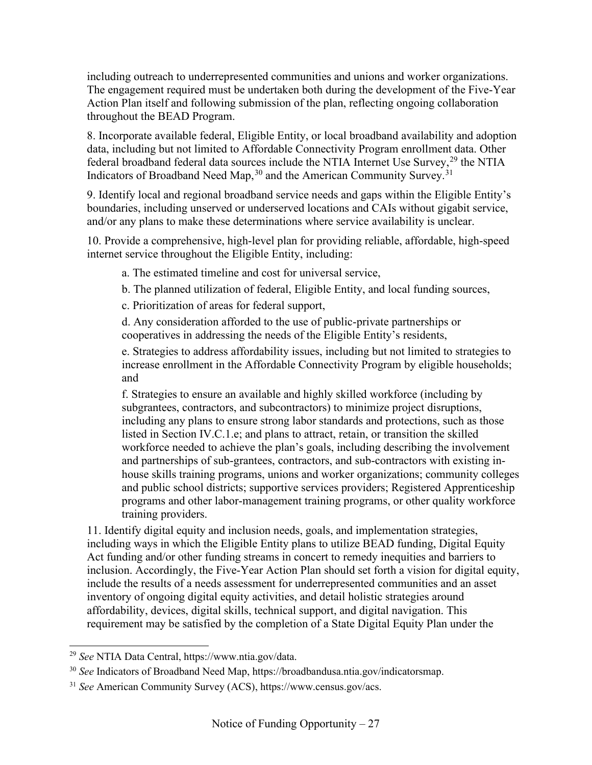including outreach to underrepresented communities and unions and worker organizations. The engagement required must be undertaken both during the development of the Five-Year Action Plan itself and following submission of the plan, reflecting ongoing collaboration throughout the BEAD Program.

8. Incorporate available federal, Eligible Entity, or local broadband availability and adoption data, including but not limited to Affordable Connectivity Program enrollment data. Other federal broadband federal data sources include the NTIA Internet Use Survey,  $^{29}$  $^{29}$  $^{29}$  the NTIA Indicators of Broadband Need Map,  $30$  and the American Community Survey.  $31$ 

9. Identify local and regional broadband service needs and gaps within the Eligible Entity's boundaries, including unserved or underserved locations and CAIs without gigabit service, and/or any plans to make these determinations where service availability is unclear.

10. Provide a comprehensive, high-level plan for providing reliable, affordable, high-speed internet service throughout the Eligible Entity, including:

a. The estimated timeline and cost for universal service,

b. The planned utilization of federal, Eligible Entity, and local funding sources,

c. Prioritization of areas for federal support,

d. Any consideration afforded to the use of public-private partnerships or cooperatives in addressing the needs of the Eligible Entity's residents,

e. Strategies to address affordability issues, including but not limited to strategies to increase enrollment in the Affordable Connectivity Program by eligible households; and

f. Strategies to ensure an available and highly skilled workforce (including by subgrantees, contractors, and subcontractors) to minimize project disruptions, including any plans to ensure strong labor standards and protections, such as those listed in Section [IV.C.1.e;](#page-55-0) and plans to attract, retain, or transition the skilled workforce needed to achieve the plan's goals, including describing the involvement and partnerships of sub-grantees, contractors, and sub-contractors with existing inhouse skills training programs, unions and worker organizations; community colleges and public school districts; supportive services providers; Registered Apprenticeship programs and other labor-management training programs, or other quality workforce training providers.

11. Identify digital equity and inclusion needs, goals, and implementation strategies, including ways in which the Eligible Entity plans to utilize BEAD funding, Digital Equity Act funding and/or other funding streams in concert to remedy inequities and barriers to inclusion. Accordingly, the Five-Year Action Plan should set forth a vision for digital equity, include the results of a needs assessment for underrepresented communities and an asset inventory of ongoing digital equity activities, and detail holistic strategies around affordability, devices, digital skills, technical support, and digital navigation. This requirement may be satisfied by the completion of a State Digital Equity Plan under the

<span id="page-26-0"></span><sup>29</sup> *See* NTIA Data Central, https://www.ntia.gov/data.

<span id="page-26-1"></span><sup>30</sup> *See* Indicators of Broadband Need Map, https://broadbandusa.ntia.gov/indicatorsmap.

<span id="page-26-2"></span><sup>31</sup> *See* American Community Survey (ACS), https://www.census.gov/acs.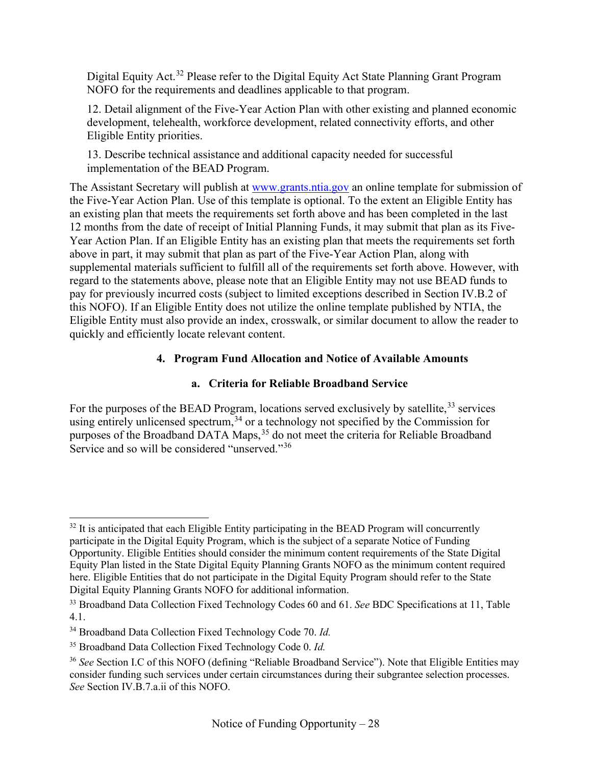Digital Equity Act.<sup>[32](#page-27-0)</sup> Please refer to the Digital Equity Act State Planning Grant Program NOFO for the requirements and deadlines applicable to that program.

12. Detail alignment of the Five-Year Action Plan with other existing and planned economic development, telehealth, workforce development, related connectivity efforts, and other Eligible Entity priorities.

13. Describe technical assistance and additional capacity needed for successful implementation of the BEAD Program.

The Assistant Secretary will publish at [www.grants.ntia.gov](http://www.grants.ntia.gov/) an online template for submission of the Five-Year Action Plan. Use of this template is optional. To the extent an Eligible Entity has an existing plan that meets the requirements set forth above and has been completed in the last 12 months from the date of receipt of Initial Planning Funds, it may submit that plan as its Five-Year Action Plan. If an Eligible Entity has an existing plan that meets the requirements set forth above in part, it may submit that plan as part of the Five-Year Action Plan, along with supplemental materials sufficient to fulfill all of the requirements set forth above. However, with regard to the statements above, please note that an Eligible Entity may not use BEAD funds to pay for previously incurred costs (subject to limited exceptions described in Section [IV.B.2](#page-23-0) of this NOFO). If an Eligible Entity does not utilize the online template published by NTIA, the Eligible Entity must also provide an index, crosswalk, or similar document to allow the reader to quickly and efficiently locate relevant content.

## **4. Program Fund Allocation and Notice of Available Amounts**

## **a. Criteria for Reliable Broadband Service**

For the purposes of the BEAD Program, locations served exclusively by satellite,<sup>[33](#page-27-1)</sup> services using entirely unlicensed spectrum,  $34$  or a technology not specified by the Commission for purposes of the Broadband DATA Maps,<sup>[35](#page-27-3)</sup> do not meet the criteria for Reliable Broadband Service and so will be considered "unserved."<sup>[36](#page-27-4)</sup>

<span id="page-27-0"></span> $32$  It is anticipated that each Eligible Entity participating in the BEAD Program will concurrently participate in the Digital Equity Program, which is the subject of a separate Notice of Funding Opportunity. Eligible Entities should consider the minimum content requirements of the State Digital Equity Plan listed in the State Digital Equity Planning Grants NOFO as the minimum content required here. Eligible Entities that do not participate in the Digital Equity Program should refer to the State Digital Equity Planning Grants NOFO for additional information.

<span id="page-27-1"></span><sup>33</sup> Broadband Data Collection Fixed Technology Codes 60 and 61. *See* BDC Specifications at 11, Table 4.1.

<span id="page-27-2"></span><sup>34</sup> Broadband Data Collection Fixed Technology Code 70. *Id.*

<span id="page-27-3"></span><sup>35</sup> Broadband Data Collection Fixed Technology Code 0. *Id.*

<span id="page-27-4"></span><sup>&</sup>lt;sup>36</sup> See Section [I.C](#page-10-0) of this NOFO (defining "Reliable Broadband Service"). Note that Eligible Entities may consider funding such services under certain circumstances during their subgrantee selection processes. *See* Section [IV.B.7.a.ii](#page-35-0) of this NOFO.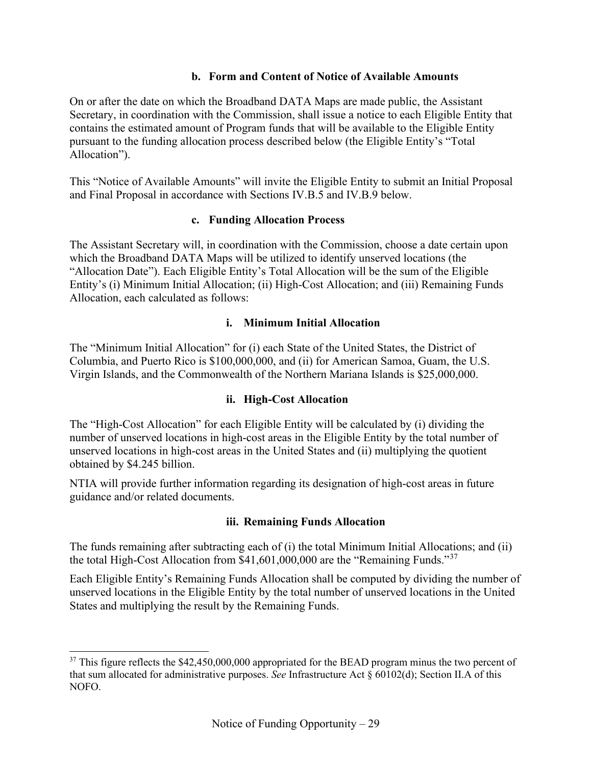#### **b. Form and Content of Notice of Available Amounts**

<span id="page-28-0"></span>On or after the date on which the Broadband DATA Maps are made public, the Assistant Secretary, in coordination with the Commission, shall issue a notice to each Eligible Entity that contains the estimated amount of Program funds that will be available to the Eligible Entity pursuant to the funding allocation process described below (the Eligible Entity's "Total Allocation").

<span id="page-28-1"></span>This "Notice of Available Amounts" will invite the Eligible Entity to submit an Initial Proposal and Final Proposal in accordance with Sections [IV.B.5](#page-29-0) and [IV.B.9](#page-45-1) below.

#### **c. Funding Allocation Process**

The Assistant Secretary will, in coordination with the Commission, choose a date certain upon which the Broadband DATA Maps will be utilized to identify unserved locations (the "Allocation Date"). Each Eligible Entity's Total Allocation will be the sum of the Eligible Entity's (i) Minimum Initial Allocation; (ii) High-Cost Allocation; and (iii) Remaining Funds Allocation, each calculated as follows:

#### **i. Minimum Initial Allocation**

The "Minimum Initial Allocation" for (i) each State of the United States, the District of Columbia, and Puerto Rico is \$100,000,000, and (ii) for American Samoa, Guam, the U.S. Virgin Islands, and the Commonwealth of the Northern Mariana Islands is \$25,000,000.

#### **ii. High-Cost Allocation**

The "High-Cost Allocation" for each Eligible Entity will be calculated by (i) dividing the number of unserved locations in high-cost areas in the Eligible Entity by the total number of unserved locations in high-cost areas in the United States and (ii) multiplying the quotient obtained by \$4.245 billion.

NTIA will provide further information regarding its designation of high-cost areas in future guidance and/or related documents.

#### **iii. Remaining Funds Allocation**

The funds remaining after subtracting each of (i) the total Minimum Initial Allocations; and (ii) the total High-Cost Allocation from \$41,601,000,000 are the "Remaining Funds."[37](#page-28-2)

Each Eligible Entity's Remaining Funds Allocation shall be computed by dividing the number of unserved locations in the Eligible Entity by the total number of unserved locations in the United States and multiplying the result by the Remaining Funds.

<span id="page-28-2"></span><sup>&</sup>lt;sup>37</sup> This figure reflects the \$42,450,000,000 appropriated for the BEAD program minus the two percent of that sum allocated for administrative purposes. *See* Infrastructure Act § 60102(d); Section [II.A](#page-16-1) of this NOFO.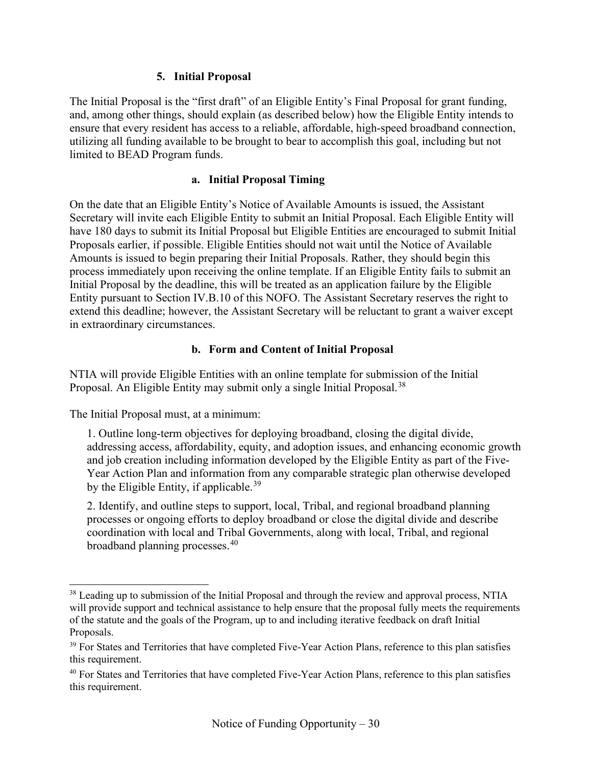#### **5. Initial Proposal**

<span id="page-29-0"></span>The Initial Proposal is the "first draft" of an Eligible Entity's Final Proposal for grant funding, and, among other things, should explain (as described below) how the Eligible Entity intends to ensure that every resident has access to a reliable, affordable, high-speed broadband connection, utilizing all funding available to be brought to bear to accomplish this goal, including but not limited to BEAD Program funds.

#### **a. Initial Proposal Timing**

On the date that an Eligible Entity's Notice of Available Amounts is issued, the Assistant Secretary will invite each Eligible Entity to submit an Initial Proposal. Each Eligible Entity will have 180 days to submit its Initial Proposal but Eligible Entities are encouraged to submit Initial Proposals earlier, if possible. Eligible Entities should not wait until the Notice of Available Amounts is issued to begin preparing their Initial Proposals. Rather, they should begin this process immediately upon receiving the online template. If an Eligible Entity fails to submit an Initial Proposal by the deadline, this will be treated as an application failure by the Eligible Entity pursuant to Section [IV.B.10](#page-49-1) of this NOFO. The Assistant Secretary reserves the right to extend this deadline; however, the Assistant Secretary will be reluctant to grant a waiver except in extraordinary circumstances.

#### **b. Form and Content of Initial Proposal**

NTIA will provide Eligible Entities with an online template for submission of the Initial Proposal. An Eligible Entity may submit only a single Initial Proposal.<sup>[38](#page-29-1)</sup>

The Initial Proposal must, at a minimum:

1. Outline long-term objectives for deploying broadband, closing the digital divide, addressing access, affordability, equity, and adoption issues, and enhancing economic growth and job creation including information developed by the Eligible Entity as part of the Five-Year Action Plan and information from any comparable strategic plan otherwise developed by the Eligible Entity, if applicable.<sup>[39](#page-29-2)</sup>

2. Identify, and outline steps to support, local, Tribal, and regional broadband planning processes or ongoing efforts to deploy broadband or close the digital divide and describe coordination with local and Tribal Governments, along with local, Tribal, and regional broadband planning processes.<sup>[40](#page-29-3)</sup>

<span id="page-29-1"></span><sup>&</sup>lt;sup>38</sup> Leading up to submission of the Initial Proposal and through the review and approval process, NTIA will provide support and technical assistance to help ensure that the proposal fully meets the requirements of the statute and the goals of the Program, up to and including iterative feedback on draft Initial Proposals.

<span id="page-29-2"></span><sup>&</sup>lt;sup>39</sup> For States and Territories that have completed Five-Year Action Plans, reference to this plan satisfies this requirement.

<span id="page-29-3"></span><sup>&</sup>lt;sup>40</sup> For States and Territories that have completed Five-Year Action Plans, reference to this plan satisfies this requirement.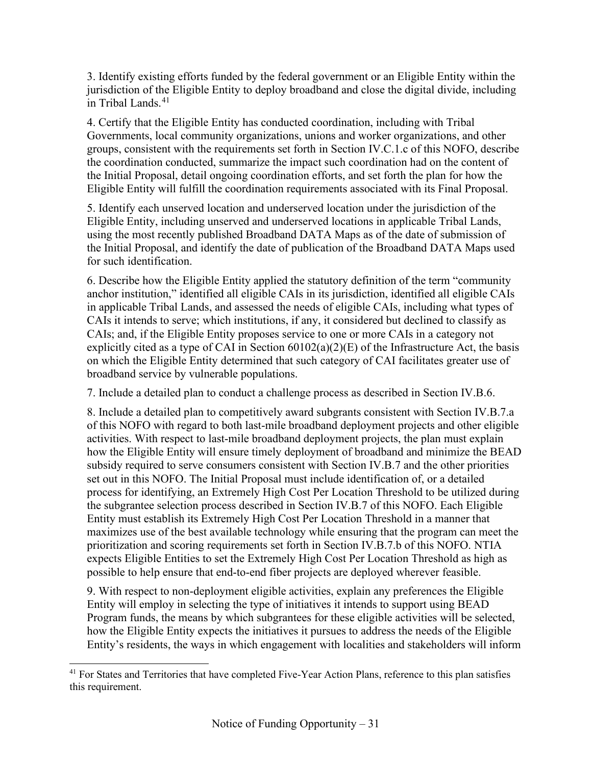3. Identify existing efforts funded by the federal government or an Eligible Entity within the jurisdiction of the Eligible Entity to deploy broadband and close the digital divide, including in Tribal Lands. [41](#page-30-0)

4. Certify that the Eligible Entity has conducted coordination, including with Tribal Governments, local community organizations, unions and worker organizations, and other groups, consistent with the requirements set forth in Section [IV.C.1.c](#page-50-0) of this NOFO, describe the coordination conducted, summarize the impact such coordination had on the content of the Initial Proposal, detail ongoing coordination efforts, and set forth the plan for how the Eligible Entity will fulfill the coordination requirements associated with its Final Proposal.

5. Identify each unserved location and underserved location under the jurisdiction of the Eligible Entity, including unserved and underserved locations in applicable Tribal Lands, using the most recently published Broadband DATA Maps as of the date of submission of the Initial Proposal, and identify the date of publication of the Broadband DATA Maps used for such identification.

6. Describe how the Eligible Entity applied the statutory definition of the term "community anchor institution," identified all eligible CAIs in its jurisdiction, identified all eligible CAIs in applicable Tribal Lands, and assessed the needs of eligible CAIs, including what types of CAIs it intends to serve; which institutions, if any, it considered but declined to classify as CAIs; and, if the Eligible Entity proposes service to one or more CAIs in a category not explicitly cited as a type of CAI in Section  $60102(a)(2)(E)$  of the Infrastructure Act, the basis on which the Eligible Entity determined that such category of CAI facilitates greater use of broadband service by vulnerable populations.

7. Include a detailed plan to conduct a challenge process as described in Section [IV.B.6.](#page-33-0)

8. Include a detailed plan to competitively award subgrants consistent with Section [IV.B.7.a](#page-34-1) of this NOFO with regard to both last-mile broadband deployment projects and other eligible activities. With respect to last-mile broadband deployment projects, the plan must explain how the Eligible Entity will ensure timely deployment of broadband and minimize the BEAD subsidy required to serve consumers consistent with Section [IV.B.7](#page-34-0) and the other priorities set out in this NOFO. The Initial Proposal must include identification of, or a detailed process for identifying, an Extremely High Cost Per Location Threshold to be utilized during the subgrantee selection process described in Section [IV.B.7](#page-34-0) of this NOFO. Each Eligible Entity must establish its Extremely High Cost Per Location Threshold in a manner that maximizes use of the best available technology while ensuring that the program can meet the prioritization and scoring requirements set forth in Section [IV.B.7.b](#page-39-0) of this NOFO. NTIA expects Eligible Entities to set the Extremely High Cost Per Location Threshold as high as possible to help ensure that end-to-end fiber projects are deployed wherever feasible.

9. With respect to non-deployment eligible activities, explain any preferences the Eligible Entity will employ in selecting the type of initiatives it intends to support using BEAD Program funds, the means by which subgrantees for these eligible activities will be selected, how the Eligible Entity expects the initiatives it pursues to address the needs of the Eligible Entity's residents, the ways in which engagement with localities and stakeholders will inform

<span id="page-30-0"></span><sup>&</sup>lt;sup>41</sup> For States and Territories that have completed Five-Year Action Plans, reference to this plan satisfies this requirement.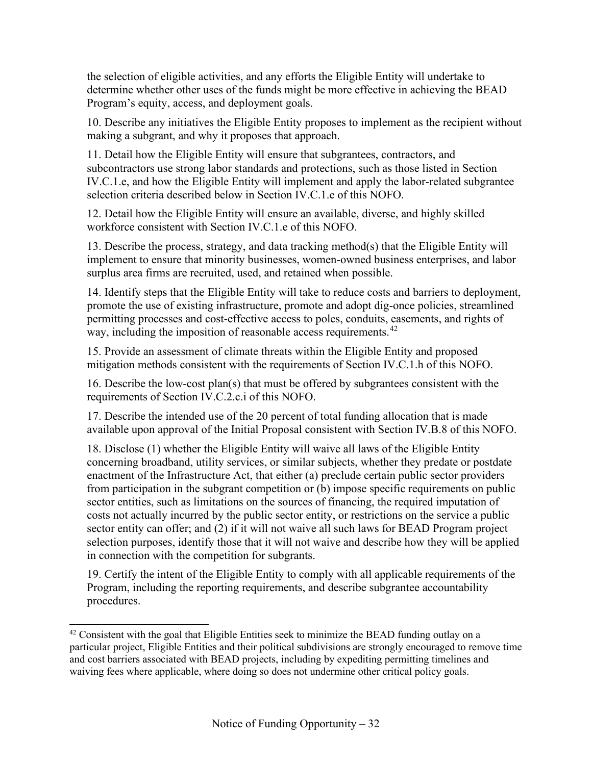the selection of eligible activities, and any efforts the Eligible Entity will undertake to determine whether other uses of the funds might be more effective in achieving the BEAD Program's equity, access, and deployment goals.

10. Describe any initiatives the Eligible Entity proposes to implement as the recipient without making a subgrant, and why it proposes that approach.

11. Detail how the Eligible Entity will ensure that subgrantees, contractors, and subcontractors use strong labor standards and protections, such as those listed in Section [IV.C.1.e,](#page-55-0) and how the Eligible Entity will implement and apply the labor-related subgrantee selection criteria described below in Section [IV.C.1.e](#page-55-0) of this NOFO.

12. Detail how the Eligible Entity will ensure an available, diverse, and highly skilled workforce consistent with Section [IV.C.1.e](#page-55-0) of this NOFO.

13. Describe the process, strategy, and data tracking method(s) that the Eligible Entity will implement to ensure that minority businesses, women-owned business enterprises, and labor surplus area firms are recruited, used, and retained when possible.

14. Identify steps that the Eligible Entity will take to reduce costs and barriers to deployment, promote the use of existing infrastructure, promote and adopt dig-once policies, streamlined permitting processes and cost-effective access to poles, conduits, easements, and rights of way, including the imposition of reasonable access requirements.<sup>[42](#page-31-0)</sup>

15. Provide an assessment of climate threats within the Eligible Entity and proposed mitigation methods consistent with the requirements of Section [IV.C.1.h](#page-61-0) of this NOFO.

16. Describe the low-cost plan(s) that must be offered by subgrantees consistent with the requirements of Section [IV.C.2.c.i](#page-65-0) of this NOFO.

17. Describe the intended use of the 20 percent of total funding allocation that is made available upon approval of the Initial Proposal consistent with Section [IV.B.8](#page-45-0) of this NOFO.

18. Disclose (1) whether the Eligible Entity will waive all laws of the Eligible Entity concerning broadband, utility services, or similar subjects, whether they predate or postdate enactment of the Infrastructure Act, that either (a) preclude certain public sector providers from participation in the subgrant competition or (b) impose specific requirements on public sector entities, such as limitations on the sources of financing, the required imputation of costs not actually incurred by the public sector entity, or restrictions on the service a public sector entity can offer; and (2) if it will not waive all such laws for BEAD Program project selection purposes, identify those that it will not waive and describe how they will be applied in connection with the competition for subgrants.

19. Certify the intent of the Eligible Entity to comply with all applicable requirements of the Program, including the reporting requirements, and describe subgrantee accountability procedures.

<span id="page-31-0"></span> $42$  Consistent with the goal that Eligible Entities seek to minimize the BEAD funding outlay on a particular project, Eligible Entities and their political subdivisions are strongly encouraged to remove time and cost barriers associated with BEAD projects, including by expediting permitting timelines and waiving fees where applicable, where doing so does not undermine other critical policy goals.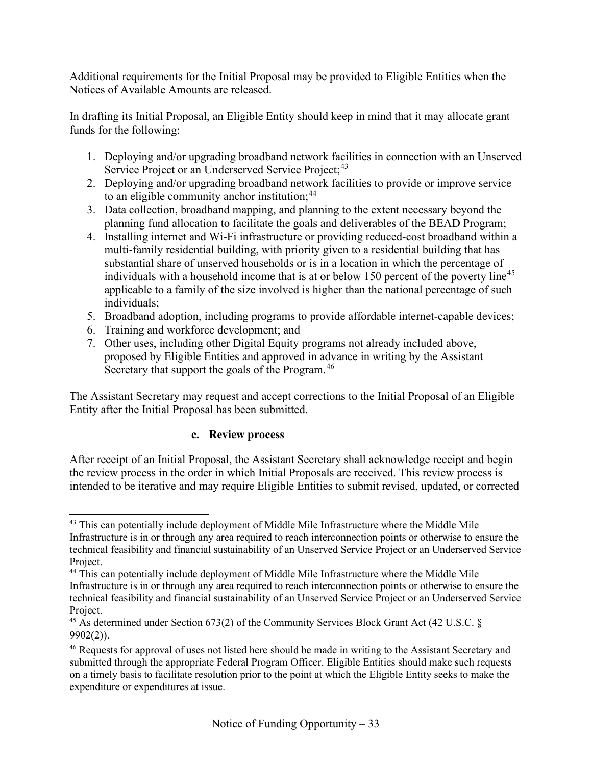Additional requirements for the Initial Proposal may be provided to Eligible Entities when the Notices of Available Amounts are released.

In drafting its Initial Proposal, an Eligible Entity should keep in mind that it may allocate grant funds for the following:

- 1. Deploying and/or upgrading broadband network facilities in connection with an Unserved Service Project or an Underserved Service Project;<sup>[43](#page-32-0)</sup>
- 2. Deploying and/or upgrading broadband network facilities to provide or improve service to an eligible community anchor institution;<sup>[44](#page-32-1)</sup>
- 3. Data collection, broadband mapping, and planning to the extent necessary beyond the planning fund allocation to facilitate the goals and deliverables of the BEAD Program;
- 4. Installing internet and Wi-Fi infrastructure or providing reduced-cost broadband within a multi-family residential building, with priority given to a residential building that has substantial share of unserved households or is in a location in which the percentage of individuals with a household income that is at or below 150 percent of the poverty line<sup>[45](#page-32-2)</sup> applicable to a family of the size involved is higher than the national percentage of such individuals;
- 5. Broadband adoption, including programs to provide affordable internet-capable devices;
- 6. Training and workforce development; and
- 7. Other uses, including other Digital Equity programs not already included above, proposed by Eligible Entities and approved in advance in writing by the Assistant Secretary that support the goals of the Program.<sup>[46](#page-32-3)</sup>

<span id="page-32-4"></span>The Assistant Secretary may request and accept corrections to the Initial Proposal of an Eligible Entity after the Initial Proposal has been submitted.

#### **c. Review process**

After receipt of an Initial Proposal, the Assistant Secretary shall acknowledge receipt and begin the review process in the order in which Initial Proposals are received. This review process is intended to be iterative and may require Eligible Entities to submit revised, updated, or corrected

<span id="page-32-0"></span> $43$  This can potentially include deployment of Middle Mile Infrastructure where the Middle Mile Infrastructure is in or through any area required to reach interconnection points or otherwise to ensure the technical feasibility and financial sustainability of an Unserved Service Project or an Underserved Service Project.

<span id="page-32-1"></span><sup>&</sup>lt;sup>44</sup> This can potentially include deployment of Middle Mile Infrastructure where the Middle Mile Infrastructure is in or through any area required to reach interconnection points or otherwise to ensure the technical feasibility and financial sustainability of an Unserved Service Project or an Underserved Service Project.

<span id="page-32-2"></span><sup>&</sup>lt;sup>45</sup> As determined under Section 673(2) of the Community Services Block Grant Act (42 U.S.C. § 9902(2)).

<span id="page-32-3"></span><sup>46</sup> Requests for approval of uses not listed here should be made in writing to the Assistant Secretary and submitted through the appropriate Federal Program Officer. Eligible Entities should make such requests on a timely basis to facilitate resolution prior to the point at which the Eligible Entity seeks to make the expenditure or expenditures at issue.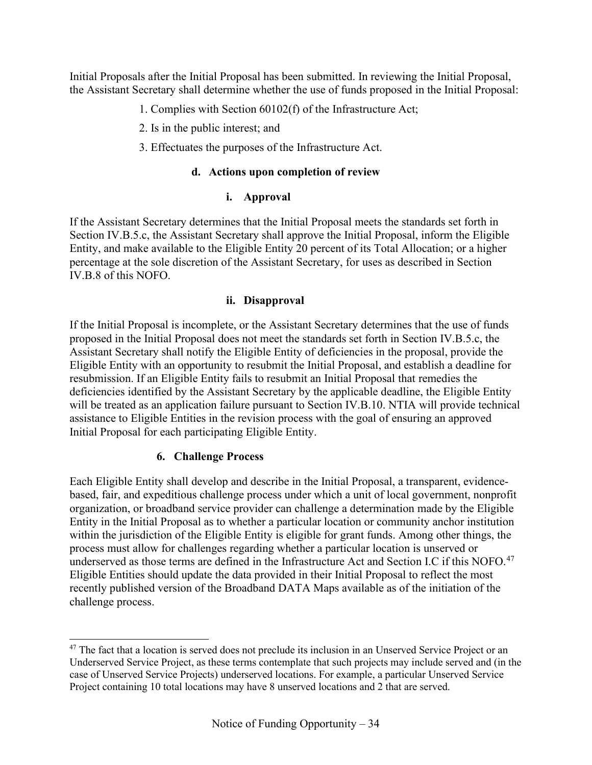Initial Proposals after the Initial Proposal has been submitted. In reviewing the Initial Proposal, the Assistant Secretary shall determine whether the use of funds proposed in the Initial Proposal:

- 1. Complies with Section 60102(f) of the Infrastructure Act;
- 2. Is in the public interest; and
- 3. Effectuates the purposes of the Infrastructure Act.

#### **d. Actions upon completion of review**

## **i. Approval**

If the Assistant Secretary determines that the Initial Proposal meets the standards set forth in Section [IV.B.5.c,](#page-32-4) the Assistant Secretary shall approve the Initial Proposal, inform the Eligible Entity, and make available to the Eligible Entity 20 percent of its Total Allocation; or a higher percentage at the sole discretion of the Assistant Secretary, for uses as described in Section [IV.B.8](#page-45-0) of this NOFO.

## **ii. Disapproval**

If the Initial Proposal is incomplete, or the Assistant Secretary determines that the use of funds proposed in the Initial Proposal does not meet the standards set forth in Section [IV.B.5.c,](#page-32-4) the Assistant Secretary shall notify the Eligible Entity of deficiencies in the proposal, provide the Eligible Entity with an opportunity to resubmit the Initial Proposal, and establish a deadline for resubmission. If an Eligible Entity fails to resubmit an Initial Proposal that remedies the deficiencies identified by the Assistant Secretary by the applicable deadline, the Eligible Entity will be treated as an application failure pursuant to Section [IV.B.10.](#page-49-1) NTIA will provide technical assistance to Eligible Entities in the revision process with the goal of ensuring an approved Initial Proposal for each participating Eligible Entity.

## **6. Challenge Process**

<span id="page-33-0"></span>Each Eligible Entity shall develop and describe in the Initial Proposal, a transparent, evidencebased, fair, and expeditious challenge process under which a unit of local government, nonprofit organization, or broadband service provider can challenge a determination made by the Eligible Entity in the Initial Proposal as to whether a particular location or community anchor institution within the jurisdiction of the Eligible Entity is eligible for grant funds. Among other things, the process must allow for challenges regarding whether a particular location is unserved or underserved as those terms are defined in the Infrastructure Act and Section I.C if this NOFO.<sup>[47](#page-33-1)</sup> Eligible Entities should update the data provided in their Initial Proposal to reflect the most recently published version of the Broadband DATA Maps available as of the initiation of the challenge process.

<span id="page-33-1"></span><sup>&</sup>lt;sup>47</sup> The fact that a location is served does not preclude its inclusion in an Unserved Service Project or an Underserved Service Project, as these terms contemplate that such projects may include served and (in the case of Unserved Service Projects) underserved locations. For example, a particular Unserved Service Project containing 10 total locations may have 8 unserved locations and 2 that are served.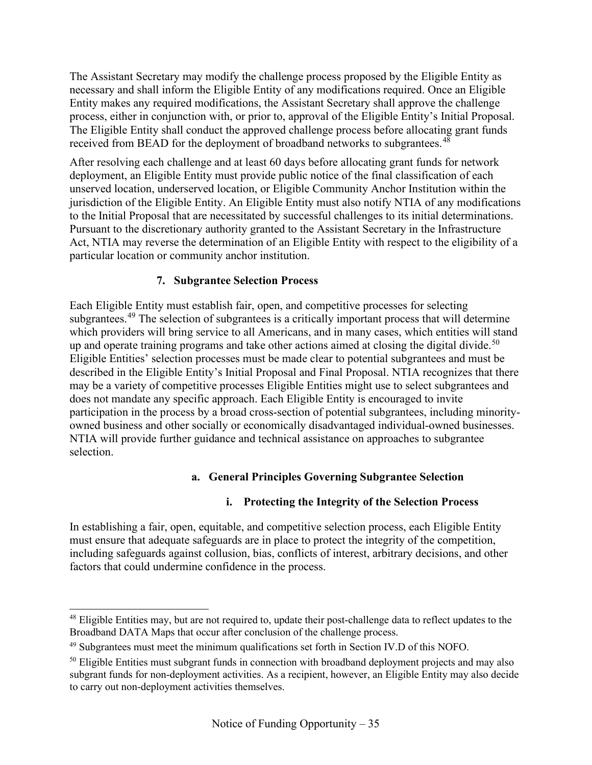The Assistant Secretary may modify the challenge process proposed by the Eligible Entity as necessary and shall inform the Eligible Entity of any modifications required. Once an Eligible Entity makes any required modifications, the Assistant Secretary shall approve the challenge process, either in conjunction with, or prior to, approval of the Eligible Entity's Initial Proposal. The Eligible Entity shall conduct the approved challenge process before allocating grant funds received from BEAD for the deployment of broadband networks to subgrantees.<sup>[48](#page-34-2)</sup>

After resolving each challenge and at least 60 days before allocating grant funds for network deployment, an Eligible Entity must provide public notice of the final classification of each unserved location, underserved location, or Eligible Community Anchor Institution within the jurisdiction of the Eligible Entity. An Eligible Entity must also notify NTIA of any modifications to the Initial Proposal that are necessitated by successful challenges to its initial determinations. Pursuant to the discretionary authority granted to the Assistant Secretary in the Infrastructure Act, NTIA may reverse the determination of an Eligible Entity with respect to the eligibility of a particular location or community anchor institution.

## **7. Subgrantee Selection Process**

<span id="page-34-0"></span>Each Eligible Entity must establish fair, open, and competitive processes for selecting subgrantees.<sup>[49](#page-34-3)</sup> The selection of subgrantees is a critically important process that will determine which providers will bring service to all Americans, and in many cases, which entities will stand up and operate training programs and take other actions aimed at closing the digital divide.<sup>[50](#page-34-4)</sup> Eligible Entities' selection processes must be made clear to potential subgrantees and must be described in the Eligible Entity's Initial Proposal and Final Proposal. NTIA recognizes that there may be a variety of competitive processes Eligible Entities might use to select subgrantees and does not mandate any specific approach. Each Eligible Entity is encouraged to invite participation in the process by a broad cross-section of potential subgrantees, including minorityowned business and other socially or economically disadvantaged individual-owned businesses. NTIA will provide further guidance and technical assistance on approaches to subgrantee selection.

## **a. General Principles Governing Subgrantee Selection**

## **i. Protecting the Integrity of the Selection Process**

<span id="page-34-1"></span>In establishing a fair, open, equitable, and competitive selection process, each Eligible Entity must ensure that adequate safeguards are in place to protect the integrity of the competition, including safeguards against collusion, bias, conflicts of interest, arbitrary decisions, and other factors that could undermine confidence in the process.

<span id="page-34-2"></span><sup>&</sup>lt;sup>48</sup> Eligible Entities may, but are not required to, update their post-challenge data to reflect updates to the Broadband DATA Maps that occur after conclusion of the challenge process.

<span id="page-34-3"></span><sup>49</sup> Subgrantees must meet the minimum qualifications set forth in Section [IV.D](#page-70-0) of this NOFO.

<span id="page-34-4"></span><sup>&</sup>lt;sup>50</sup> Eligible Entities must subgrant funds in connection with broadband deployment projects and may also subgrant funds for non-deployment activities. As a recipient, however, an Eligible Entity may also decide to carry out non-deployment activities themselves.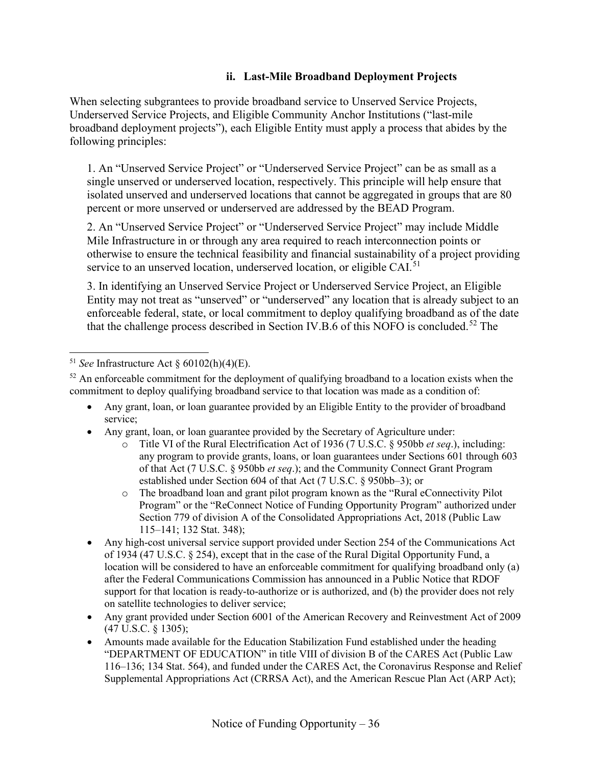#### **ii. Last-Mile Broadband Deployment Projects**

<span id="page-35-0"></span>When selecting subgrantees to provide broadband service to Unserved Service Projects, Underserved Service Projects, and Eligible Community Anchor Institutions ("last-mile broadband deployment projects"), each Eligible Entity must apply a process that abides by the following principles:

1. An "Unserved Service Project" or "Underserved Service Project" can be as small as a single unserved or underserved location, respectively. This principle will help ensure that isolated unserved and underserved locations that cannot be aggregated in groups that are 80 percent or more unserved or underserved are addressed by the BEAD Program.

2. An "Unserved Service Project" or "Underserved Service Project" may include Middle Mile Infrastructure in or through any area required to reach interconnection points or otherwise to ensure the technical feasibility and financial sustainability of a project providing service to an unserved location, underserved location, or eligible CAI.<sup>[51](#page-35-1)</sup>

3. In identifying an Unserved Service Project or Underserved Service Project, an Eligible Entity may not treat as "unserved" or "underserved" any location that is already subject to an enforceable federal, state, or local commitment to deploy qualifying broadband as of the date that the challenge process described in Section [IV.B.6](#page-33-0) of this NOFO is concluded.<sup>[52](#page-35-2)</sup> The

- Any grant, loan, or loan guarantee provided by an Eligible Entity to the provider of broadband service;
- Any grant, loan, or loan guarantee provided by the Secretary of Agriculture under:
	- o Title VI of the Rural Electrification Act of 1936 (7 U.S.C. § 950bb *et seq*.), including: any program to provide grants, loans, or loan guarantees under Sections 601 through 603 of that Act (7 U.S.C. § 950bb *et seq*.); and the Community Connect Grant Program established under Section 604 of that Act (7 U.S.C. § 950bb–3); or
	- o The broadband loan and grant pilot program known as the "Rural eConnectivity Pilot Program" or the "ReConnect Notice of Funding Opportunity Program" authorized under Section 779 of division A of the Consolidated Appropriations Act, 2018 (Public Law 115–141; 132 Stat. 348);
- Any high-cost universal service support provided under Section 254 of the Communications Act of 1934 (47 U.S.C. § 254), except that in the case of the Rural Digital Opportunity Fund, a location will be considered to have an enforceable commitment for qualifying broadband only (a) after the Federal Communications Commission has announced in a Public Notice that RDOF support for that location is ready-to-authorize or is authorized, and (b) the provider does not rely on satellite technologies to deliver service;
- Any grant provided under Section 6001 of the American Recovery and Reinvestment Act of 2009 (47 U.S.C. § 1305);
- Amounts made available for the Education Stabilization Fund established under the heading "DEPARTMENT OF EDUCATION" in title VIII of division B of the CARES Act (Public Law 116–136; 134 Stat. 564), and funded under the CARES Act, the Coronavirus Response and Relief Supplemental Appropriations Act (CRRSA Act), and the American Rescue Plan Act (ARP Act);

<span id="page-35-1"></span><sup>51</sup> *See* Infrastructure Act § 60102(h)(4)(E).

<span id="page-35-2"></span> $52$  An enforceable commitment for the deployment of qualifying broadband to a location exists when the commitment to deploy qualifying broadband service to that location was made as a condition of: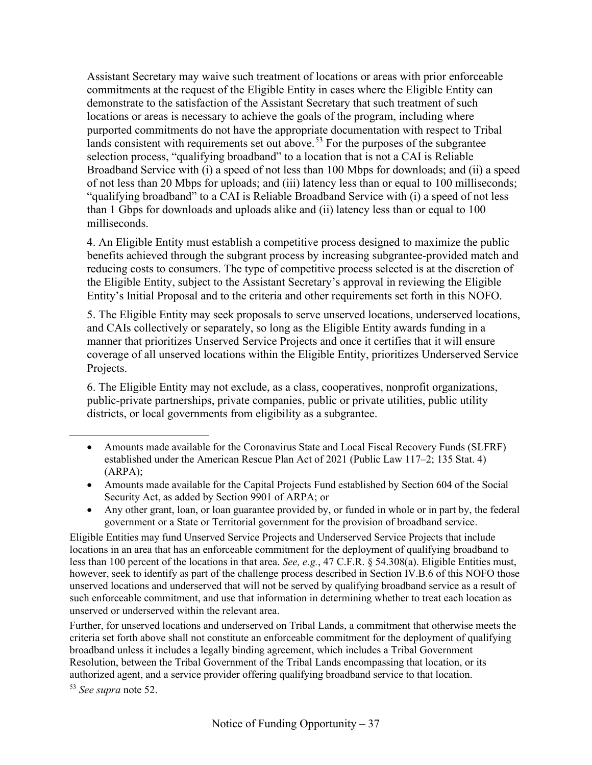Assistant Secretary may waive such treatment of locations or areas with prior enforceable commitments at the request of the Eligible Entity in cases where the Eligible Entity can demonstrate to the satisfaction of the Assistant Secretary that such treatment of such locations or areas is necessary to achieve the goals of the program, including where purported commitments do not have the appropriate documentation with respect to Tribal lands consistent with requirements set out above.<sup>[53](#page-36-0)</sup> For the purposes of the subgrantee selection process, "qualifying broadband" to a location that is not a CAI is Reliable Broadband Service with (i) a speed of not less than 100 Mbps for downloads; and (ii) a speed of not less than 20 Mbps for uploads; and (iii) latency less than or equal to 100 milliseconds; "qualifying broadband" to a CAI is Reliable Broadband Service with (i) a speed of not less than 1 Gbps for downloads and uploads alike and (ii) latency less than or equal to 100 milliseconds.

4. An Eligible Entity must establish a competitive process designed to maximize the public benefits achieved through the subgrant process by increasing subgrantee-provided match and reducing costs to consumers. The type of competitive process selected is at the discretion of the Eligible Entity, subject to the Assistant Secretary's approval in reviewing the Eligible Entity's Initial Proposal and to the criteria and other requirements set forth in this NOFO.

5. The Eligible Entity may seek proposals to serve unserved locations, underserved locations, and CAIs collectively or separately, so long as the Eligible Entity awards funding in a manner that prioritizes Unserved Service Projects and once it certifies that it will ensure coverage of all unserved locations within the Eligible Entity, prioritizes Underserved Service Projects.

6. The Eligible Entity may not exclude, as a class, cooperatives, nonprofit organizations, public-private partnerships, private companies, public or private utilities, public utility districts, or local governments from eligibility as a subgrantee.

- Amounts made available for the Capital Projects Fund established by Section 604 of the Social Security Act, as added by Section 9901 of ARPA; or
- Any other grant, loan, or loan guarantee provided by, or funded in whole or in part by, the federal government or a State or Territorial government for the provision of broadband service.

Eligible Entities may fund Unserved Service Projects and Underserved Service Projects that include locations in an area that has an enforceable commitment for the deployment of qualifying broadband to less than 100 percent of the locations in that area. *See, e.g.*, 47 C.F.R. § 54.308(a). Eligible Entities must, however, seek to identify as part of the challenge process described in Section [IV.B.6](#page-33-0) of this NOFO those unserved locations and underserved that will not be served by qualifying broadband service as a result of such enforceable commitment, and use that information in determining whether to treat each location as unserved or underserved within the relevant area.

Further, for unserved locations and underserved on Tribal Lands, a commitment that otherwise meets the criteria set forth above shall not constitute an enforceable commitment for the deployment of qualifying broadband unless it includes a legally binding agreement, which includes a Tribal Government Resolution, between the Tribal Government of the Tribal Lands encompassing that location, or its authorized agent, and a service provider offering qualifying broadband service to that location.

<span id="page-36-0"></span><sup>53</sup> *See supra* note [52.](#page-35-0)

<sup>•</sup> Amounts made available for the Coronavirus State and Local Fiscal Recovery Funds (SLFRF) established under the American Rescue Plan Act of 2021 (Public Law 117–2; 135 Stat. 4) (ARPA);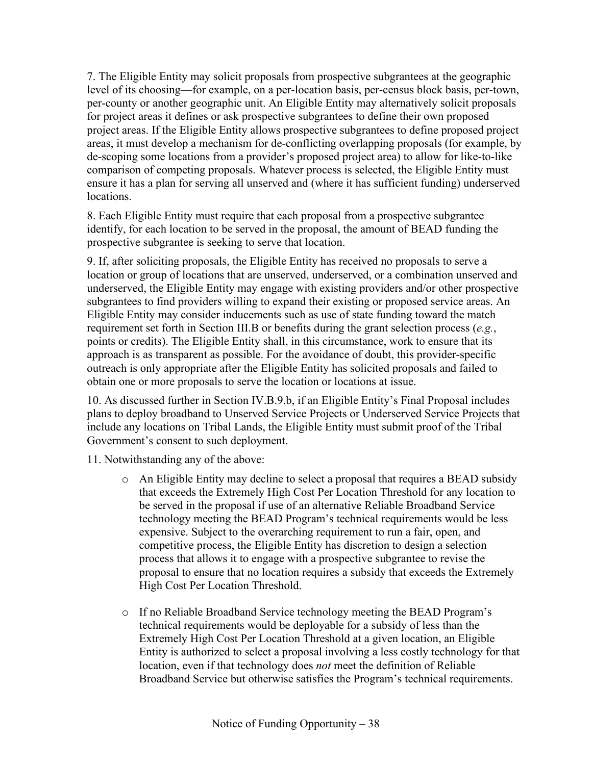7. The Eligible Entity may solicit proposals from prospective subgrantees at the geographic level of its choosing—for example, on a per-location basis, per-census block basis, per-town, per-county or another geographic unit. An Eligible Entity may alternatively solicit proposals for project areas it defines or ask prospective subgrantees to define their own proposed project areas. If the Eligible Entity allows prospective subgrantees to define proposed project areas, it must develop a mechanism for de-conflicting overlapping proposals (for example, by de-scoping some locations from a provider's proposed project area) to allow for like-to-like comparison of competing proposals. Whatever process is selected, the Eligible Entity must ensure it has a plan for serving all unserved and (where it has sufficient funding) underserved locations.

8. Each Eligible Entity must require that each proposal from a prospective subgrantee identify, for each location to be served in the proposal, the amount of BEAD funding the prospective subgrantee is seeking to serve that location.

9. If, after soliciting proposals, the Eligible Entity has received no proposals to serve a location or group of locations that are unserved, underserved, or a combination unserved and underserved, the Eligible Entity may engage with existing providers and/or other prospective subgrantees to find providers willing to expand their existing or proposed service areas. An Eligible Entity may consider inducements such as use of state funding toward the match requirement set forth in Section [III.B](#page-19-0) or benefits during the grant selection process (*e.g.*, points or credits). The Eligible Entity shall, in this circumstance, work to ensure that its approach is as transparent as possible. For the avoidance of doubt, this provider-specific outreach is only appropriate after the Eligible Entity has solicited proposals and failed to obtain one or more proposals to serve the location or locations at issue.

10. As discussed further in Section [IV.B.9.b,](#page-46-0) if an Eligible Entity's Final Proposal includes plans to deploy broadband to Unserved Service Projects or Underserved Service Projects that include any locations on Tribal Lands, the Eligible Entity must submit proof of the Tribal Government's consent to such deployment.

11. Notwithstanding any of the above:

- o An Eligible Entity may decline to select a proposal that requires a BEAD subsidy that exceeds the Extremely High Cost Per Location Threshold for any location to be served in the proposal if use of an alternative Reliable Broadband Service technology meeting the BEAD Program's technical requirements would be less expensive. Subject to the overarching requirement to run a fair, open, and competitive process, the Eligible Entity has discretion to design a selection process that allows it to engage with a prospective subgrantee to revise the proposal to ensure that no location requires a subsidy that exceeds the Extremely High Cost Per Location Threshold.
- o If no Reliable Broadband Service technology meeting the BEAD Program's technical requirements would be deployable for a subsidy of less than the Extremely High Cost Per Location Threshold at a given location, an Eligible Entity is authorized to select a proposal involving a less costly technology for that location, even if that technology does *not* meet the definition of Reliable Broadband Service but otherwise satisfies the Program's technical requirements.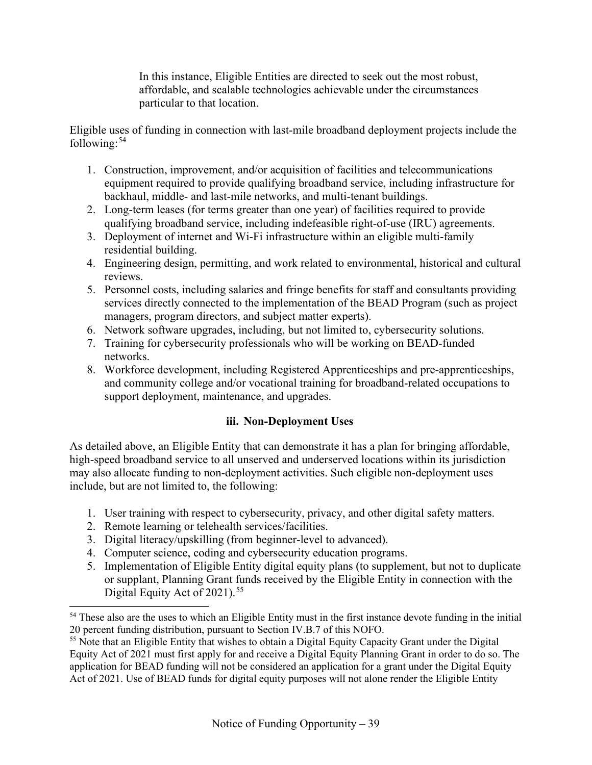In this instance, Eligible Entities are directed to seek out the most robust, affordable, and scalable technologies achievable under the circumstances particular to that location.

Eligible uses of funding in connection with last-mile broadband deployment projects include the following: $54$ 

- 1. Construction, improvement, and/or acquisition of facilities and telecommunications equipment required to provide qualifying broadband service, including infrastructure for backhaul, middle- and last-mile networks, and multi-tenant buildings.
- 2. Long-term leases (for terms greater than one year) of facilities required to provide qualifying broadband service, including indefeasible right-of-use (IRU) agreements.
- 3. Deployment of internet and Wi-Fi infrastructure within an eligible multi-family residential building.
- 4. Engineering design, permitting, and work related to environmental, historical and cultural reviews.
- 5. Personnel costs, including salaries and fringe benefits for staff and consultants providing services directly connected to the implementation of the BEAD Program (such as project managers, program directors, and subject matter experts).
- 6. Network software upgrades, including, but not limited to, cybersecurity solutions.
- 7. Training for cybersecurity professionals who will be working on BEAD-funded networks.
- 8. Workforce development, including Registered Apprenticeships and pre-apprenticeships, and community college and/or vocational training for broadband-related occupations to support deployment, maintenance, and upgrades.

# **iii. Non-Deployment Uses**

<span id="page-38-2"></span>As detailed above, an Eligible Entity that can demonstrate it has a plan for bringing affordable, high-speed broadband service to all unserved and underserved locations within its jurisdiction may also allocate funding to non-deployment activities. Such eligible non-deployment uses include, but are not limited to, the following:

- 1. User training with respect to cybersecurity, privacy, and other digital safety matters.
- 2. Remote learning or telehealth services/facilities.
- 3. Digital literacy/upskilling (from beginner-level to advanced).
- 4. Computer science, coding and cybersecurity education programs.
- 5. Implementation of Eligible Entity digital equity plans (to supplement, but not to duplicate or supplant, Planning Grant funds received by the Eligible Entity in connection with the Digital Equity Act of  $2021$ ).<sup>[55](#page-38-1)</sup>

<span id="page-38-0"></span><sup>&</sup>lt;sup>54</sup> These also are the uses to which an Eligible Entity must in the first instance devote funding in the initial 20 percent funding distribution, pursuant to Sectio[n IV.B.7](#page-45-0) of this NOFO.

<span id="page-38-1"></span><sup>&</sup>lt;sup>55</sup> Note that an Eligible Entity that wishes to obtain a Digital Equity Capacity Grant under the Digital Equity Act of 2021 must first apply for and receive a Digital Equity Planning Grant in order to do so. The application for BEAD funding will not be considered an application for a grant under the Digital Equity Act of 2021. Use of BEAD funds for digital equity purposes will not alone render the Eligible Entity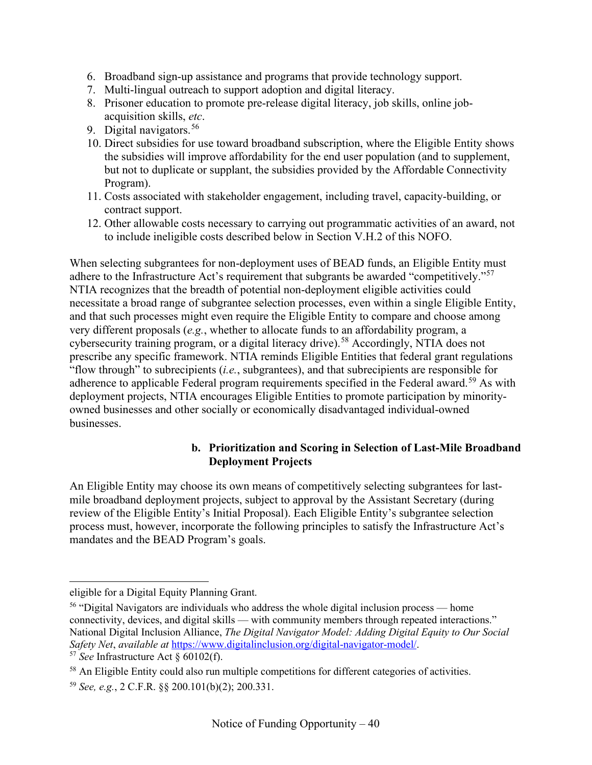- 6. Broadband sign-up assistance and programs that provide technology support.
- 7. Multi-lingual outreach to support adoption and digital literacy.
- 8. Prisoner education to promote pre-release digital literacy, job skills, online jobacquisition skills, *etc*.
- 9. Digital navigators.  $56$
- 10. Direct subsidies for use toward broadband subscription, where the Eligible Entity shows the subsidies will improve affordability for the end user population (and to supplement, but not to duplicate or supplant, the subsidies provided by the Affordable Connectivity Program).
- 11. Costs associated with stakeholder engagement, including travel, capacity-building, or contract support.
- 12. Other allowable costs necessary to carrying out programmatic activities of an award, not to include ineligible costs described below in Section [V.H.2](#page-81-0) of this NOFO.

When selecting subgrantees for non-deployment uses of BEAD funds, an Eligible Entity must adhere to the Infrastructure Act's requirement that subgrants be awarded "competitively."<sup>[57](#page-39-1)</sup> NTIA recognizes that the breadth of potential non-deployment eligible activities could necessitate a broad range of subgrantee selection processes, even within a single Eligible Entity, and that such processes might even require the Eligible Entity to compare and choose among very different proposals (*e.g.*, whether to allocate funds to an affordability program, a cybersecurity training program, or a digital literacy drive).<sup>[58](#page-39-2)</sup> Accordingly, NTIA does not prescribe any specific framework. NTIA reminds Eligible Entities that federal grant regulations "flow through" to subrecipients (*i.e.*, subgrantees), and that subrecipients are responsible for adherence to applicable Federal program requirements specified in the Federal award.<sup>[59](#page-39-3)</sup> As with deployment projects, NTIA encourages Eligible Entities to promote participation by minorityowned businesses and other socially or economically disadvantaged individual-owned businesses.

## **b. Prioritization and Scoring in Selection of Last-Mile Broadband Deployment Projects**

<span id="page-39-4"></span>An Eligible Entity may choose its own means of competitively selecting subgrantees for lastmile broadband deployment projects, subject to approval by the Assistant Secretary (during review of the Eligible Entity's Initial Proposal). Each Eligible Entity's subgrantee selection process must, however, incorporate the following principles to satisfy the Infrastructure Act's mandates and the BEAD Program's goals.

eligible for a Digital Equity Planning Grant.

<span id="page-39-0"></span><sup>&</sup>lt;sup>56</sup> "Digital Navigators are individuals who address the whole digital inclusion process — home connectivity, devices, and digital skills — with community members through repeated interactions." National Digital Inclusion Alliance, *The Digital Navigator Model: Adding Digital Equity to Our Social Safety Net*, *available at* [https://www.digitalinclusion.org/digital-navigator-model/.](https://www.digitalinclusion.org/digital-navigator-model/) 57 *See* Infrastructure Act § 60102(f).

<span id="page-39-1"></span>

<span id="page-39-2"></span><sup>&</sup>lt;sup>58</sup> An Eligible Entity could also run multiple competitions for different categories of activities.

<span id="page-39-3"></span><sup>59</sup> *See, e.g.*, 2 C.F.R. §§ 200.101(b)(2); 200.331.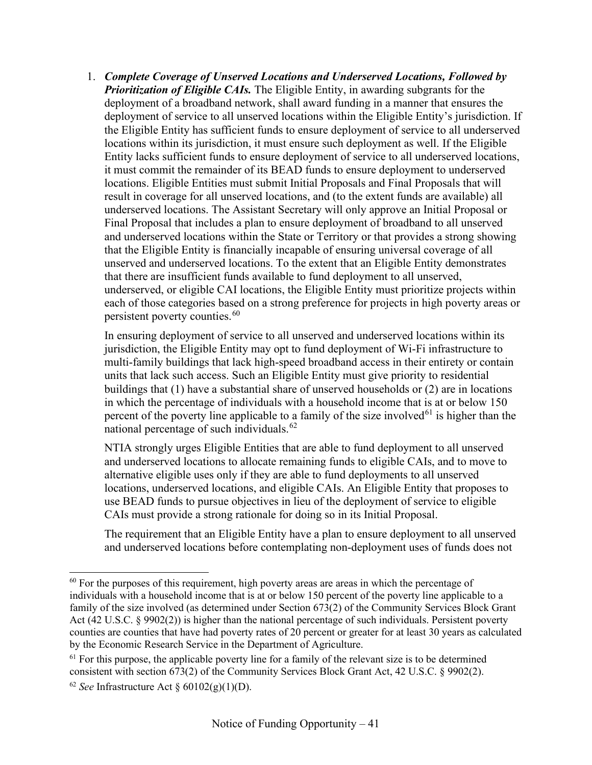1. *Complete Coverage of Unserved Locations and Underserved Locations, Followed by Prioritization of Eligible CAIs.* The Eligible Entity, in awarding subgrants for the deployment of a broadband network, shall award funding in a manner that ensures the deployment of service to all unserved locations within the Eligible Entity's jurisdiction. If the Eligible Entity has sufficient funds to ensure deployment of service to all underserved locations within its jurisdiction, it must ensure such deployment as well. If the Eligible Entity lacks sufficient funds to ensure deployment of service to all underserved locations, it must commit the remainder of its BEAD funds to ensure deployment to underserved locations. Eligible Entities must submit Initial Proposals and Final Proposals that will result in coverage for all unserved locations, and (to the extent funds are available) all underserved locations. The Assistant Secretary will only approve an Initial Proposal or Final Proposal that includes a plan to ensure deployment of broadband to all unserved and underserved locations within the State or Territory or that provides a strong showing that the Eligible Entity is financially incapable of ensuring universal coverage of all unserved and underserved locations. To the extent that an Eligible Entity demonstrates that there are insufficient funds available to fund deployment to all unserved, underserved, or eligible CAI locations, the Eligible Entity must prioritize projects within each of those categories based on a strong preference for projects in high poverty areas or persistent poverty counties.[60](#page-40-0)

In ensuring deployment of service to all unserved and underserved locations within its jurisdiction, the Eligible Entity may opt to fund deployment of Wi-Fi infrastructure to multi-family buildings that lack high-speed broadband access in their entirety or contain units that lack such access. Such an Eligible Entity must give priority to residential buildings that (1) have a substantial share of unserved households or (2) are in locations in which the percentage of individuals with a household income that is at or below 150 percent of the poverty line applicable to a family of the size involved<sup>[61](#page-40-1)</sup> is higher than the national percentage of such individuals.<sup>[62](#page-40-2)</sup>

NTIA strongly urges Eligible Entities that are able to fund deployment to all unserved and underserved locations to allocate remaining funds to eligible CAIs, and to move to alternative eligible uses only if they are able to fund deployments to all unserved locations, underserved locations, and eligible CAIs. An Eligible Entity that proposes to use BEAD funds to pursue objectives in lieu of the deployment of service to eligible CAIs must provide a strong rationale for doing so in its Initial Proposal.

The requirement that an Eligible Entity have a plan to ensure deployment to all unserved and underserved locations before contemplating non-deployment uses of funds does not

<span id="page-40-0"></span> $60$  For the purposes of this requirement, high poverty areas are areas in which the percentage of individuals with a household income that is at or below 150 percent of the poverty line applicable to a family of the size involved (as determined under Section 673(2) of the Community Services Block Grant Act (42 U.S.C. § 9902(2)) is higher than the national percentage of such individuals. Persistent poverty counties are counties that have had poverty rates of 20 percent or greater for at least 30 years as calculated by the Economic Research Service in the Department of Agriculture.

<span id="page-40-1"></span> $61$  For this purpose, the applicable poverty line for a family of the relevant size is to be determined consistent with section 673(2) of the Community Services Block Grant Act, 42 U.S.C. § 9902(2).

<span id="page-40-2"></span><sup>&</sup>lt;sup>62</sup> *See* Infrastructure Act  $\frac{60102(g)(1)(D)}{2}$ .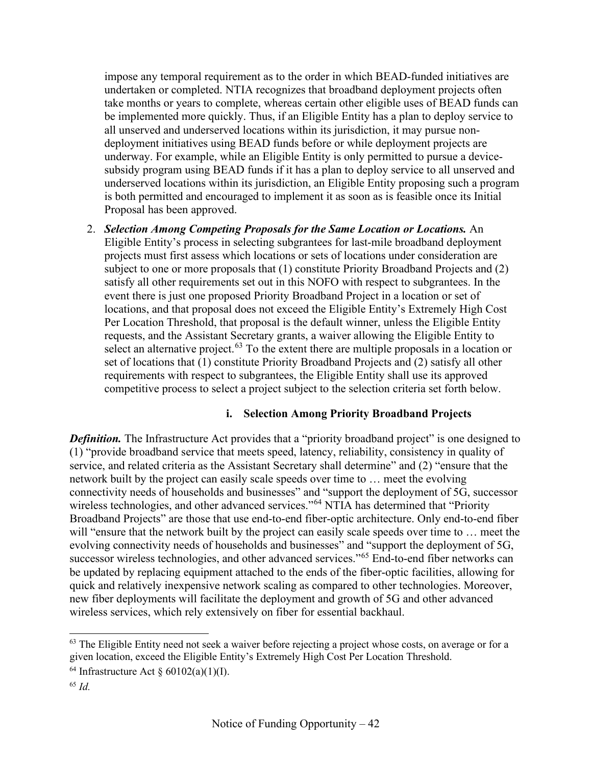impose any temporal requirement as to the order in which BEAD-funded initiatives are undertaken or completed. NTIA recognizes that broadband deployment projects often take months or years to complete, whereas certain other eligible uses of BEAD funds can be implemented more quickly. Thus, if an Eligible Entity has a plan to deploy service to all unserved and underserved locations within its jurisdiction, it may pursue nondeployment initiatives using BEAD funds before or while deployment projects are underway. For example, while an Eligible Entity is only permitted to pursue a devicesubsidy program using BEAD funds if it has a plan to deploy service to all unserved and underserved locations within its jurisdiction, an Eligible Entity proposing such a program is both permitted and encouraged to implement it as soon as is feasible once its Initial Proposal has been approved.

2. *Selection Among Competing Proposals for the Same Location or Locations.* An Eligible Entity's process in selecting subgrantees for last-mile broadband deployment projects must first assess which locations or sets of locations under consideration are subject to one or more proposals that (1) constitute Priority Broadband Projects and (2) satisfy all other requirements set out in this NOFO with respect to subgrantees. In the event there is just one proposed Priority Broadband Project in a location or set of locations, and that proposal does not exceed the Eligible Entity's Extremely High Cost Per Location Threshold, that proposal is the default winner, unless the Eligible Entity requests, and the Assistant Secretary grants, a waiver allowing the Eligible Entity to select an alternative project.<sup>[63](#page-41-0)</sup> To the extent there are multiple proposals in a location or set of locations that (1) constitute Priority Broadband Projects and (2) satisfy all other requirements with respect to subgrantees, the Eligible Entity shall use its approved competitive process to select a project subject to the selection criteria set forth below.

## **i. Selection Among Priority Broadband Projects**

**Definition.** The Infrastructure Act provides that a "priority broadband project" is one designed to (1) "provide broadband service that meets speed, latency, reliability, consistency in quality of service, and related criteria as the Assistant Secretary shall determine" and (2) "ensure that the network built by the project can easily scale speeds over time to … meet the evolving connectivity needs of households and businesses" and "support the deployment of 5G, successor wireless technologies, and other advanced services."<sup>[64](#page-41-1)</sup> NTIA has determined that "Priority" Broadband Projects" are those that use end-to-end fiber-optic architecture. Only end-to-end fiber will "ensure that the network built by the project can easily scale speeds over time to ... meet the evolving connectivity needs of households and businesses" and "support the deployment of 5G, successor wireless technologies, and other advanced services."<sup>[65](#page-41-2)</sup> End-to-end fiber networks can be updated by replacing equipment attached to the ends of the fiber-optic facilities, allowing for quick and relatively inexpensive network scaling as compared to other technologies. Moreover, new fiber deployments will facilitate the deployment and growth of 5G and other advanced wireless services, which rely extensively on fiber for essential backhaul.

<span id="page-41-0"></span><sup>&</sup>lt;sup>63</sup> The Eligible Entity need not seek a waiver before rejecting a project whose costs, on average or for a given location, exceed the Eligible Entity's Extremely High Cost Per Location Threshold.

<span id="page-41-1"></span><sup>&</sup>lt;sup>64</sup> Infrastructure Act  $\S 60102(a)(1)(I)$ .

<span id="page-41-2"></span><sup>65</sup> *Id.*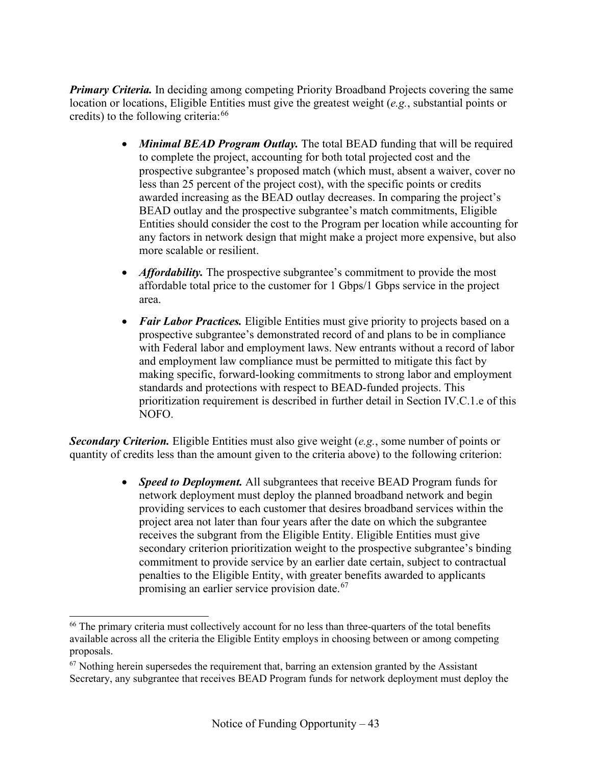*Primary Criteria.* In deciding among competing Priority Broadband Projects covering the same location or locations, Eligible Entities must give the greatest weight (*e.g.*, substantial points or credits) to the following criteria:  $66$ 

- *Minimal BEAD Program Outlay*. The total BEAD funding that will be required to complete the project, accounting for both total projected cost and the prospective subgrantee's proposed match (which must, absent a waiver, cover no less than 25 percent of the project cost), with the specific points or credits awarded increasing as the BEAD outlay decreases. In comparing the project's BEAD outlay and the prospective subgrantee's match commitments, Eligible Entities should consider the cost to the Program per location while accounting for any factors in network design that might make a project more expensive, but also more scalable or resilient.
- *Affordability*. The prospective subgrantee's commitment to provide the most affordable total price to the customer for 1 Gbps/1 Gbps service in the project area.
- *Fair Labor Practices*. Eligible Entities must give priority to projects based on a prospective subgrantee's demonstrated record of and plans to be in compliance with Federal labor and employment laws. New entrants without a record of labor and employment law compliance must be permitted to mitigate this fact by making specific, forward-looking commitments to strong labor and employment standards and protections with respect to BEAD-funded projects. This prioritization requirement is described in further detail in Section [IV.C.1.e](#page-55-0) of this NOFO.

*Secondary Criterion.* Eligible Entities must also give weight (*e.g.*, some number of points or quantity of credits less than the amount given to the criteria above) to the following criterion:

> • *Speed to Deployment.* All subgrantees that receive BEAD Program funds for network deployment must deploy the planned broadband network and begin providing services to each customer that desires broadband services within the project area not later than four years after the date on which the subgrantee receives the subgrant from the Eligible Entity. Eligible Entities must give secondary criterion prioritization weight to the prospective subgrantee's binding commitment to provide service by an earlier date certain, subject to contractual penalties to the Eligible Entity, with greater benefits awarded to applicants promising an earlier service provision date.<sup>[67](#page-42-1)</sup>

<span id="page-42-0"></span><sup>&</sup>lt;sup>66</sup> The primary criteria must collectively account for no less than three-quarters of the total benefits available across all the criteria the Eligible Entity employs in choosing between or among competing proposals.

<span id="page-42-1"></span> $67$  Nothing herein supersedes the requirement that, barring an extension granted by the Assistant Secretary, any subgrantee that receives BEAD Program funds for network deployment must deploy the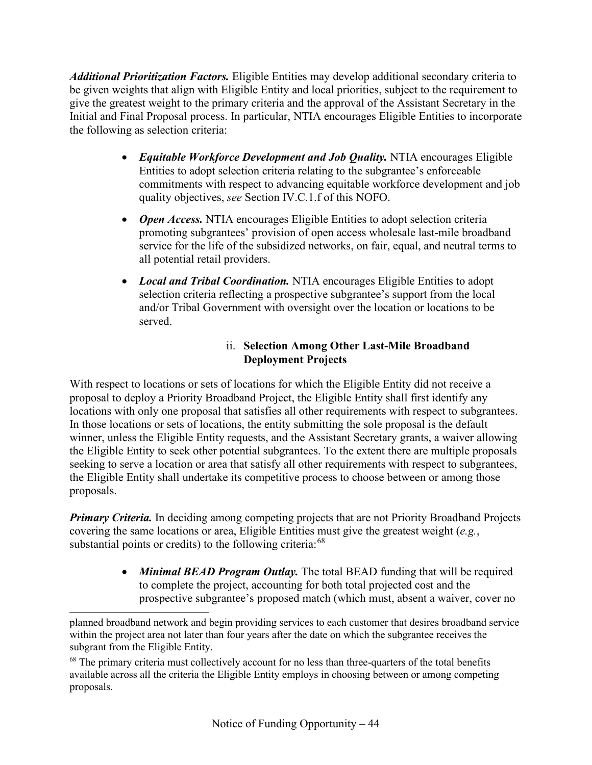*Additional Prioritization Factors.* Eligible Entities may develop additional secondary criteria to be given weights that align with Eligible Entity and local priorities, subject to the requirement to give the greatest weight to the primary criteria and the approval of the Assistant Secretary in the Initial and Final Proposal process. In particular, NTIA encourages Eligible Entities to incorporate the following as selection criteria:

- *Equitable Workforce Development and Job Quality.* NTIA encourages Eligible Entities to adopt selection criteria relating to the subgrantee's enforceable commitments with respect to advancing equitable workforce development and job quality objectives, *see* Section [IV.C.1.f](#page-57-0) of this NOFO.
- *Open Access.* NTIA encourages Eligible Entities to adopt selection criteria promoting subgrantees' provision of open access wholesale last-mile broadband service for the life of the subsidized networks, on fair, equal, and neutral terms to all potential retail providers.
- *Local and Tribal Coordination.* NTIA encourages Eligible Entities to adopt selection criteria reflecting a prospective subgrantee's support from the local and/or Tribal Government with oversight over the location or locations to be served.

## ii. **Selection Among Other Last-Mile Broadband Deployment Projects**

With respect to locations or sets of locations for which the Eligible Entity did not receive a proposal to deploy a Priority Broadband Project, the Eligible Entity shall first identify any locations with only one proposal that satisfies all other requirements with respect to subgrantees. In those locations or sets of locations, the entity submitting the sole proposal is the default winner, unless the Eligible Entity requests, and the Assistant Secretary grants, a waiver allowing the Eligible Entity to seek other potential subgrantees. To the extent there are multiple proposals seeking to serve a location or area that satisfy all other requirements with respect to subgrantees, the Eligible Entity shall undertake its competitive process to choose between or among those proposals.

*Primary Criteria.* In deciding among competing projects that are not Priority Broadband Projects covering the same locations or area, Eligible Entities must give the greatest weight (*e.g.*, substantial points or credits) to the following criteria:<sup>[68](#page-43-0)</sup>

> • *Minimal BEAD Program Outlay*. The total BEAD funding that will be required to complete the project, accounting for both total projected cost and the prospective subgrantee's proposed match (which must, absent a waiver, cover no

planned broadband network and begin providing services to each customer that desires broadband service within the project area not later than four years after the date on which the subgrantee receives the subgrant from the Eligible Entity.

<span id="page-43-0"></span><sup>&</sup>lt;sup>68</sup> The primary criteria must collectively account for no less than three-quarters of the total benefits available across all the criteria the Eligible Entity employs in choosing between or among competing proposals.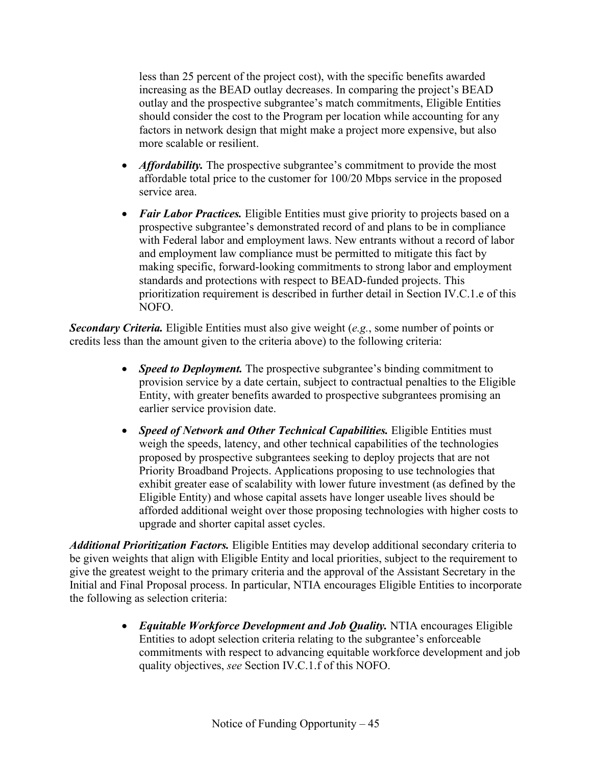less than 25 percent of the project cost), with the specific benefits awarded increasing as the BEAD outlay decreases. In comparing the project's BEAD outlay and the prospective subgrantee's match commitments, Eligible Entities should consider the cost to the Program per location while accounting for any factors in network design that might make a project more expensive, but also more scalable or resilient.

- *Affordability*. The prospective subgrantee's commitment to provide the most affordable total price to the customer for 100/20 Mbps service in the proposed service area.
- *Fair Labor Practices.* Eligible Entities must give priority to projects based on a prospective subgrantee's demonstrated record of and plans to be in compliance with Federal labor and employment laws. New entrants without a record of labor and employment law compliance must be permitted to mitigate this fact by making specific, forward-looking commitments to strong labor and employment standards and protections with respect to BEAD-funded projects. This prioritization requirement is described in further detail in Section [IV.C.1.e](#page-55-0) of this NOFO.

*Secondary Criteria.* Eligible Entities must also give weight (*e.g.*, some number of points or credits less than the amount given to the criteria above) to the following criteria:

- *Speed to Deployment*. The prospective subgrantee's binding commitment to provision service by a date certain, subject to contractual penalties to the Eligible Entity, with greater benefits awarded to prospective subgrantees promising an earlier service provision date.
- *Speed of Network and Other Technical Capabilities.* Eligible Entities must weigh the speeds, latency, and other technical capabilities of the technologies proposed by prospective subgrantees seeking to deploy projects that are not Priority Broadband Projects. Applications proposing to use technologies that exhibit greater ease of scalability with lower future investment (as defined by the Eligible Entity) and whose capital assets have longer useable lives should be afforded additional weight over those proposing technologies with higher costs to upgrade and shorter capital asset cycles.

*Additional Prioritization Factors.* Eligible Entities may develop additional secondary criteria to be given weights that align with Eligible Entity and local priorities, subject to the requirement to give the greatest weight to the primary criteria and the approval of the Assistant Secretary in the Initial and Final Proposal process. In particular, NTIA encourages Eligible Entities to incorporate the following as selection criteria:

> • *Equitable Workforce Development and Job Quality.* NTIA encourages Eligible Entities to adopt selection criteria relating to the subgrantee's enforceable commitments with respect to advancing equitable workforce development and job quality objectives, *see* Section [IV.C.1.f](#page-57-0) of this NOFO.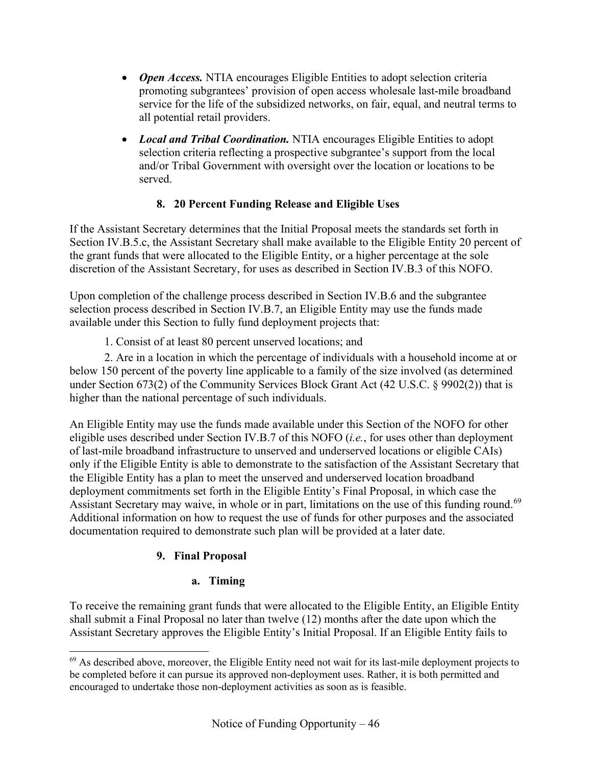- *Open Access.* NTIA encourages Eligible Entities to adopt selection criteria promoting subgrantees' provision of open access wholesale last-mile broadband service for the life of the subsidized networks, on fair, equal, and neutral terms to all potential retail providers.
- *Local and Tribal Coordination.* NTIA encourages Eligible Entities to adopt selection criteria reflecting a prospective subgrantee's support from the local and/or Tribal Government with oversight over the location or locations to be served.

# **8. 20 Percent Funding Release and Eligible Uses**

<span id="page-45-0"></span>If the Assistant Secretary determines that the Initial Proposal meets the standards set forth in Section [IV.B.5.c,](#page-32-0) the Assistant Secretary shall make available to the Eligible Entity 20 percent of the grant funds that were allocated to the Eligible Entity, or a higher percentage at the sole discretion of the Assistant Secretary, for uses as described in Section [IV.B.3](#page-24-0) of this NOFO.

Upon completion of the challenge process described in Section [IV.B.6](#page-33-0) and the subgrantee selection process described in Section [IV.B.7,](#page-34-0) an Eligible Entity may use the funds made available under this Section to fully fund deployment projects that:

1. Consist of at least 80 percent unserved locations; and

2. Are in a location in which the percentage of individuals with a household income at or below 150 percent of the poverty line applicable to a family of the size involved (as determined under Section 673(2) of the Community Services Block Grant Act (42 U.S.C. § 9902(2)) that is higher than the national percentage of such individuals.

An Eligible Entity may use the funds made available under this Section of the NOFO for other eligible uses described under Section [IV.B.7](#page-34-0) of this NOFO (*i.e.*, for uses other than deployment of last-mile broadband infrastructure to unserved and underserved locations or eligible CAIs) only if the Eligible Entity is able to demonstrate to the satisfaction of the Assistant Secretary that the Eligible Entity has a plan to meet the unserved and underserved location broadband deployment commitments set forth in the Eligible Entity's Final Proposal, in which case the Assistant Secretary may waive, in whole or in part, limitations on the use of this funding round.<sup>[69](#page-45-1)</sup> Additional information on how to request the use of funds for other purposes and the associated documentation required to demonstrate such plan will be provided at a later date.

# **9. Final Proposal**

# **a. Timing**

To receive the remaining grant funds that were allocated to the Eligible Entity, an Eligible Entity shall submit a Final Proposal no later than twelve (12) months after the date upon which the Assistant Secretary approves the Eligible Entity's Initial Proposal. If an Eligible Entity fails to

<span id="page-45-1"></span><sup>&</sup>lt;sup>69</sup> As described above, moreover, the Eligible Entity need not wait for its last-mile deployment projects to be completed before it can pursue its approved non-deployment uses. Rather, it is both permitted and encouraged to undertake those non-deployment activities as soon as is feasible.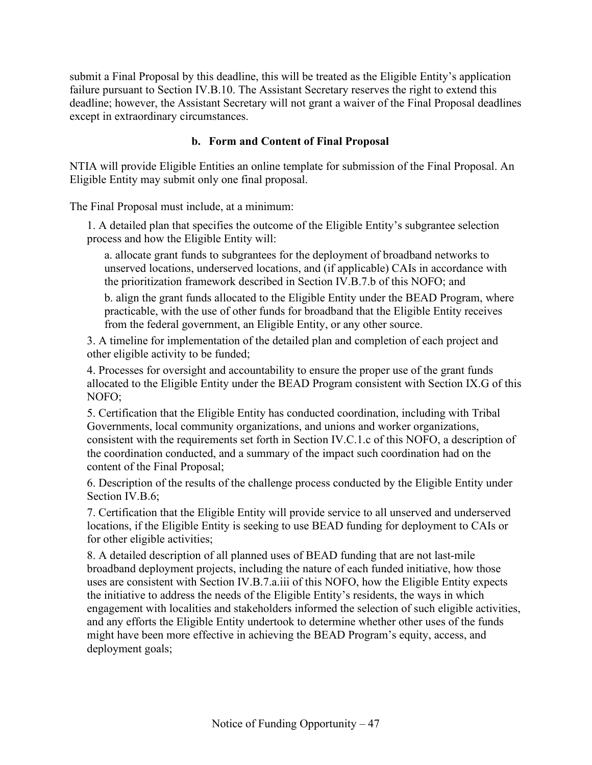submit a Final Proposal by this deadline, this will be treated as the Eligible Entity's application failure pursuant to Section [IV.B.10.](#page-49-0) The Assistant Secretary reserves the right to extend this deadline; however, the Assistant Secretary will not grant a waiver of the Final Proposal deadlines except in extraordinary circumstances.

## **b. Form and Content of Final Proposal**

<span id="page-46-0"></span>NTIA will provide Eligible Entities an online template for submission of the Final Proposal. An Eligible Entity may submit only one final proposal.

The Final Proposal must include, at a minimum:

1. A detailed plan that specifies the outcome of the Eligible Entity's subgrantee selection process and how the Eligible Entity will:

a. allocate grant funds to subgrantees for the deployment of broadband networks to unserved locations, underserved locations, and (if applicable) CAIs in accordance with the prioritization framework described in Section [IV.B.7.b](#page-39-4) of this NOFO; and

b. align the grant funds allocated to the Eligible Entity under the BEAD Program, where practicable, with the use of other funds for broadband that the Eligible Entity receives from the federal government, an Eligible Entity, or any other source.

3. A timeline for implementation of the detailed plan and completion of each project and other eligible activity to be funded;

4. Processes for oversight and accountability to ensure the proper use of the grant funds allocated to the Eligible Entity under the BEAD Program consistent with Section [IX.G](#page-95-0) of this NOFO;

5. Certification that the Eligible Entity has conducted coordination, including with Tribal Governments, local community organizations, and unions and worker organizations, consistent with the requirements set forth in Section [IV.C.1.c](#page-50-0) of this NOFO, a description of the coordination conducted, and a summary of the impact such coordination had on the content of the Final Proposal;

6. Description of the results of the challenge process conducted by the Eligible Entity under Section [IV.B.6;](#page-33-0)

7. Certification that the Eligible Entity will provide service to all unserved and underserved locations, if the Eligible Entity is seeking to use BEAD funding for deployment to CAIs or for other eligible activities;

8. A detailed description of all planned uses of BEAD funding that are not last-mile broadband deployment projects, including the nature of each funded initiative, how those uses are consistent with Section [IV.B.7.a.iii](#page-38-2) of this NOFO, how the Eligible Entity expects the initiative to address the needs of the Eligible Entity's residents, the ways in which engagement with localities and stakeholders informed the selection of such eligible activities, and any efforts the Eligible Entity undertook to determine whether other uses of the funds might have been more effective in achieving the BEAD Program's equity, access, and deployment goals;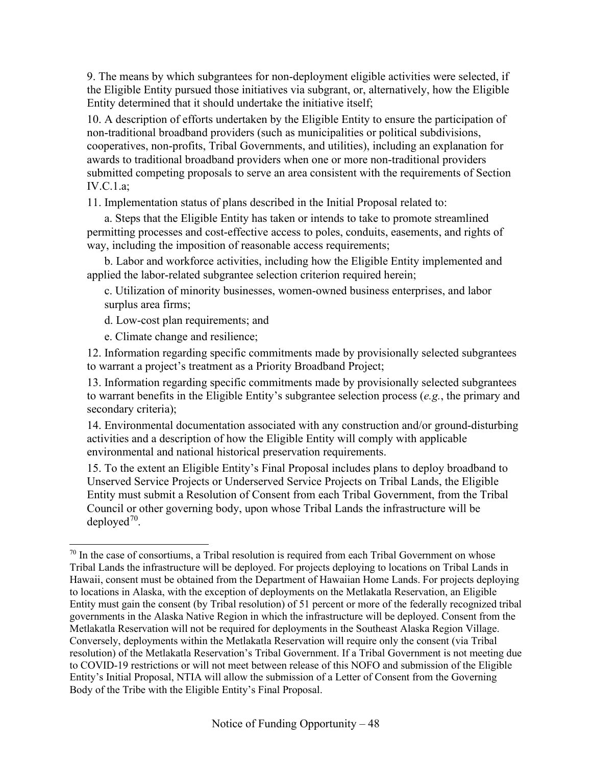9. The means by which subgrantees for non-deployment eligible activities were selected, if the Eligible Entity pursued those initiatives via subgrant, or, alternatively, how the Eligible Entity determined that it should undertake the initiative itself;

10. A description of efforts undertaken by the Eligible Entity to ensure the participation of non-traditional broadband providers (such as municipalities or political subdivisions, cooperatives, non-profits, Tribal Governments, and utilities), including an explanation for awards to traditional broadband providers when one or more non-traditional providers submitted competing proposals to serve an area consistent with the requirements of Section [IV.C.1.a;](#page-49-1)

11. Implementation status of plans described in the Initial Proposal related to:

a. Steps that the Eligible Entity has taken or intends to take to promote streamlined permitting processes and cost-effective access to poles, conduits, easements, and rights of way, including the imposition of reasonable access requirements;

b. Labor and workforce activities, including how the Eligible Entity implemented and applied the labor-related subgrantee selection criterion required herein;

c. Utilization of minority businesses, women-owned business enterprises, and labor surplus area firms;

d. Low-cost plan requirements; and

e. Climate change and resilience;

12. Information regarding specific commitments made by provisionally selected subgrantees to warrant a project's treatment as a Priority Broadband Project;

13. Information regarding specific commitments made by provisionally selected subgrantees to warrant benefits in the Eligible Entity's subgrantee selection process (*e.g.*, the primary and secondary criteria);

14. Environmental documentation associated with any construction and/or ground-disturbing activities and a description of how the Eligible Entity will comply with applicable environmental and national historical preservation requirements.

15. To the extent an Eligible Entity's Final Proposal includes plans to deploy broadband to Unserved Service Projects or Underserved Service Projects on Tribal Lands, the Eligible Entity must submit a Resolution of Consent from each Tribal Government, from the Tribal Council or other governing body, upon whose Tribal Lands the infrastructure will be deployed<sup>70</sup>.

<span id="page-47-0"></span> $70$  In the case of consortiums, a Tribal resolution is required from each Tribal Government on whose Tribal Lands the infrastructure will be deployed. For projects deploying to locations on Tribal Lands in Hawaii, consent must be obtained from the Department of Hawaiian Home Lands. For projects deploying to locations in Alaska, with the exception of deployments on the Metlakatla Reservation, an Eligible Entity must gain the consent (by Tribal resolution) of 51 percent or more of the federally recognized tribal governments in the Alaska Native Region in which the infrastructure will be deployed. Consent from the Metlakatla Reservation will not be required for deployments in the Southeast Alaska Region Village. Conversely, deployments within the Metlakatla Reservation will require only the consent (via Tribal resolution) of the Metlakatla Reservation's Tribal Government. If a Tribal Government is not meeting due to COVID-19 restrictions or will not meet between release of this NOFO and submission of the Eligible Entity's Initial Proposal, NTIA will allow the submission of a Letter of Consent from the Governing Body of the Tribe with the Eligible Entity's Final Proposal.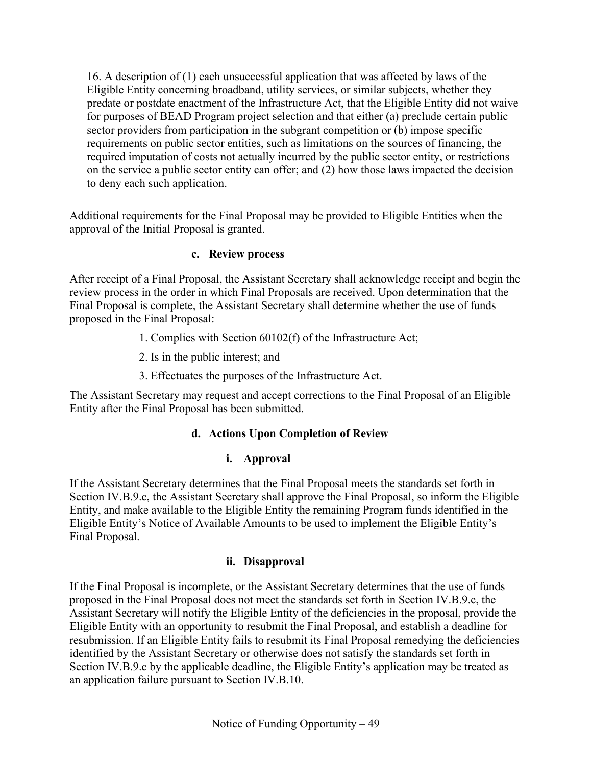16. A description of (1) each unsuccessful application that was affected by laws of the Eligible Entity concerning broadband, utility services, or similar subjects, whether they predate or postdate enactment of the Infrastructure Act, that the Eligible Entity did not waive for purposes of BEAD Program project selection and that either (a) preclude certain public sector providers from participation in the subgrant competition or (b) impose specific requirements on public sector entities, such as limitations on the sources of financing, the required imputation of costs not actually incurred by the public sector entity, or restrictions on the service a public sector entity can offer; and (2) how those laws impacted the decision to deny each such application.

<span id="page-48-0"></span>Additional requirements for the Final Proposal may be provided to Eligible Entities when the approval of the Initial Proposal is granted.

## **c. Review process**

After receipt of a Final Proposal, the Assistant Secretary shall acknowledge receipt and begin the review process in the order in which Final Proposals are received. Upon determination that the Final Proposal is complete, the Assistant Secretary shall determine whether the use of funds proposed in the Final Proposal:

- 1. Complies with Section 60102(f) of the Infrastructure Act;
- 2. Is in the public interest; and
- 3. Effectuates the purposes of the Infrastructure Act.

The Assistant Secretary may request and accept corrections to the Final Proposal of an Eligible Entity after the Final Proposal has been submitted.

## **d. Actions Upon Completion of Review**

## **i. Approval**

If the Assistant Secretary determines that the Final Proposal meets the standards set forth in Section [IV.B.9.c,](#page-48-0) the Assistant Secretary shall approve the Final Proposal, so inform the Eligible Entity, and make available to the Eligible Entity the remaining Program funds identified in the Eligible Entity's Notice of Available Amounts to be used to implement the Eligible Entity's Final Proposal.

## **ii. Disapproval**

If the Final Proposal is incomplete, or the Assistant Secretary determines that the use of funds proposed in the Final Proposal does not meet the standards set forth in Section [IV.B.9.c,](#page-48-0) the Assistant Secretary will notify the Eligible Entity of the deficiencies in the proposal, provide the Eligible Entity with an opportunity to resubmit the Final Proposal, and establish a deadline for resubmission. If an Eligible Entity fails to resubmit its Final Proposal remedying the deficiencies identified by the Assistant Secretary or otherwise does not satisfy the standards set forth in Section IV.B.9.c by the applicable deadline, the Eligible Entity's application may be treated as an application failure pursuant to Section [IV.B.10.](#page-49-0)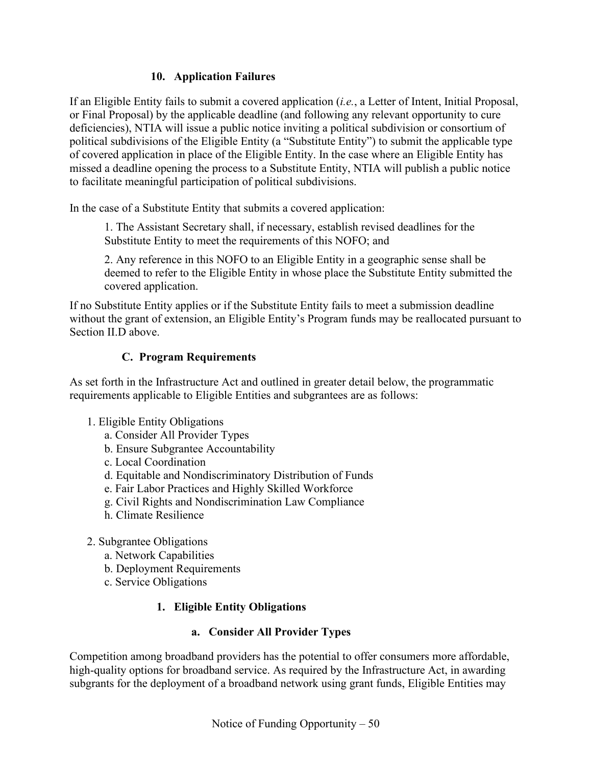## **10. Application Failures**

<span id="page-49-0"></span>If an Eligible Entity fails to submit a covered application (*i.e.*, a Letter of Intent, Initial Proposal, or Final Proposal) by the applicable deadline (and following any relevant opportunity to cure deficiencies), NTIA will issue a public notice inviting a political subdivision or consortium of political subdivisions of the Eligible Entity (a "Substitute Entity") to submit the applicable type of covered application in place of the Eligible Entity. In the case where an Eligible Entity has missed a deadline opening the process to a Substitute Entity, NTIA will publish a public notice to facilitate meaningful participation of political subdivisions.

In the case of a Substitute Entity that submits a covered application:

1. The Assistant Secretary shall, if necessary, establish revised deadlines for the Substitute Entity to meet the requirements of this NOFO; and

2. Any reference in this NOFO to an Eligible Entity in a geographic sense shall be deemed to refer to the Eligible Entity in whose place the Substitute Entity submitted the covered application.

If no Substitute Entity applies or if the Substitute Entity fails to meet a submission deadline without the grant of extension, an Eligible Entity's Program funds may be reallocated pursuant to Section [II.D](#page-18-0) above.

## **C. Program Requirements**

As set forth in the Infrastructure Act and outlined in greater detail below, the programmatic requirements applicable to Eligible Entities and subgrantees are as follows:

- 1. Eligible Entity Obligations
	- a. Consider All Provider Types
	- b. Ensure Subgrantee Accountability
	- c. Local Coordination
	- d. Equitable and Nondiscriminatory Distribution of Funds
	- e. Fair Labor Practices and Highly Skilled Workforce
	- g. Civil Rights and Nondiscrimination Law Compliance
	- h. Climate Resilience
- 2. Subgrantee Obligations
	- a. Network Capabilities
	- b. Deployment Requirements
	- c. Service Obligations

## **1. Eligible Entity Obligations**

#### **a. Consider All Provider Types**

<span id="page-49-1"></span>Competition among broadband providers has the potential to offer consumers more affordable, high-quality options for broadband service. As required by the Infrastructure Act, in awarding subgrants for the deployment of a broadband network using grant funds, Eligible Entities may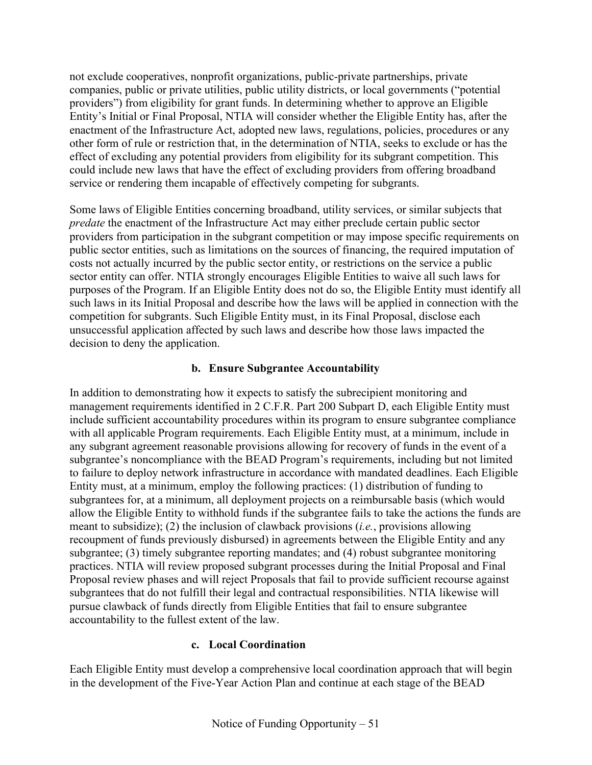not exclude cooperatives, nonprofit organizations, public-private partnerships, private companies, public or private utilities, public utility districts, or local governments ("potential providers") from eligibility for grant funds. In determining whether to approve an Eligible Entity's Initial or Final Proposal, NTIA will consider whether the Eligible Entity has, after the enactment of the Infrastructure Act, adopted new laws, regulations, policies, procedures or any other form of rule or restriction that, in the determination of NTIA, seeks to exclude or has the effect of excluding any potential providers from eligibility for its subgrant competition. This could include new laws that have the effect of excluding providers from offering broadband service or rendering them incapable of effectively competing for subgrants.

Some laws of Eligible Entities concerning broadband, utility services, or similar subjects that *predate* the enactment of the Infrastructure Act may either preclude certain public sector providers from participation in the subgrant competition or may impose specific requirements on public sector entities, such as limitations on the sources of financing, the required imputation of costs not actually incurred by the public sector entity, or restrictions on the service a public sector entity can offer. NTIA strongly encourages Eligible Entities to waive all such laws for purposes of the Program. If an Eligible Entity does not do so, the Eligible Entity must identify all such laws in its Initial Proposal and describe how the laws will be applied in connection with the competition for subgrants. Such Eligible Entity must, in its Final Proposal, disclose each unsuccessful application affected by such laws and describe how those laws impacted the decision to deny the application.

## **b. Ensure Subgrantee Accountability**

<span id="page-50-1"></span>In addition to demonstrating how it expects to satisfy the subrecipient monitoring and management requirements identified in 2 C.F.R. Part 200 Subpart D, each Eligible Entity must include sufficient accountability procedures within its program to ensure subgrantee compliance with all applicable Program requirements. Each Eligible Entity must, at a minimum, include in any subgrant agreement reasonable provisions allowing for recovery of funds in the event of a subgrantee's noncompliance with the BEAD Program's requirements, including but not limited to failure to deploy network infrastructure in accordance with mandated deadlines. Each Eligible Entity must, at a minimum, employ the following practices: (1) distribution of funding to subgrantees for, at a minimum, all deployment projects on a reimbursable basis (which would allow the Eligible Entity to withhold funds if the subgrantee fails to take the actions the funds are meant to subsidize); (2) the inclusion of clawback provisions (*i.e.*, provisions allowing recoupment of funds previously disbursed) in agreements between the Eligible Entity and any subgrantee; (3) timely subgrantee reporting mandates; and (4) robust subgrantee monitoring practices. NTIA will review proposed subgrant processes during the Initial Proposal and Final Proposal review phases and will reject Proposals that fail to provide sufficient recourse against subgrantees that do not fulfill their legal and contractual responsibilities. NTIA likewise will pursue clawback of funds directly from Eligible Entities that fail to ensure subgrantee accountability to the fullest extent of the law.

## **c. Local Coordination**

<span id="page-50-0"></span>Each Eligible Entity must develop a comprehensive local coordination approach that will begin in the development of the Five-Year Action Plan and continue at each stage of the BEAD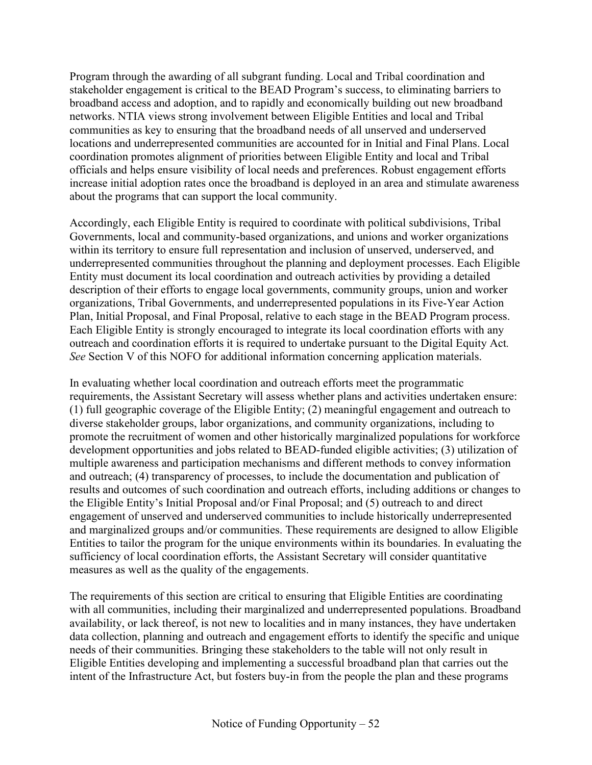Program through the awarding of all subgrant funding. Local and Tribal coordination and stakeholder engagement is critical to the BEAD Program's success, to eliminating barriers to broadband access and adoption, and to rapidly and economically building out new broadband networks. NTIA views strong involvement between Eligible Entities and local and Tribal communities as key to ensuring that the broadband needs of all unserved and underserved locations and underrepresented communities are accounted for in Initial and Final Plans. Local coordination promotes alignment of priorities between Eligible Entity and local and Tribal officials and helps ensure visibility of local needs and preferences. Robust engagement efforts increase initial adoption rates once the broadband is deployed in an area and stimulate awareness about the programs that can support the local community.

Accordingly, each Eligible Entity is required to coordinate with political subdivisions, Tribal Governments, local and community-based organizations, and unions and worker organizations within its territory to ensure full representation and inclusion of unserved, underserved, and underrepresented communities throughout the planning and deployment processes. Each Eligible Entity must document its local coordination and outreach activities by providing a detailed description of their efforts to engage local governments, community groups, union and worker organizations, Tribal Governments, and underrepresented populations in its Five-Year Action Plan, Initial Proposal, and Final Proposal, relative to each stage in the BEAD Program process. Each Eligible Entity is strongly encouraged to integrate its local coordination efforts with any outreach and coordination efforts it is required to undertake pursuant to the Digital Equity Act*. See* Section [V](#page-75-0) of this NOFO for additional information concerning application materials.

In evaluating whether local coordination and outreach efforts meet the programmatic requirements, the Assistant Secretary will assess whether plans and activities undertaken ensure: (1) full geographic coverage of the Eligible Entity; (2) meaningful engagement and outreach to diverse stakeholder groups, labor organizations, and community organizations, including to promote the recruitment of women and other historically marginalized populations for workforce development opportunities and jobs related to BEAD-funded eligible activities; (3) utilization of multiple awareness and participation mechanisms and different methods to convey information and outreach; (4) transparency of processes, to include the documentation and publication of results and outcomes of such coordination and outreach efforts, including additions or changes to the Eligible Entity's Initial Proposal and/or Final Proposal; and (5) outreach to and direct engagement of unserved and underserved communities to include historically underrepresented and marginalized groups and/or communities. These requirements are designed to allow Eligible Entities to tailor the program for the unique environments within its boundaries. In evaluating the sufficiency of local coordination efforts, the Assistant Secretary will consider quantitative measures as well as the quality of the engagements.

The requirements of this section are critical to ensuring that Eligible Entities are coordinating with all communities, including their marginalized and underrepresented populations. Broadband availability, or lack thereof, is not new to localities and in many instances, they have undertaken data collection, planning and outreach and engagement efforts to identify the specific and unique needs of their communities. Bringing these stakeholders to the table will not only result in Eligible Entities developing and implementing a successful broadband plan that carries out the intent of the Infrastructure Act, but fosters buy-in from the people the plan and these programs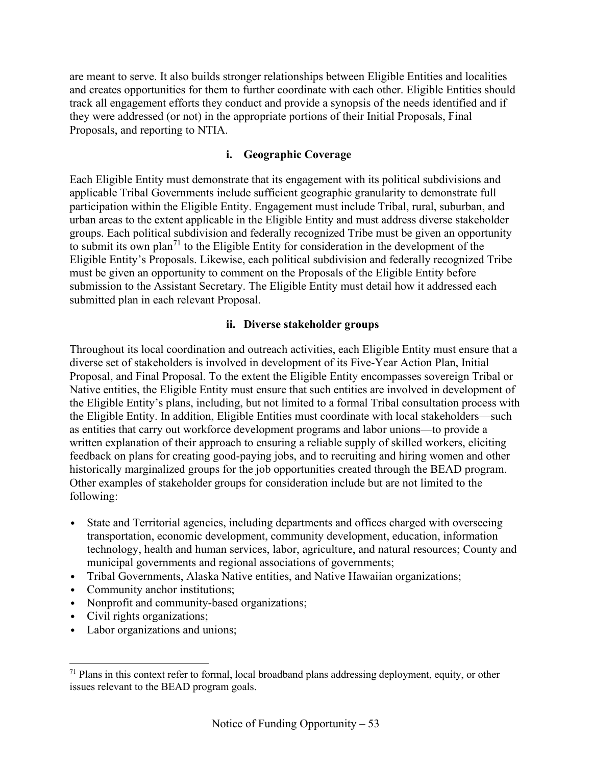are meant to serve. It also builds stronger relationships between Eligible Entities and localities and creates opportunities for them to further coordinate with each other. Eligible Entities should track all engagement efforts they conduct and provide a synopsis of the needs identified and if they were addressed (or not) in the appropriate portions of their Initial Proposals, Final Proposals, and reporting to NTIA.

#### **i. Geographic Coverage**

Each Eligible Entity must demonstrate that its engagement with its political subdivisions and applicable Tribal Governments include sufficient geographic granularity to demonstrate full participation within the Eligible Entity. Engagement must include Tribal, rural, suburban, and urban areas to the extent applicable in the Eligible Entity and must address diverse stakeholder groups. Each political subdivision and federally recognized Tribe must be given an opportunity to submit its own plan<sup>[71](#page-52-0)</sup> to the Eligible Entity for consideration in the development of the Eligible Entity's Proposals. Likewise, each political subdivision and federally recognized Tribe must be given an opportunity to comment on the Proposals of the Eligible Entity before submission to the Assistant Secretary. The Eligible Entity must detail how it addressed each submitted plan in each relevant Proposal.

#### **ii. Diverse stakeholder groups**

Throughout its local coordination and outreach activities, each Eligible Entity must ensure that a diverse set of stakeholders is involved in development of its Five-Year Action Plan, Initial Proposal, and Final Proposal. To the extent the Eligible Entity encompasses sovereign Tribal or Native entities, the Eligible Entity must ensure that such entities are involved in development of the Eligible Entity's plans, including, but not limited to a formal Tribal consultation process with the Eligible Entity. In addition, Eligible Entities must coordinate with local stakeholders—such as entities that carry out workforce development programs and labor unions—to provide a written explanation of their approach to ensuring a reliable supply of skilled workers, eliciting feedback on plans for creating good-paying jobs, and to recruiting and hiring women and other historically marginalized groups for the job opportunities created through the BEAD program. Other examples of stakeholder groups for consideration include but are not limited to the following:

- State and Territorial agencies, including departments and offices charged with overseeing transportation, economic development, community development, education, information technology, health and human services, labor, agriculture, and natural resources; County and municipal governments and regional associations of governments;
- Tribal Governments, Alaska Native entities, and Native Hawaiian organizations;
- Community anchor institutions;
- Nonprofit and community-based organizations;
- Civil rights organizations;
- Labor organizations and unions;

<span id="page-52-0"></span> $71$  Plans in this context refer to formal, local broadband plans addressing deployment, equity, or other issues relevant to the BEAD program goals.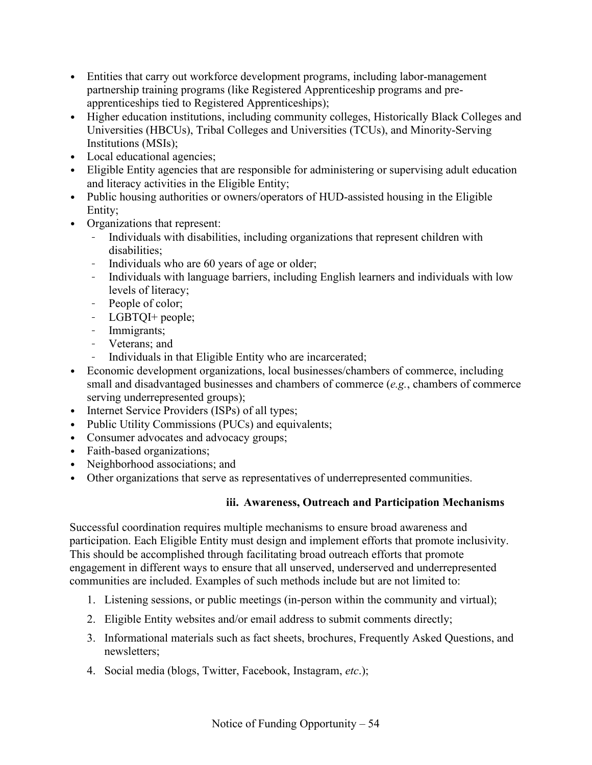- Entities that carry out workforce development programs, including labor-management partnership training programs (like Registered Apprenticeship programs and preapprenticeships tied to Registered Apprenticeships);
- Higher education institutions, including community colleges, Historically Black Colleges and Universities (HBCUs), Tribal Colleges and Universities (TCUs), and Minority-Serving Institutions (MSIs);
- Local educational agencies;
- Eligible Entity agencies that are responsible for administering or supervising adult education and literacy activities in the Eligible Entity;
- Public housing authorities or owners/operators of HUD-assisted housing in the Eligible Entity;
- Organizations that represent:
	- Individuals with disabilities, including organizations that represent children with disabilities;
	- Individuals who are 60 years of age or older;
	- Individuals with language barriers, including English learners and individuals with low levels of literacy;
	- People of color;
	- LGBTQI+ people;
	- Immigrants;
	- Veterans; and
	- Individuals in that Eligible Entity who are incarcerated;
- Economic development organizations, local businesses/chambers of commerce, including small and disadvantaged businesses and chambers of commerce (*e.g.*, chambers of commerce serving underrepresented groups);
- Internet Service Providers (ISPs) of all types;
- Public Utility Commissions (PUCs) and equivalents;
- Consumer advocates and advocacy groups;
- Faith-based organizations;
- Neighborhood associations; and
- <span id="page-53-0"></span>• Other organizations that serve as representatives of underrepresented communities.

## **iii. Awareness, Outreach and Participation Mechanisms**

Successful coordination requires multiple mechanisms to ensure broad awareness and participation. Each Eligible Entity must design and implement efforts that promote inclusivity. This should be accomplished through facilitating broad outreach efforts that promote engagement in different ways to ensure that all unserved, underserved and underrepresented communities are included. Examples of such methods include but are not limited to:

- 1. Listening sessions, or public meetings (in-person within the community and virtual);
- 2. Eligible Entity websites and/or email address to submit comments directly;
- 3. Informational materials such as fact sheets, brochures, Frequently Asked Questions, and newsletters;
- 4. Social media (blogs, Twitter, Facebook, Instagram, *etc*.);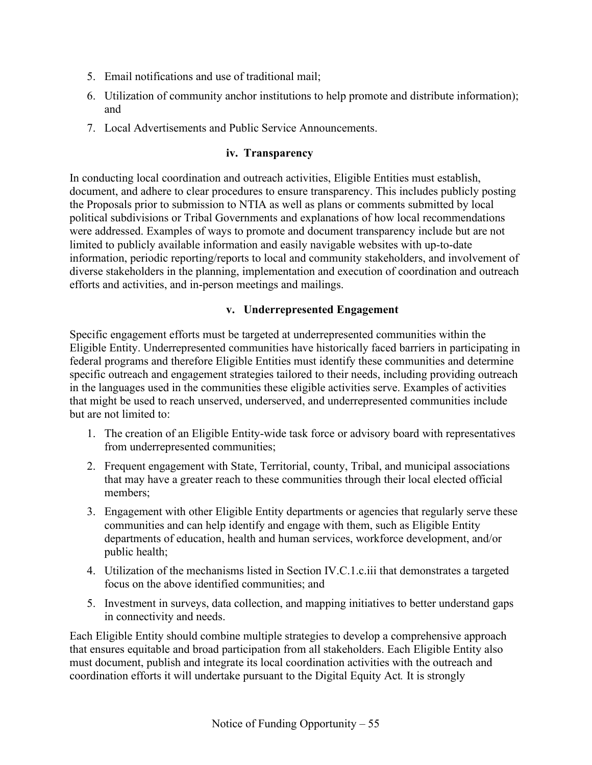- 5. Email notifications and use of traditional mail;
- 6. Utilization of community anchor institutions to help promote and distribute information); and
- 7. Local Advertisements and Public Service Announcements.

#### **iv. Transparency**

In conducting local coordination and outreach activities, Eligible Entities must establish, document, and adhere to clear procedures to ensure transparency. This includes publicly posting the Proposals prior to submission to NTIA as well as plans or comments submitted by local political subdivisions or Tribal Governments and explanations of how local recommendations were addressed. Examples of ways to promote and document transparency include but are not limited to publicly available information and easily navigable websites with up-to-date information, periodic reporting/reports to local and community stakeholders, and involvement of diverse stakeholders in the planning, implementation and execution of coordination and outreach efforts and activities, and in-person meetings and mailings.

## **v. Underrepresented Engagement**

Specific engagement efforts must be targeted at underrepresented communities within the Eligible Entity. Underrepresented communities have historically faced barriers in participating in federal programs and therefore Eligible Entities must identify these communities and determine specific outreach and engagement strategies tailored to their needs, including providing outreach in the languages used in the communities these eligible activities serve. Examples of activities that might be used to reach unserved, underserved, and underrepresented communities include but are not limited to:

- 1. The creation of an Eligible Entity-wide task force or advisory board with representatives from underrepresented communities;
- 2. Frequent engagement with State, Territorial, county, Tribal, and municipal associations that may have a greater reach to these communities through their local elected official members;
- 3. Engagement with other Eligible Entity departments or agencies that regularly serve these communities and can help identify and engage with them, such as Eligible Entity departments of education, health and human services, workforce development, and/or public health;
- 4. Utilization of the mechanisms listed in Section [IV.C.1.c.iii](#page-53-0) that demonstrates a targeted focus on the above identified communities; and
- 5. Investment in surveys, data collection, and mapping initiatives to better understand gaps in connectivity and needs.

Each Eligible Entity should combine multiple strategies to develop a comprehensive approach that ensures equitable and broad participation from all stakeholders. Each Eligible Entity also must document, publish and integrate its local coordination activities with the outreach and coordination efforts it will undertake pursuant to the Digital Equity Act*.* It is strongly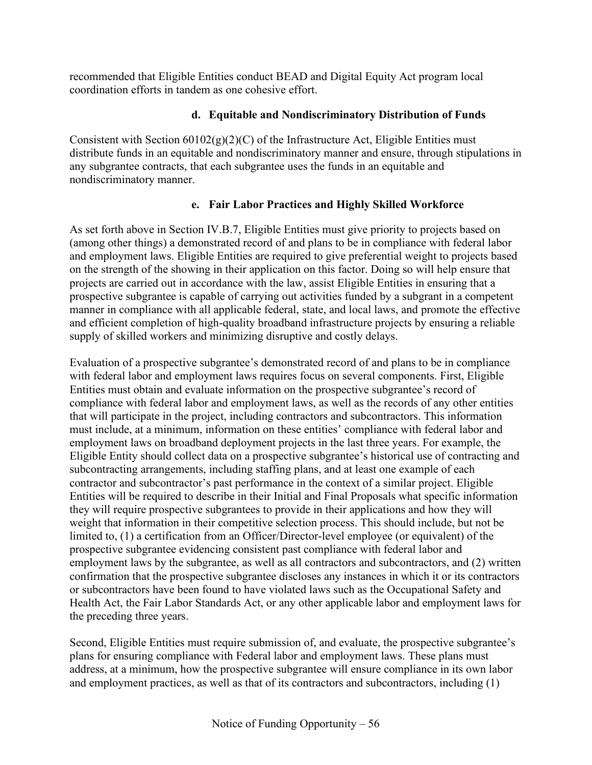recommended that Eligible Entities conduct BEAD and Digital Equity Act program local coordination efforts in tandem as one cohesive effort.

## **d. Equitable and Nondiscriminatory Distribution of Funds**

Consistent with Section  $60102(g)(2)(C)$  of the Infrastructure Act, Eligible Entities must distribute funds in an equitable and nondiscriminatory manner and ensure, through stipulations in any subgrantee contracts, that each subgrantee uses the funds in an equitable and nondiscriminatory manner.

## **e. Fair Labor Practices and Highly Skilled Workforce**

<span id="page-55-0"></span>As set forth above in Section [IV.B.7,](#page-34-0) Eligible Entities must give priority to projects based on (among other things) a demonstrated record of and plans to be in compliance with federal labor and employment laws. Eligible Entities are required to give preferential weight to projects based on the strength of the showing in their application on this factor. Doing so will help ensure that projects are carried out in accordance with the law, assist Eligible Entities in ensuring that a prospective subgrantee is capable of carrying out activities funded by a subgrant in a competent manner in compliance with all applicable federal, state, and local laws, and promote the effective and efficient completion of high-quality broadband infrastructure projects by ensuring a reliable supply of skilled workers and minimizing disruptive and costly delays.

Evaluation of a prospective subgrantee's demonstrated record of and plans to be in compliance with federal labor and employment laws requires focus on several components. First, Eligible Entities must obtain and evaluate information on the prospective subgrantee's record of compliance with federal labor and employment laws, as well as the records of any other entities that will participate in the project, including contractors and subcontractors. This information must include, at a minimum, information on these entities' compliance with federal labor and employment laws on broadband deployment projects in the last three years. For example, the Eligible Entity should collect data on a prospective subgrantee's historical use of contracting and subcontracting arrangements, including staffing plans, and at least one example of each contractor and subcontractor's past performance in the context of a similar project. Eligible Entities will be required to describe in their Initial and Final Proposals what specific information they will require prospective subgrantees to provide in their applications and how they will weight that information in their competitive selection process. This should include, but not be limited to, (1) a certification from an Officer/Director-level employee (or equivalent) of the prospective subgrantee evidencing consistent past compliance with federal labor and employment laws by the subgrantee, as well as all contractors and subcontractors, and (2) written confirmation that the prospective subgrantee discloses any instances in which it or its contractors or subcontractors have been found to have violated laws such as the Occupational Safety and Health Act, the Fair Labor Standards Act, or any other applicable labor and employment laws for the preceding three years.

Second, Eligible Entities must require submission of, and evaluate, the prospective subgrantee's plans for ensuring compliance with Federal labor and employment laws. These plans must address, at a minimum, how the prospective subgrantee will ensure compliance in its own labor and employment practices, as well as that of its contractors and subcontractors, including (1)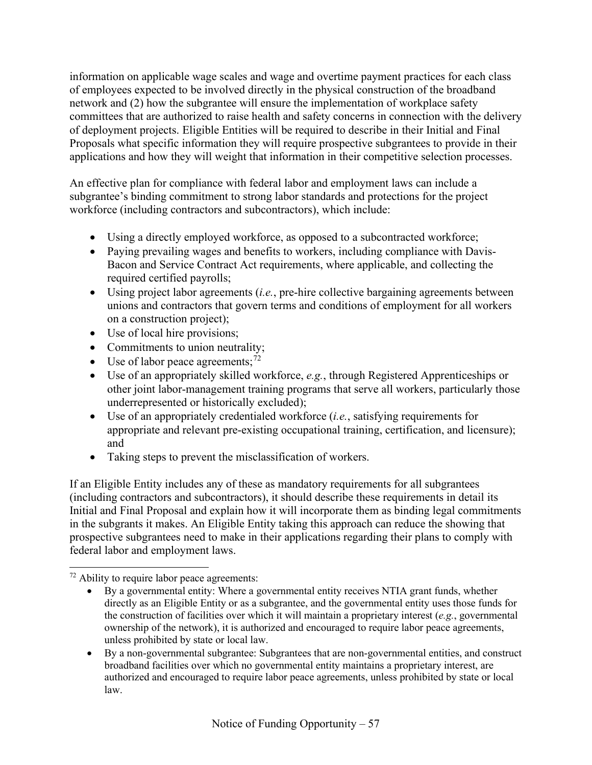information on applicable wage scales and wage and overtime payment practices for each class of employees expected to be involved directly in the physical construction of the broadband network and (2) how the subgrantee will ensure the implementation of workplace safety committees that are authorized to raise health and safety concerns in connection with the delivery of deployment projects. Eligible Entities will be required to describe in their Initial and Final Proposals what specific information they will require prospective subgrantees to provide in their applications and how they will weight that information in their competitive selection processes.

An effective plan for compliance with federal labor and employment laws can include a subgrantee's binding commitment to strong labor standards and protections for the project workforce (including contractors and subcontractors), which include:

- Using a directly employed workforce, as opposed to a subcontracted workforce;
- Paying prevailing wages and benefits to workers, including compliance with Davis-Bacon and Service Contract Act requirements, where applicable, and collecting the required certified payrolls;
- Using project labor agreements (*i.e.*, pre-hire collective bargaining agreements between unions and contractors that govern terms and conditions of employment for all workers on a construction project);
- Use of local hire provisions;
- Commitments to union neutrality;
- Use of labor peace agreements;  $72$
- Use of an appropriately skilled workforce, *e.g.*, through Registered Apprenticeships or other joint labor-management training programs that serve all workers, particularly those underrepresented or historically excluded);
- Use of an appropriately credentialed workforce (*i.e.*, satisfying requirements for appropriate and relevant pre-existing occupational training, certification, and licensure); and
- Taking steps to prevent the misclassification of workers.

If an Eligible Entity includes any of these as mandatory requirements for all subgrantees (including contractors and subcontractors), it should describe these requirements in detail its Initial and Final Proposal and explain how it will incorporate them as binding legal commitments in the subgrants it makes. An Eligible Entity taking this approach can reduce the showing that prospective subgrantees need to make in their applications regarding their plans to comply with federal labor and employment laws.

- By a governmental entity: Where a governmental entity receives NTIA grant funds, whether directly as an Eligible Entity or as a subgrantee, and the governmental entity uses those funds for the construction of facilities over which it will maintain a proprietary interest (*e.g.*, governmental ownership of the network), it is authorized and encouraged to require labor peace agreements, unless prohibited by state or local law.
- By a non-governmental subgrantee: Subgrantees that are non-governmental entities, and construct broadband facilities over which no governmental entity maintains a proprietary interest, are authorized and encouraged to require labor peace agreements, unless prohibited by state or local law.

<span id="page-56-0"></span> $72$  Ability to require labor peace agreements: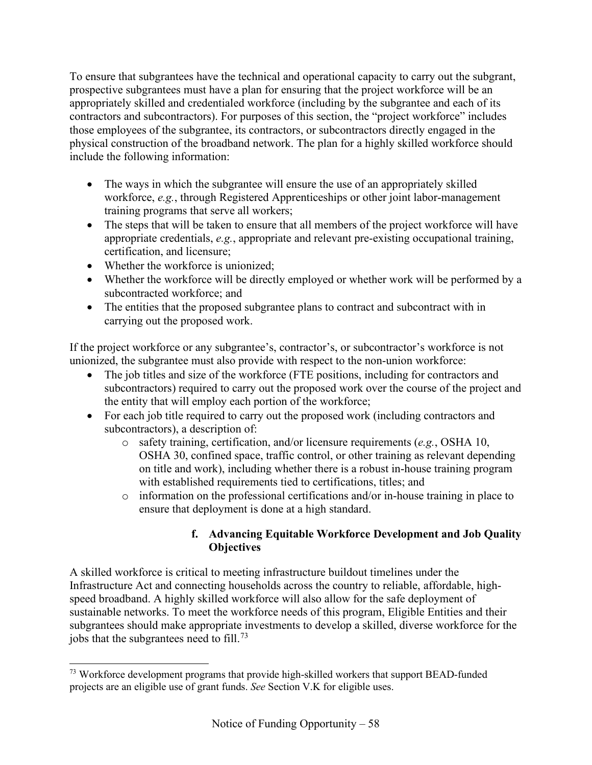To ensure that subgrantees have the technical and operational capacity to carry out the subgrant, prospective subgrantees must have a plan for ensuring that the project workforce will be an appropriately skilled and credentialed workforce (including by the subgrantee and each of its contractors and subcontractors). For purposes of this section, the "project workforce" includes those employees of the subgrantee, its contractors, or subcontractors directly engaged in the physical construction of the broadband network. The plan for a highly skilled workforce should include the following information:

- The ways in which the subgrantee will ensure the use of an appropriately skilled workforce, *e.g.*, through Registered Apprenticeships or other joint labor-management training programs that serve all workers;
- The steps that will be taken to ensure that all members of the project workforce will have appropriate credentials, *e.g.*, appropriate and relevant pre-existing occupational training, certification, and licensure;
- Whether the workforce is unionized;
- Whether the workforce will be directly employed or whether work will be performed by a subcontracted workforce; and
- The entities that the proposed subgrantee plans to contract and subcontract with in carrying out the proposed work.

If the project workforce or any subgrantee's, contractor's, or subcontractor's workforce is not unionized, the subgrantee must also provide with respect to the non-union workforce:

- The job titles and size of the workforce (FTE positions, including for contractors and subcontractors) required to carry out the proposed work over the course of the project and the entity that will employ each portion of the workforce;
- For each job title required to carry out the proposed work (including contractors and subcontractors), a description of:
	- o safety training, certification, and/or licensure requirements (*e.g.*, OSHA 10, OSHA 30, confined space, traffic control, or other training as relevant depending on title and work), including whether there is a robust in-house training program with established requirements tied to certifications, titles; and
	- o information on the professional certifications and/or in-house training in place to ensure that deployment is done at a high standard.

## **f. Advancing Equitable Workforce Development and Job Quality Objectives**

<span id="page-57-0"></span>A skilled workforce is critical to meeting infrastructure buildout timelines under the Infrastructure Act and connecting households across the country to reliable, affordable, highspeed broadband. A highly skilled workforce will also allow for the safe deployment of sustainable networks. To meet the workforce needs of this program, Eligible Entities and their subgrantees should make appropriate investments to develop a skilled, diverse workforce for the jobs that the subgrantees need to fill.<sup>[73](#page-57-1)</sup>

<span id="page-57-1"></span> $73$  Workforce development programs that provide high-skilled workers that support BEAD-funded projects are an eligible use of grant funds. *See* Section [V.K](#page-80-0) for eligible uses.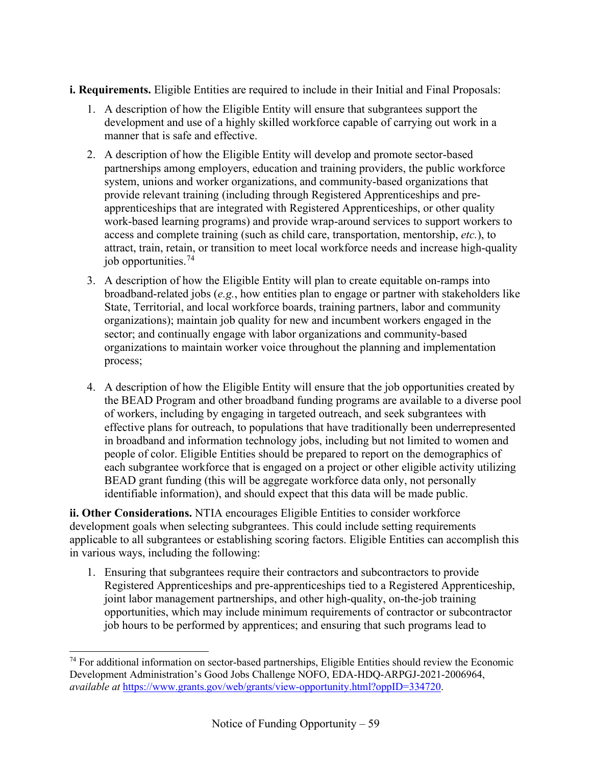**i. Requirements.** Eligible Entities are required to include in their Initial and Final Proposals:

- 1. A description of how the Eligible Entity will ensure that subgrantees support the development and use of a highly skilled workforce capable of carrying out work in a manner that is safe and effective.
- 2. A description of how the Eligible Entity will develop and promote sector-based partnerships among employers, education and training providers, the public workforce system, unions and worker organizations, and community-based organizations that provide relevant training (including through Registered Apprenticeships and preapprenticeships that are integrated with Registered Apprenticeships, or other quality work-based learning programs) and provide wrap-around services to support workers to access and complete training (such as child care, transportation, mentorship, *etc.*), to attract, train, retain, or transition to meet local workforce needs and increase high-quality job opportunities.[74](#page-58-0)
- 3. A description of how the Eligible Entity will plan to create equitable on-ramps into broadband-related jobs (*e.g.*, how entities plan to engage or partner with stakeholders like State, Territorial, and local workforce boards, training partners, labor and community organizations); maintain job quality for new and incumbent workers engaged in the sector; and continually engage with labor organizations and community-based organizations to maintain worker voice throughout the planning and implementation process;
- 4. A description of how the Eligible Entity will ensure that the job opportunities created by the BEAD Program and other broadband funding programs are available to a diverse pool of workers, including by engaging in targeted outreach, and seek subgrantees with effective plans for outreach, to populations that have traditionally been underrepresented in broadband and information technology jobs, including but not limited to women and people of color. Eligible Entities should be prepared to report on the demographics of each subgrantee workforce that is engaged on a project or other eligible activity utilizing BEAD grant funding (this will be aggregate workforce data only, not personally identifiable information), and should expect that this data will be made public.

**ii. Other Considerations.** NTIA encourages Eligible Entities to consider workforce development goals when selecting subgrantees. This could include setting requirements applicable to all subgrantees or establishing scoring factors. Eligible Entities can accomplish this in various ways, including the following:

1. Ensuring that subgrantees require their contractors and subcontractors to provide Registered Apprenticeships and pre-apprenticeships tied to a Registered Apprenticeship, joint labor management partnerships, and other high-quality, on-the-job training opportunities, which may include minimum requirements of contractor or subcontractor job hours to be performed by apprentices; and ensuring that such programs lead to

<span id="page-58-0"></span><sup>&</sup>lt;sup>74</sup> For additional information on sector-based partnerships, Eligible Entities should review the Economic Development Administration's Good Jobs Challenge NOFO, EDA-HDQ-ARPGJ-2021-2006964, *available at* [https://www.grants.gov/web/grants/view-opportunity.html?oppID=334720.](https://www.grants.gov/web/grants/view-opportunity.html?oppID=334720)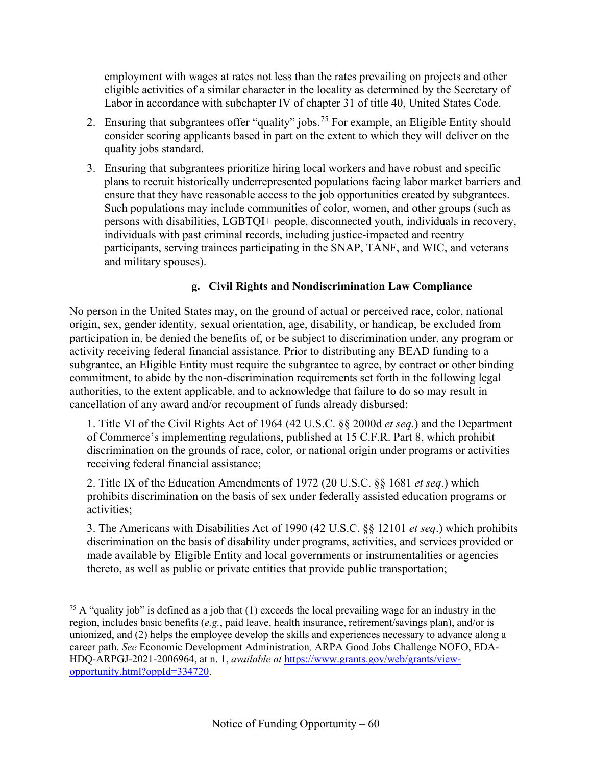employment with wages at rates not less than the rates prevailing on projects and other eligible activities of a similar character in the locality as determined by the Secretary of Labor in accordance with subchapter IV of chapter 31 of title 40, United States Code.

- 2. Ensuring that subgrantees offer "quality" jobs.<sup>[75](#page-59-0)</sup> For example, an Eligible Entity should consider scoring applicants based in part on the extent to which they will deliver on the quality jobs standard.
- 3. Ensuring that subgrantees prioritize hiring local workers and have robust and specific plans to recruit historically underrepresented populations facing labor market barriers and ensure that they have reasonable access to the job opportunities created by subgrantees. Such populations may include communities of color, women, and other groups (such as persons with disabilities, LGBTQI+ people, disconnected youth, individuals in recovery, individuals with past criminal records, including justice-impacted and reentry participants, serving trainees participating in the SNAP, TANF, and WIC, and veterans and military spouses).

## **g. Civil Rights and Nondiscrimination Law Compliance**

No person in the United States may, on the ground of actual or perceived race, color, national origin, sex, gender identity, sexual orientation, age, disability, or handicap, be excluded from participation in, be denied the benefits of, or be subject to discrimination under, any program or activity receiving federal financial assistance. Prior to distributing any BEAD funding to a subgrantee, an Eligible Entity must require the subgrantee to agree, by contract or other binding commitment, to abide by the non-discrimination requirements set forth in the following legal authorities, to the extent applicable, and to acknowledge that failure to do so may result in cancellation of any award and/or recoupment of funds already disbursed:

1. Title VI of the Civil Rights Act of 1964 (42 U.S.C. §§ 2000d *et seq*.) and the Department of Commerce's implementing regulations, published at 15 C.F.R. Part 8, which prohibit discrimination on the grounds of race, color, or national origin under programs or activities receiving federal financial assistance;

2. Title IX of the Education Amendments of 1972 (20 U.S.C. §§ 1681 *et seq*.) which prohibits discrimination on the basis of sex under federally assisted education programs or activities;

3. The Americans with Disabilities Act of 1990 (42 U.S.C. §§ 12101 *et seq*.) which prohibits discrimination on the basis of disability under programs, activities, and services provided or made available by Eligible Entity and local governments or instrumentalities or agencies thereto, as well as public or private entities that provide public transportation;

<span id="page-59-0"></span><sup>&</sup>lt;sup>75</sup> A "quality job" is defined as a job that  $(1)$  exceeds the local prevailing wage for an industry in the region, includes basic benefits (*e.g.*, paid leave, health insurance, retirement/savings plan), and/or is unionized, and (2) helps the employee develop the skills and experiences necessary to advance along a career path. *See* Economic Development Administration*,* ARPA Good Jobs Challenge NOFO, EDA-HDQ-ARPGJ-2021-2006964, at n. 1, *available at* [https://www.grants.gov/web/grants/view](https://www.grants.gov/web/grants/view-opportunity.html?oppId=334720)[opportunity.html?oppId=334720.](https://www.grants.gov/web/grants/view-opportunity.html?oppId=334720)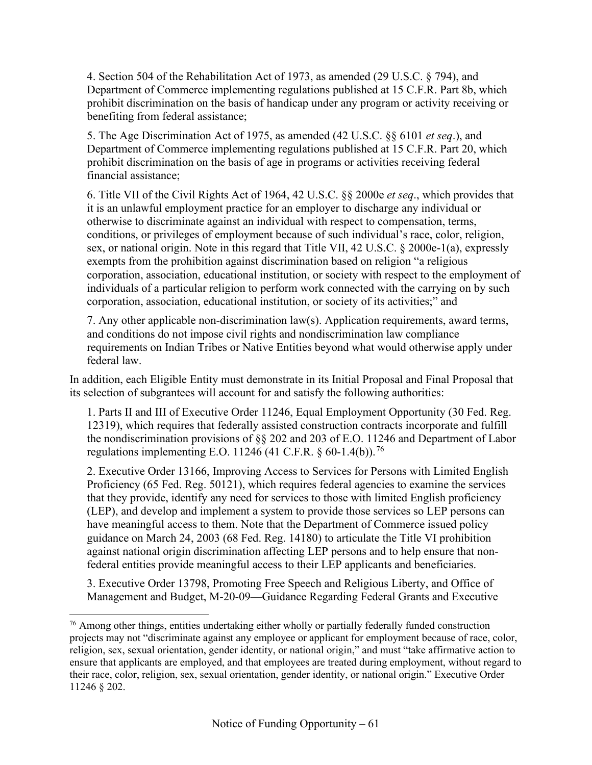4. Section 504 of the Rehabilitation Act of 1973, as amended (29 U.S.C. § 794), and Department of Commerce implementing regulations published at 15 C.F.R. Part 8b, which prohibit discrimination on the basis of handicap under any program or activity receiving or benefiting from federal assistance;

5. The Age Discrimination Act of 1975, as amended (42 U.S.C. §§ 6101 *et seq*.), and Department of Commerce implementing regulations published at 15 C.F.R. Part 20, which prohibit discrimination on the basis of age in programs or activities receiving federal financial assistance;

6. Title VII of the Civil Rights Act of 1964, 42 U.S.C. §§ 2000e *et seq*., which provides that it is an unlawful employment practice for an employer to discharge any individual or otherwise to discriminate against an individual with respect to compensation, terms, conditions, or privileges of employment because of such individual's race, color, religion, sex, or national origin. Note in this regard that Title VII, 42 U.S.C. § 2000e-1(a), expressly exempts from the prohibition against discrimination based on religion "a religious corporation, association, educational institution, or society with respect to the employment of individuals of a particular religion to perform work connected with the carrying on by such corporation, association, educational institution, or society of its activities;" and

7. Any other applicable non-discrimination law(s). Application requirements, award terms, and conditions do not impose civil rights and nondiscrimination law compliance requirements on Indian Tribes or Native Entities beyond what would otherwise apply under federal law.

In addition, each Eligible Entity must demonstrate in its Initial Proposal and Final Proposal that its selection of subgrantees will account for and satisfy the following authorities:

1. Parts II and III of Executive Order 11246, Equal Employment Opportunity (30 Fed. Reg. 12319), which requires that federally assisted construction contracts incorporate and fulfill the nondiscrimination provisions of §§ 202 and 203 of E.O. 11246 and Department of Labor regulations implementing E.O. 11246 (41 C.F.R. § 60-1.4(b)).<sup>[76](#page-60-0)</sup>

2. Executive Order 13166, Improving Access to Services for Persons with Limited English Proficiency (65 Fed. Reg. 50121), which requires federal agencies to examine the services that they provide, identify any need for services to those with limited English proficiency (LEP), and develop and implement a system to provide those services so LEP persons can have meaningful access to them. Note that the Department of Commerce issued policy guidance on March 24, 2003 (68 Fed. Reg. 14180) to articulate the Title VI prohibition against national origin discrimination affecting LEP persons and to help ensure that nonfederal entities provide meaningful access to their LEP applicants and beneficiaries.

3. Executive Order 13798, Promoting Free Speech and Religious Liberty, and Office of Management and Budget, M-20-09—Guidance Regarding Federal Grants and Executive

<span id="page-60-0"></span> $76$  Among other things, entities undertaking either wholly or partially federally funded construction projects may not "discriminate against any employee or applicant for employment because of race, color, religion, sex, sexual orientation, gender identity, or national origin," and must "take affirmative action to ensure that applicants are employed, and that employees are treated during employment, without regard to their race, color, religion, sex, sexual orientation, gender identity, or national origin." Executive Order 11246 § 202.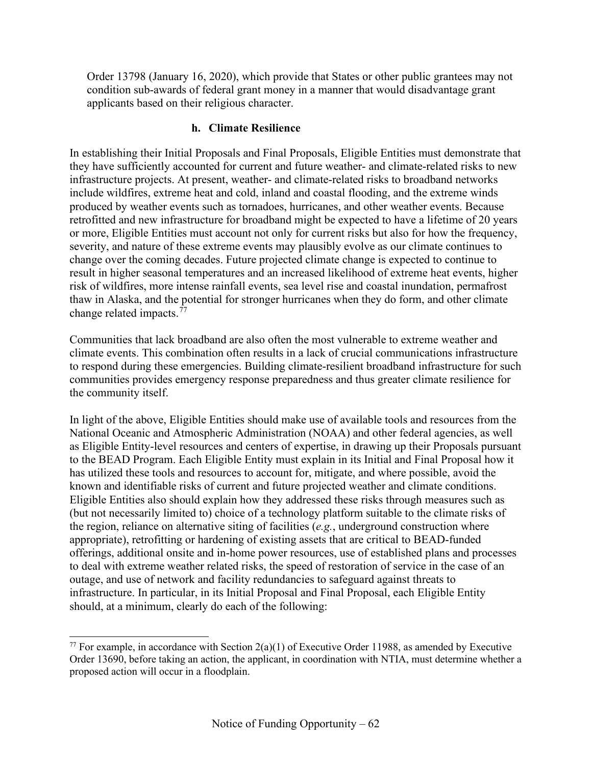Order 13798 (January 16, 2020), which provide that States or other public grantees may not condition sub-awards of federal grant money in a manner that would disadvantage grant applicants based on their religious character.

#### **h. Climate Resilience**

In establishing their Initial Proposals and Final Proposals, Eligible Entities must demonstrate that they have sufficiently accounted for current and future weather- and climate-related risks to new infrastructure projects. At present, weather- and climate-related risks to broadband networks include wildfires, extreme heat and cold, inland and coastal flooding, and the extreme winds produced by weather events such as tornadoes, hurricanes, and other weather events. Because retrofitted and new infrastructure for broadband might be expected to have a lifetime of 20 years or more, Eligible Entities must account not only for current risks but also for how the frequency, severity, and nature of these extreme events may plausibly evolve as our climate continues to change over the coming decades. Future projected climate change is expected to continue to result in higher seasonal temperatures and an increased likelihood of extreme heat events, higher risk of wildfires, more intense rainfall events, sea level rise and coastal inundation, permafrost thaw in Alaska, and the potential for stronger hurricanes when they do form, and other climate change related impacts.<sup>[77](#page-61-0)</sup>

Communities that lack broadband are also often the most vulnerable to extreme weather and climate events. This combination often results in a lack of crucial communications infrastructure to respond during these emergencies. Building climate-resilient broadband infrastructure for such communities provides emergency response preparedness and thus greater climate resilience for the community itself.

In light of the above, Eligible Entities should make use of available tools and resources from the National Oceanic and Atmospheric Administration (NOAA) and other federal agencies, as well as Eligible Entity-level resources and centers of expertise, in drawing up their Proposals pursuant to the BEAD Program. Each Eligible Entity must explain in its Initial and Final Proposal how it has utilized these tools and resources to account for, mitigate, and where possible, avoid the known and identifiable risks of current and future projected weather and climate conditions. Eligible Entities also should explain how they addressed these risks through measures such as (but not necessarily limited to) choice of a technology platform suitable to the climate risks of the region, reliance on alternative siting of facilities (*e.g.*, underground construction where appropriate), retrofitting or hardening of existing assets that are critical to BEAD-funded offerings, additional onsite and in-home power resources, use of established plans and processes to deal with extreme weather related risks, the speed of restoration of service in the case of an outage, and use of network and facility redundancies to safeguard against threats to infrastructure. In particular, in its Initial Proposal and Final Proposal, each Eligible Entity should, at a minimum, clearly do each of the following:

<span id="page-61-0"></span><sup>&</sup>lt;sup>77</sup> For example, in accordance with Section  $2(a)(1)$  of Executive Order 11988, as amended by Executive Order 13690, before taking an action, the applicant, in coordination with NTIA, must determine whether a proposed action will occur in a floodplain.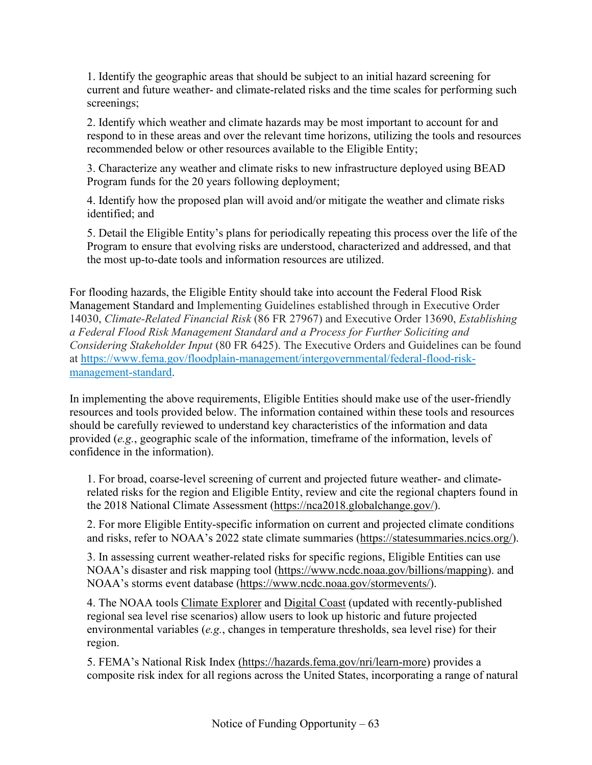1. Identify the geographic areas that should be subject to an initial hazard screening for current and future weather- and climate-related risks and the time scales for performing such screenings;

2. Identify which weather and climate hazards may be most important to account for and respond to in these areas and over the relevant time horizons, utilizing the tools and resources recommended below or other resources available to the Eligible Entity;

3. Characterize any weather and climate risks to new infrastructure deployed using BEAD Program funds for the 20 years following deployment;

4. Identify how the proposed plan will avoid and/or mitigate the weather and climate risks identified; and

5. Detail the Eligible Entity's plans for periodically repeating this process over the life of the Program to ensure that evolving risks are understood, characterized and addressed, and that the most up-to-date tools and information resources are utilized.

For flooding hazards, the Eligible Entity should take into account the Federal Flood Risk Management Standard and Implementing Guidelines established through in Executive Order 14030, *Climate-Related Financial Risk* (86 FR 27967) and Executive Order 13690, *Establishing a Federal Flood Risk Management Standard and a Process for Further Soliciting and Considering Stakeholder Input* (80 FR 6425). The Executive Orders and Guidelines can be found at [https://www.fema.gov/floodplain-management/intergovernmental/federal-flood-risk](https://gcc02.safelinks.protection.outlook.com/?url=https%3A%2F%2Furldefense.com%2Fv3%2F__https%3A%2F%2Fwww.fema.gov%2Ffloodplain-management%2Fintergovernmental%2Ffederal-flood-risk-management-standard__%3B!!FiG2giev53vN!520aGQUe5RpvE1BAzM7ywzFEbv0ydzcRbA-PAcF_Fh9u1SYGSfypRM8xyFcSvWhyzj5oNli7BHRVt_2YyeJRZPHuMOmaJ2c%24&data=05%7C01%7Crhanser%40ntia.gov%7C74d517a7c5f644522f6d08da2e1be584%7Cd6cff1bd67dd4ce8945dd07dc775672f%7C0%7C0%7C637872994609891602%7CUnknown%7CTWFpbGZsb3d8eyJWIjoiMC4wLjAwMDAiLCJQIjoiV2luMzIiLCJBTiI6Ik1haWwiLCJXVCI6Mn0%3D%7C3000%7C%7C%7C&sdata=Suknq9f4Q3m9fLIrd6USMB%2BybiMnDj267%2F8baLzwi94%3D&reserved=0)[management-standard.](https://gcc02.safelinks.protection.outlook.com/?url=https%3A%2F%2Furldefense.com%2Fv3%2F__https%3A%2F%2Fwww.fema.gov%2Ffloodplain-management%2Fintergovernmental%2Ffederal-flood-risk-management-standard__%3B!!FiG2giev53vN!520aGQUe5RpvE1BAzM7ywzFEbv0ydzcRbA-PAcF_Fh9u1SYGSfypRM8xyFcSvWhyzj5oNli7BHRVt_2YyeJRZPHuMOmaJ2c%24&data=05%7C01%7Crhanser%40ntia.gov%7C74d517a7c5f644522f6d08da2e1be584%7Cd6cff1bd67dd4ce8945dd07dc775672f%7C0%7C0%7C637872994609891602%7CUnknown%7CTWFpbGZsb3d8eyJWIjoiMC4wLjAwMDAiLCJQIjoiV2luMzIiLCJBTiI6Ik1haWwiLCJXVCI6Mn0%3D%7C3000%7C%7C%7C&sdata=Suknq9f4Q3m9fLIrd6USMB%2BybiMnDj267%2F8baLzwi94%3D&reserved=0)

In implementing the above requirements, Eligible Entities should make use of the user-friendly resources and tools provided below. The information contained within these tools and resources should be carefully reviewed to understand key characteristics of the information and data provided (*e.g.*, geographic scale of the information, timeframe of the information, levels of confidence in the information).

1. For broad, coarse-level screening of current and projected future weather- and climaterelated risks for the region and Eligible Entity, review and cite the regional chapters found in the 2018 National Climate Assessment [\(https://nca2018.globalchange.gov/\)](https://nca2018.globalchange.gov/).

2. For more Eligible Entity-specific information on current and projected climate conditions and risks, refer to NOAA's 2022 state climate summaries [\(https://statesummaries.ncics.org/\)](https://statesummaries.ncics.org/).

3. In assessing current weather-related risks for specific regions, Eligible Entities can use NOAA's disaster and risk mapping tool [\(https://www.ncdc.noaa.gov/billions/mapping\)](https://www.ncdc.noaa.gov/billions/mapping). and NOAA's storms event database [\(https://www.ncdc.noaa.gov/stormevents/\)](https://www.ncdc.noaa.gov/stormevents/).

4. The NOAA tools [Climate Explorer](https://crt-climate-explorer.nemac.org/) and [Digital Coast](https://coast.noaa.gov/digitalcoast/) (updated with recently-published regional sea level rise scenarios) allow users to look up historic and future projected environmental variables (*e.g.*, changes in temperature thresholds, sea level rise) for their region.

5. FEMA's National Risk Index [\(https://hazards.fema.gov/nri/learn-more\)](https://hazards.fema.gov/nri/learn-more) provides a composite risk index for all regions across the United States, incorporating a range of natural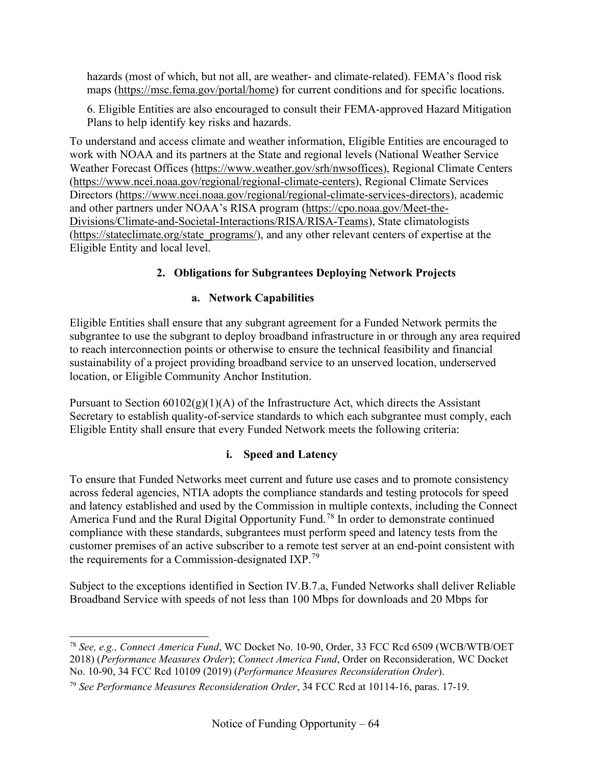hazards (most of which, but not all, are weather- and climate-related). FEMA's flood risk maps [\(https://msc.fema.gov/portal/home\)](https://msc.fema.gov/portal/home) for current conditions and for specific locations.

6. Eligible Entities are also encouraged to consult their FEMA-approved Hazard Mitigation Plans to help identify key risks and hazards.

To understand and access climate and weather information, Eligible Entities are encouraged to work with NOAA and its partners at the State and regional levels (National Weather Service Weather Forecast Offices [\(https://www.weather.gov/srh/nwsoffices\)](https://www.weather.gov/srh/nwsoffices), Regional Climate Centers [\(https://www.ncei.noaa.gov/regional/regional-climate-centers\)](https://www.ncei.noaa.gov/regional/regional-climate-centers), Regional Climate Services Directors [\(https://www.ncei.noaa.gov/regional/regional-climate-services-directors\)](https://www.ncei.noaa.gov/regional/regional-climate-services-directors), academic and other partners under NOAA's RISA program [\(https://cpo.noaa.gov/Meet-the-](https://cpo.noaa.gov/Meet-the-Divisions/Climate-and-Societal-Interactions/RISA/RISA-Teams)[Divisions/Climate-and-Societal-Interactions/RISA/RISA-Teams\)](https://cpo.noaa.gov/Meet-the-Divisions/Climate-and-Societal-Interactions/RISA/RISA-Teams), State climatologists [\(https://stateclimate.org/state\\_programs/\)](https://stateclimate.org/state_programs/), and any other relevant centers of expertise at the Eligible Entity and local level.

# **2. Obligations for Subgrantees Deploying Network Projects**

## **a. Network Capabilities**

Eligible Entities shall ensure that any subgrant agreement for a Funded Network permits the subgrantee to use the subgrant to deploy broadband infrastructure in or through any area required to reach interconnection points or otherwise to ensure the technical feasibility and financial sustainability of a project providing broadband service to an unserved location, underserved location, or Eligible Community Anchor Institution.

Pursuant to Section  $60102(g)(1)(A)$  of the Infrastructure Act, which directs the Assistant Secretary to establish quality-of-service standards to which each subgrantee must comply, each Eligible Entity shall ensure that every Funded Network meets the following criteria:

## **i. Speed and Latency**

To ensure that Funded Networks meet current and future use cases and to promote consistency across federal agencies, NTIA adopts the compliance standards and testing protocols for speed and latency established and used by the Commission in multiple contexts, including the Connect America Fund and the Rural Digital Opportunity Fund.<sup>[78](#page-63-0)</sup> In order to demonstrate continued compliance with these standards, subgrantees must perform speed and latency tests from the customer premises of an active subscriber to a remote test server at an end-point consistent with the requirements for a Commission-designated IXP.<sup>[79](#page-63-1)</sup>

Subject to the exceptions identified in Section [IV.B.7.a,](#page-34-1) Funded Networks shall deliver Reliable Broadband Service with speeds of not less than 100 Mbps for downloads and 20 Mbps for

<span id="page-63-0"></span><sup>78</sup> *See, e.g., Connect America Fund*, WC Docket No. 10-90, Order, 33 FCC Rcd 6509 (WCB/WTB/OET 2018) (*Performance Measures Order*); *Connect America Fund*, Order on Reconsideration, WC Docket No. 10-90, 34 FCC Rcd 10109 (2019) (*Performance Measures Reconsideration Order*).

<span id="page-63-1"></span><sup>79</sup> *See Performance Measures Reconsideration Order*, 34 FCC Rcd at 10114-16, paras. 17-19.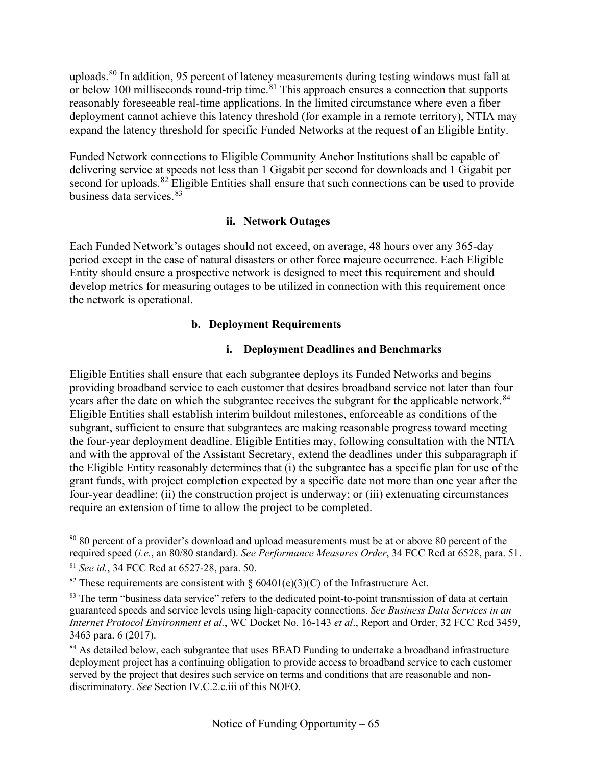uploads.<sup>[80](#page-64-0)</sup> In addition, 95 percent of latency measurements during testing windows must fall at or below 100 milliseconds round-trip time.  $81$  This approach ensures a connection that supports reasonably foreseeable real-time applications. In the limited circumstance where even a fiber deployment cannot achieve this latency threshold (for example in a remote territory), NTIA may expand the latency threshold for specific Funded Networks at the request of an Eligible Entity.

Funded Network connections to Eligible Community Anchor Institutions shall be capable of delivering service at speeds not less than 1 Gigabit per second for downloads and 1 Gigabit per second for uploads.<sup>[82](#page-64-2)</sup> Eligible Entities shall ensure that such connections can be used to provide business data services. [83](#page-64-3)

## **ii. Network Outages**

Each Funded Network's outages should not exceed, on average, 48 hours over any 365-day period except in the case of natural disasters or other force majeure occurrence. Each Eligible Entity should ensure a prospective network is designed to meet this requirement and should develop metrics for measuring outages to be utilized in connection with this requirement once the network is operational.

## **b. Deployment Requirements**

## **i. Deployment Deadlines and Benchmarks**

Eligible Entities shall ensure that each subgrantee deploys its Funded Networks and begins providing broadband service to each customer that desires broadband service not later than four years after the date on which the subgrantee receives the subgrant for the applicable network.<sup>[84](#page-64-4)</sup> Eligible Entities shall establish interim buildout milestones, enforceable as conditions of the subgrant, sufficient to ensure that subgrantees are making reasonable progress toward meeting the four-year deployment deadline. Eligible Entities may, following consultation with the NTIA and with the approval of the Assistant Secretary, extend the deadlines under this subparagraph if the Eligible Entity reasonably determines that (i) the subgrantee has a specific plan for use of the grant funds, with project completion expected by a specific date not more than one year after the four-year deadline; (ii) the construction project is underway; or (iii) extenuating circumstances require an extension of time to allow the project to be completed.

<span id="page-64-0"></span><sup>&</sup>lt;sup>80</sup> 80 percent of a provider's download and upload measurements must be at or above 80 percent of the required speed (*i.e.*, an 80/80 standard). *See Performance Measures Order*, 34 FCC Rcd at 6528, para. 51.

<span id="page-64-1"></span><sup>81</sup> *See id.*, 34 FCC Rcd at 6527-28, para. 50.

<span id="page-64-2"></span><sup>&</sup>lt;sup>82</sup> These requirements are consistent with § 60401(e)(3)(C) of the Infrastructure Act.

<span id="page-64-3"></span><sup>&</sup>lt;sup>83</sup> The term "business data service" refers to the dedicated point-to-point transmission of data at certain guaranteed speeds and service levels using high-capacity connections. *See Business Data Services in an Internet Protocol Environment et al.*, WC Docket No. 16-143 *et al*., Report and Order, 32 FCC Rcd 3459, 3463 para. 6 (2017).

<span id="page-64-4"></span><sup>&</sup>lt;sup>84</sup> As detailed below, each subgrantee that uses BEAD Funding to undertake a broadband infrastructure deployment project has a continuing obligation to provide access to broadband service to each customer served by the project that desires such service on terms and conditions that are reasonable and nondiscriminatory. *See* Section [IV.C.2.c.iii](#page-67-0) of this NOFO.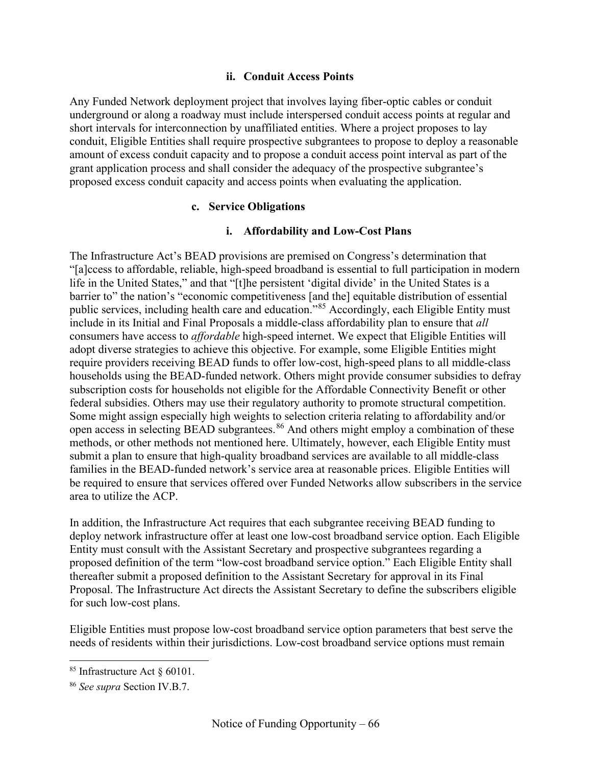#### **ii. Conduit Access Points**

Any Funded Network deployment project that involves laying fiber-optic cables or conduit underground or along a roadway must include interspersed conduit access points at regular and short intervals for interconnection by unaffiliated entities. Where a project proposes to lay conduit, Eligible Entities shall require prospective subgrantees to propose to deploy a reasonable amount of excess conduit capacity and to propose a conduit access point interval as part of the grant application process and shall consider the adequacy of the prospective subgrantee's proposed excess conduit capacity and access points when evaluating the application.

#### **c. Service Obligations**

## **i. Affordability and Low-Cost Plans**

The Infrastructure Act's BEAD provisions are premised on Congress's determination that "[a]ccess to affordable, reliable, high-speed broadband is essential to full participation in modern life in the United States," and that "[t]he persistent 'digital divide' in the United States is a barrier to" the nation's "economic competitiveness [and the] equitable distribution of essential public services, including health care and education."[85](#page-65-0) Accordingly, each Eligible Entity must include in its Initial and Final Proposals a middle-class affordability plan to ensure that *all* consumers have access to *affordable* high-speed internet. We expect that Eligible Entities will adopt diverse strategies to achieve this objective. For example, some Eligible Entities might require providers receiving BEAD funds to offer low-cost, high-speed plans to all middle-class households using the BEAD-funded network. Others might provide consumer subsidies to defray subscription costs for households not eligible for the Affordable Connectivity Benefit or other federal subsidies. Others may use their regulatory authority to promote structural competition. Some might assign especially high weights to selection criteria relating to affordability and/or open access in selecting BEAD subgrantees.<sup>[86](#page-65-1)</sup> And others might employ a combination of these methods, or other methods not mentioned here. Ultimately, however, each Eligible Entity must submit a plan to ensure that high-quality broadband services are available to all middle-class families in the BEAD-funded network's service area at reasonable prices. Eligible Entities will be required to ensure that services offered over Funded Networks allow subscribers in the service area to utilize the ACP.

In addition, the Infrastructure Act requires that each subgrantee receiving BEAD funding to deploy network infrastructure offer at least one low-cost broadband service option. Each Eligible Entity must consult with the Assistant Secretary and prospective subgrantees regarding a proposed definition of the term "low-cost broadband service option." Each Eligible Entity shall thereafter submit a proposed definition to the Assistant Secretary for approval in its Final Proposal. The Infrastructure Act directs the Assistant Secretary to define the subscribers eligible for such low-cost plans.

Eligible Entities must propose low-cost broadband service option parameters that best serve the needs of residents within their jurisdictions. Low-cost broadband service options must remain

<span id="page-65-0"></span><sup>85</sup> Infrastructure Act § 60101.

<span id="page-65-1"></span><sup>86</sup> *See supra* Section [IV.B.7.](#page-34-0)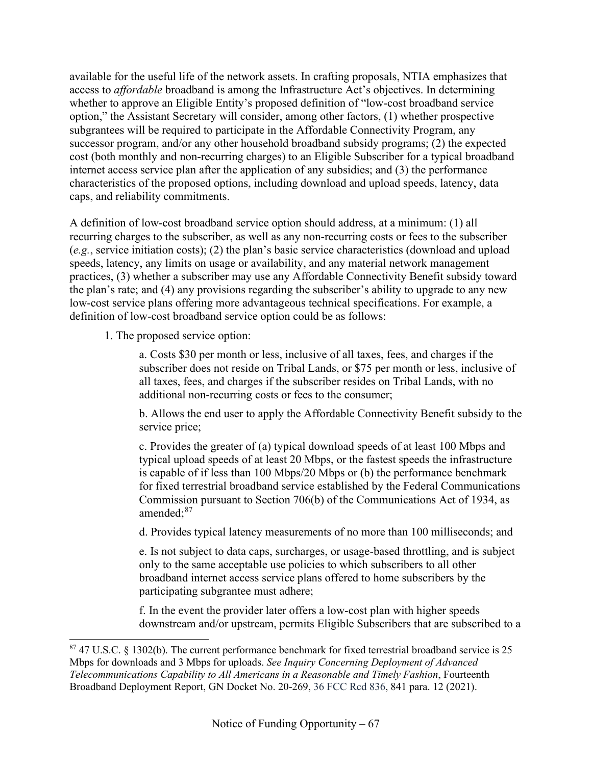available for the useful life of the network assets. In crafting proposals, NTIA emphasizes that access to *affordable* broadband is among the Infrastructure Act's objectives. In determining whether to approve an Eligible Entity's proposed definition of "low-cost broadband service option," the Assistant Secretary will consider, among other factors, (1) whether prospective subgrantees will be required to participate in the Affordable Connectivity Program, any successor program, and/or any other household broadband subsidy programs; (2) the expected cost (both monthly and non-recurring charges) to an Eligible Subscriber for a typical broadband internet access service plan after the application of any subsidies; and (3) the performance characteristics of the proposed options, including download and upload speeds, latency, data caps, and reliability commitments.

A definition of low-cost broadband service option should address, at a minimum: (1) all recurring charges to the subscriber, as well as any non-recurring costs or fees to the subscriber (*e.g.*, service initiation costs); (2) the plan's basic service characteristics (download and upload speeds, latency, any limits on usage or availability, and any material network management practices, (3) whether a subscriber may use any Affordable Connectivity Benefit subsidy toward the plan's rate; and (4) any provisions regarding the subscriber's ability to upgrade to any new low-cost service plans offering more advantageous technical specifications. For example, a definition of low-cost broadband service option could be as follows:

1. The proposed service option:

a. Costs \$30 per month or less, inclusive of all taxes, fees, and charges if the subscriber does not reside on Tribal Lands, or \$75 per month or less, inclusive of all taxes, fees, and charges if the subscriber resides on Tribal Lands, with no additional non-recurring costs or fees to the consumer;

b. Allows the end user to apply the Affordable Connectivity Benefit subsidy to the service price;

c. Provides the greater of (a) typical download speeds of at least 100 Mbps and typical upload speeds of at least 20 Mbps, or the fastest speeds the infrastructure is capable of if less than 100 Mbps/20 Mbps or (b) the performance benchmark for fixed terrestrial broadband service established by the Federal Communications Commission pursuant to Section 706(b) of the Communications Act of 1934, as amended;[87](#page-66-0)

d. Provides typical latency measurements of no more than 100 milliseconds; and

e. Is not subject to data caps, surcharges, or usage-based throttling, and is subject only to the same acceptable use policies to which subscribers to all other broadband internet access service plans offered to home subscribers by the participating subgrantee must adhere;

f. In the event the provider later offers a low-cost plan with higher speeds downstream and/or upstream, permits Eligible Subscribers that are subscribed to a

<span id="page-66-0"></span><sup>87</sup> 47 U.S.C. § 1302(b). The current performance benchmark for fixed terrestrial broadband service is 25 Mbps for downloads and 3 Mbps for uploads. *See Inquiry Concerning Deployment of Advanced Telecommunications Capability to All Americans in a Reasonable and Timely Fashion*, Fourteenth Broadband Deployment Report, GN Docket No. 20-269, 36 FCC Rcd 836, 841 para. 12 (2021).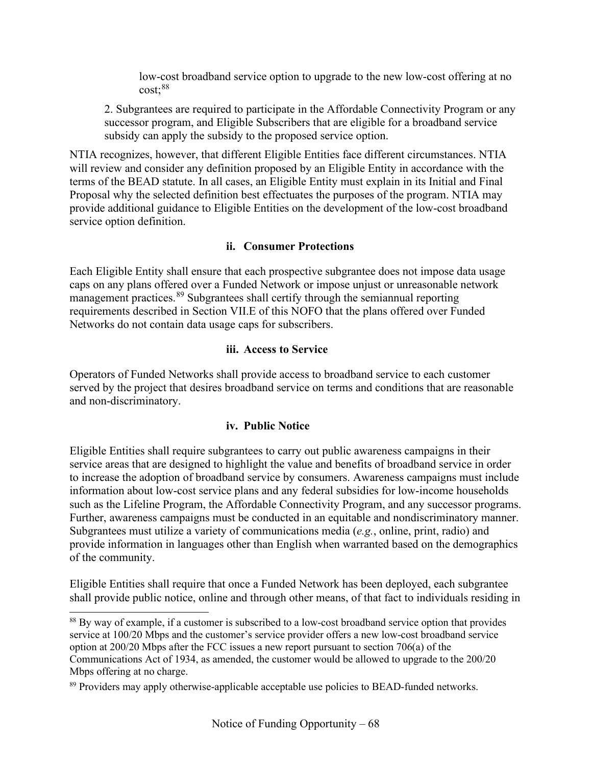low-cost broadband service option to upgrade to the new low-cost offering at no cost; [88](#page-67-1)

2. Subgrantees are required to participate in the Affordable Connectivity Program or any successor program, and Eligible Subscribers that are eligible for a broadband service subsidy can apply the subsidy to the proposed service option.

NTIA recognizes, however, that different Eligible Entities face different circumstances. NTIA will review and consider any definition proposed by an Eligible Entity in accordance with the terms of the BEAD statute. In all cases, an Eligible Entity must explain in its Initial and Final Proposal why the selected definition best effectuates the purposes of the program. NTIA may provide additional guidance to Eligible Entities on the development of the low-cost broadband service option definition.

## **ii. Consumer Protections**

Each Eligible Entity shall ensure that each prospective subgrantee does not impose data usage caps on any plans offered over a Funded Network or impose unjust or unreasonable network management practices. <sup>[89](#page-67-2)</sup> Subgrantees shall certify through the semiannual reporting requirements described in Section V[II.E](#page-88-0) of this NOFO that the plans offered over Funded Networks do not contain data usage caps for subscribers.

## **iii. Access to Service**

<span id="page-67-0"></span>Operators of Funded Networks shall provide access to broadband service to each customer served by the project that desires broadband service on terms and conditions that are reasonable and non-discriminatory.

## **iv. Public Notice**

Eligible Entities shall require subgrantees to carry out public awareness campaigns in their service areas that are designed to highlight the value and benefits of broadband service in order to increase the adoption of broadband service by consumers. Awareness campaigns must include information about low-cost service plans and any federal subsidies for low-income households such as the Lifeline Program, the Affordable Connectivity Program, and any successor programs. Further, awareness campaigns must be conducted in an equitable and nondiscriminatory manner. Subgrantees must utilize a variety of communications media (*e.g.*, online, print, radio) and provide information in languages other than English when warranted based on the demographics of the community.

Eligible Entities shall require that once a Funded Network has been deployed, each subgrantee shall provide public notice, online and through other means, of that fact to individuals residing in

<span id="page-67-1"></span><sup>&</sup>lt;sup>88</sup> By way of example, if a customer is subscribed to a low-cost broadband service option that provides service at 100/20 Mbps and the customer's service provider offers a new low-cost broadband service option at 200/20 Mbps after the FCC issues a new report pursuant to section 706(a) of the Communications Act of 1934, as amended, the customer would be allowed to upgrade to the 200/20 Mbps offering at no charge.

<span id="page-67-2"></span><sup>&</sup>lt;sup>89</sup> Providers may apply otherwise-applicable acceptable use policies to BEAD-funded networks.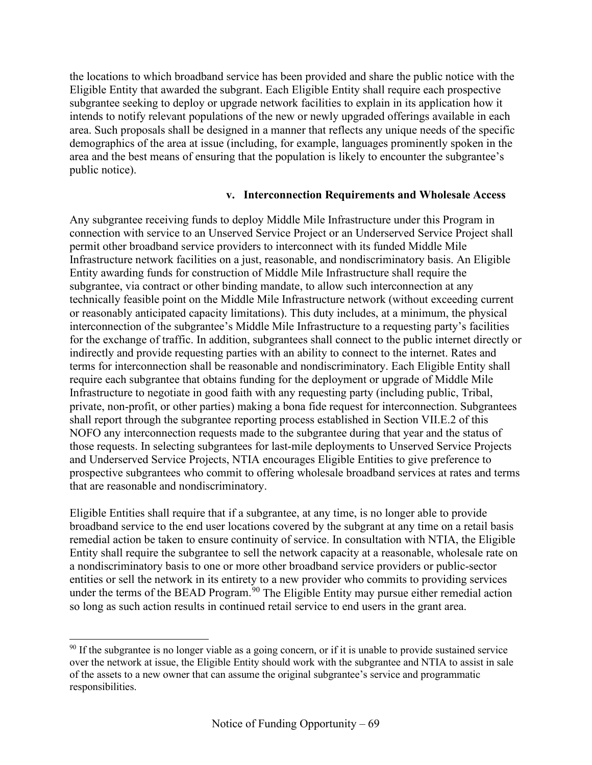the locations to which broadband service has been provided and share the public notice with the Eligible Entity that awarded the subgrant. Each Eligible Entity shall require each prospective subgrantee seeking to deploy or upgrade network facilities to explain in its application how it intends to notify relevant populations of the new or newly upgraded offerings available in each area. Such proposals shall be designed in a manner that reflects any unique needs of the specific demographics of the area at issue (including, for example, languages prominently spoken in the area and the best means of ensuring that the population is likely to encounter the subgrantee's public notice).

#### **v. Interconnection Requirements and Wholesale Access**

Any subgrantee receiving funds to deploy Middle Mile Infrastructure under this Program in connection with service to an Unserved Service Project or an Underserved Service Project shall permit other broadband service providers to interconnect with its funded Middle Mile Infrastructure network facilities on a just, reasonable, and nondiscriminatory basis. An Eligible Entity awarding funds for construction of Middle Mile Infrastructure shall require the subgrantee, via contract or other binding mandate, to allow such interconnection at any technically feasible point on the Middle Mile Infrastructure network (without exceeding current or reasonably anticipated capacity limitations). This duty includes, at a minimum, the physical interconnection of the subgrantee's Middle Mile Infrastructure to a requesting party's facilities for the exchange of traffic. In addition, subgrantees shall connect to the public internet directly or indirectly and provide requesting parties with an ability to connect to the internet. Rates and terms for interconnection shall be reasonable and nondiscriminatory. Each Eligible Entity shall require each subgrantee that obtains funding for the deployment or upgrade of Middle Mile Infrastructure to negotiate in good faith with any requesting party (including public, Tribal, private, non-profit, or other parties) making a bona fide request for interconnection. Subgrantees shall report through the subgrantee reporting process established in Section V[II.E.2](#page-89-0) of this NOFO any interconnection requests made to the subgrantee during that year and the status of those requests. In selecting subgrantees for last-mile deployments to Unserved Service Projects and Underserved Service Projects, NTIA encourages Eligible Entities to give preference to prospective subgrantees who commit to offering wholesale broadband services at rates and terms that are reasonable and nondiscriminatory.

Eligible Entities shall require that if a subgrantee, at any time, is no longer able to provide broadband service to the end user locations covered by the subgrant at any time on a retail basis remedial action be taken to ensure continuity of service. In consultation with NTIA, the Eligible Entity shall require the subgrantee to sell the network capacity at a reasonable, wholesale rate on a nondiscriminatory basis to one or more other broadband service providers or public-sector entities or sell the network in its entirety to a new provider who commits to providing services under the terms of the BEAD Program.<sup>[90](#page-68-0)</sup> The Eligible Entity may pursue either remedial action so long as such action results in continued retail service to end users in the grant area.

<span id="page-68-0"></span><sup>&</sup>lt;sup>90</sup> If the subgrantee is no longer viable as a going concern, or if it is unable to provide sustained service over the network at issue, the Eligible Entity should work with the subgrantee and NTIA to assist in sale of the assets to a new owner that can assume the original subgrantee's service and programmatic responsibilities.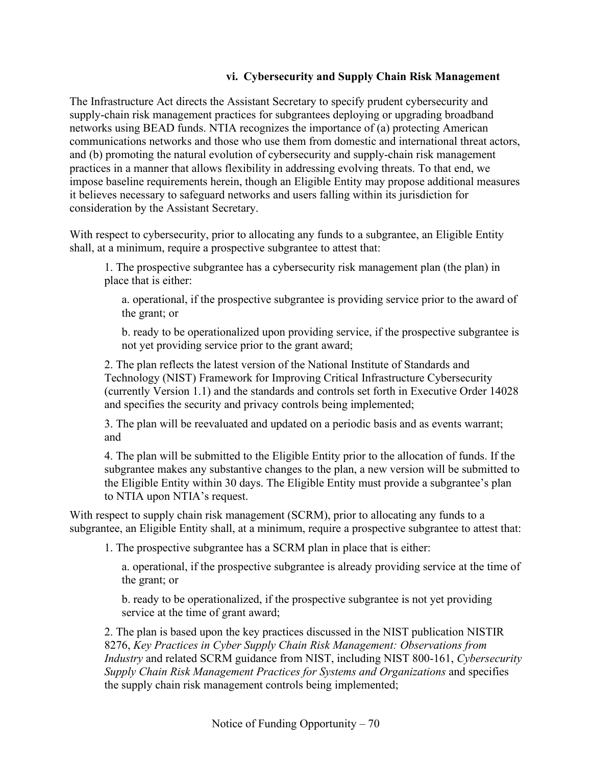## **vi. Cybersecurity and Supply Chain Risk Management**

The Infrastructure Act directs the Assistant Secretary to specify prudent cybersecurity and supply-chain risk management practices for subgrantees deploying or upgrading broadband networks using BEAD funds. NTIA recognizes the importance of (a) protecting American communications networks and those who use them from domestic and international threat actors, and (b) promoting the natural evolution of cybersecurity and supply-chain risk management practices in a manner that allows flexibility in addressing evolving threats. To that end, we impose baseline requirements herein, though an Eligible Entity may propose additional measures it believes necessary to safeguard networks and users falling within its jurisdiction for consideration by the Assistant Secretary.

With respect to cybersecurity, prior to allocating any funds to a subgrantee, an Eligible Entity shall, at a minimum, require a prospective subgrantee to attest that:

1. The prospective subgrantee has a cybersecurity risk management plan (the plan) in place that is either:

a. operational, if the prospective subgrantee is providing service prior to the award of the grant; or

b. ready to be operationalized upon providing service, if the prospective subgrantee is not yet providing service prior to the grant award;

2. The plan reflects the latest version of the National Institute of Standards and Technology (NIST) Framework for Improving Critical Infrastructure Cybersecurity (currently Version 1.1) and the standards and controls set forth in Executive Order 14028 and specifies the security and privacy controls being implemented;

3. The plan will be reevaluated and updated on a periodic basis and as events warrant; and

4. The plan will be submitted to the Eligible Entity prior to the allocation of funds. If the subgrantee makes any substantive changes to the plan, a new version will be submitted to the Eligible Entity within 30 days. The Eligible Entity must provide a subgrantee's plan to NTIA upon NTIA's request.

With respect to supply chain risk management (SCRM), prior to allocating any funds to a subgrantee, an Eligible Entity shall, at a minimum, require a prospective subgrantee to attest that:

1. The prospective subgrantee has a SCRM plan in place that is either:

a. operational, if the prospective subgrantee is already providing service at the time of the grant; or

b. ready to be operationalized, if the prospective subgrantee is not yet providing service at the time of grant award;

2. The plan is based upon the key practices discussed in the NIST publication NISTIR 8276, *Key Practices in Cyber Supply Chain Risk Management: Observations from Industry* and related SCRM guidance from NIST, including NIST 800-161, *Cybersecurity Supply Chain Risk Management Practices for Systems and Organizations* and specifies the supply chain risk management controls being implemented;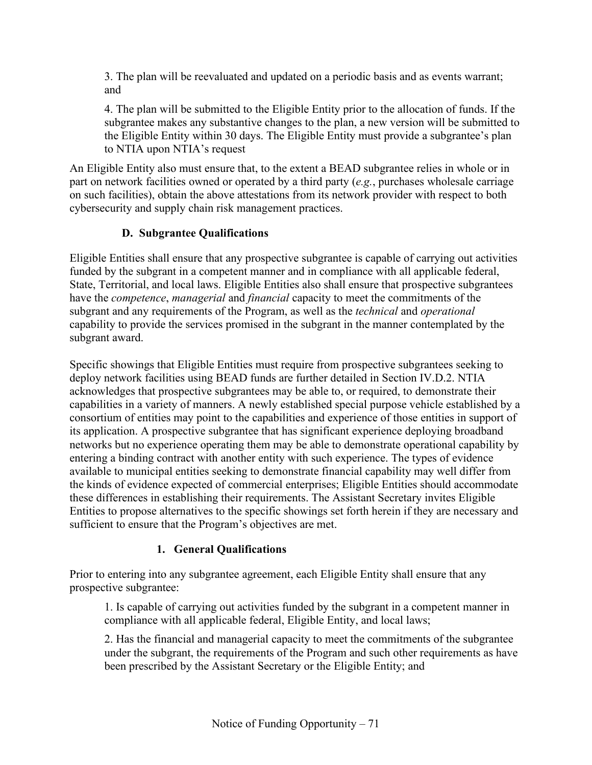3. The plan will be reevaluated and updated on a periodic basis and as events warrant; and

4. The plan will be submitted to the Eligible Entity prior to the allocation of funds. If the subgrantee makes any substantive changes to the plan, a new version will be submitted to the Eligible Entity within 30 days. The Eligible Entity must provide a subgrantee's plan to NTIA upon NTIA's request

An Eligible Entity also must ensure that, to the extent a BEAD subgrantee relies in whole or in part on network facilities owned or operated by a third party (*e.g.*, purchases wholesale carriage on such facilities), obtain the above attestations from its network provider with respect to both cybersecurity and supply chain risk management practices.

## **D. Subgrantee Qualifications**

Eligible Entities shall ensure that any prospective subgrantee is capable of carrying out activities funded by the subgrant in a competent manner and in compliance with all applicable federal, State, Territorial, and local laws. Eligible Entities also shall ensure that prospective subgrantees have the *competence*, *managerial* and *financial* capacity to meet the commitments of the subgrant and any requirements of the Program, as well as the *technical* and *operational*  capability to provide the services promised in the subgrant in the manner contemplated by the subgrant award.

Specific showings that Eligible Entities must require from prospective subgrantees seeking to deploy network facilities using BEAD funds are further detailed in Section [IV.D.2.](#page-71-0) NTIA acknowledges that prospective subgrantees may be able to, or required, to demonstrate their capabilities in a variety of manners. A newly established special purpose vehicle established by a consortium of entities may point to the capabilities and experience of those entities in support of its application. A prospective subgrantee that has significant experience deploying broadband networks but no experience operating them may be able to demonstrate operational capability by entering a binding contract with another entity with such experience. The types of evidence available to municipal entities seeking to demonstrate financial capability may well differ from the kinds of evidence expected of commercial enterprises; Eligible Entities should accommodate these differences in establishing their requirements. The Assistant Secretary invites Eligible Entities to propose alternatives to the specific showings set forth herein if they are necessary and sufficient to ensure that the Program's objectives are met.

## **1. General Qualifications**

Prior to entering into any subgrantee agreement, each Eligible Entity shall ensure that any prospective subgrantee:

1. Is capable of carrying out activities funded by the subgrant in a competent manner in compliance with all applicable federal, Eligible Entity, and local laws;

2. Has the financial and managerial capacity to meet the commitments of the subgrantee under the subgrant, the requirements of the Program and such other requirements as have been prescribed by the Assistant Secretary or the Eligible Entity; and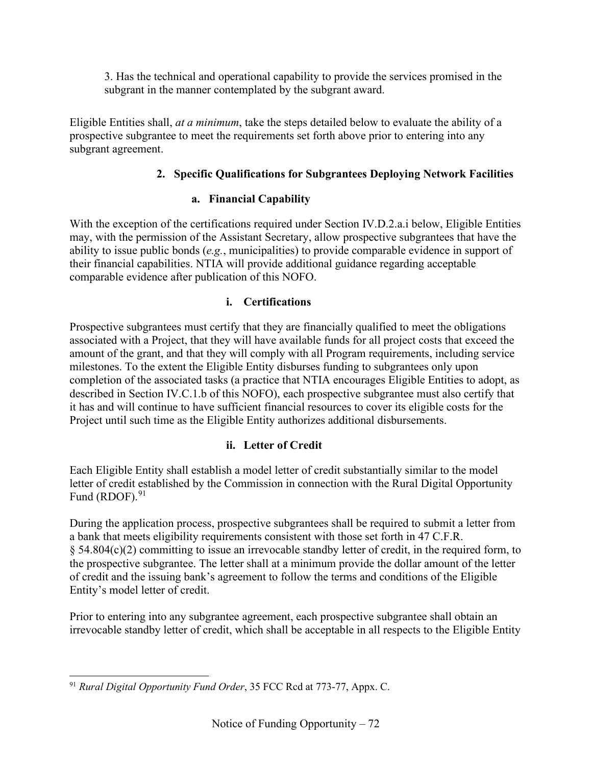3. Has the technical and operational capability to provide the services promised in the subgrant in the manner contemplated by the subgrant award.

<span id="page-71-0"></span>Eligible Entities shall, *at a minimum*, take the steps detailed below to evaluate the ability of a prospective subgrantee to meet the requirements set forth above prior to entering into any subgrant agreement.

# **2. Specific Qualifications for Subgrantees Deploying Network Facilities**

# **a. Financial Capability**

With the exception of the certifications required under Section [IV.D.2.a.i](#page-71-1) below, Eligible Entities may, with the permission of the Assistant Secretary, allow prospective subgrantees that have the ability to issue public bonds (*e.g.*, municipalities) to provide comparable evidence in support of their financial capabilities. NTIA will provide additional guidance regarding acceptable comparable evidence after publication of this NOFO.

# **i. Certifications**

<span id="page-71-1"></span>Prospective subgrantees must certify that they are financially qualified to meet the obligations associated with a Project, that they will have available funds for all project costs that exceed the amount of the grant, and that they will comply with all Program requirements, including service milestones. To the extent the Eligible Entity disburses funding to subgrantees only upon completion of the associated tasks (a practice that NTIA encourages Eligible Entities to adopt, as described in Section [IV.C.1.b](#page-50-1) of this NOFO), each prospective subgrantee must also certify that it has and will continue to have sufficient financial resources to cover its eligible costs for the Project until such time as the Eligible Entity authorizes additional disbursements.

# **ii. Letter of Credit**

Each Eligible Entity shall establish a model letter of credit substantially similar to the model letter of credit established by the Commission in connection with the Rural Digital Opportunity Fund (RDOF). $91$ 

During the application process, prospective subgrantees shall be required to submit a letter from a bank that meets eligibility requirements consistent with those set forth in 47 C.F.R. § 54.804(c)(2) committing to issue an irrevocable standby letter of credit, in the required form, to the prospective subgrantee. The letter shall at a minimum provide the dollar amount of the letter of credit and the issuing bank's agreement to follow the terms and conditions of the Eligible Entity's model letter of credit.

Prior to entering into any subgrantee agreement, each prospective subgrantee shall obtain an irrevocable standby letter of credit, which shall be acceptable in all respects to the Eligible Entity

<span id="page-71-2"></span><sup>91</sup> *Rural Digital Opportunity Fund Order*, 35 FCC Rcd at 773-77, Appx. C.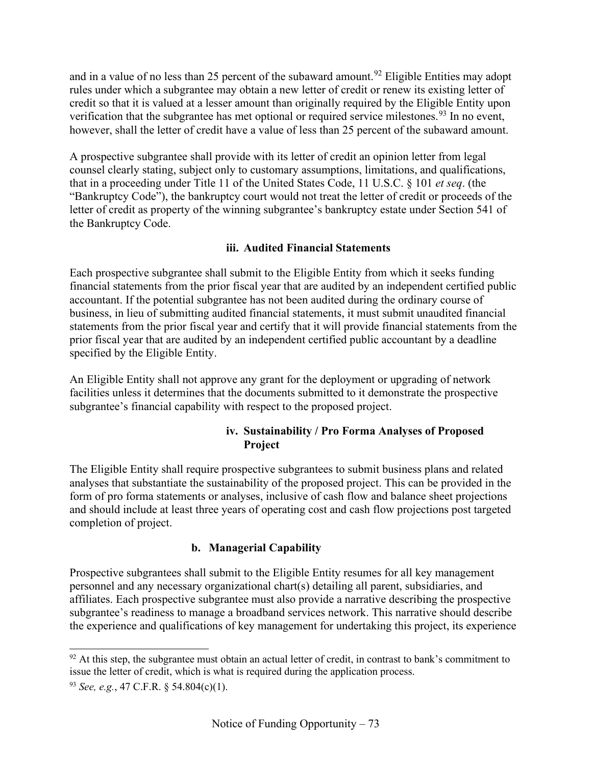and in a value of no less than 25 percent of the subaward amount.<sup>[92](#page-72-0)</sup> Eligible Entities may adopt rules under which a subgrantee may obtain a new letter of credit or renew its existing letter of credit so that it is valued at a lesser amount than originally required by the Eligible Entity upon verification that the subgrantee has met optional or required service milestones.<sup>[93](#page-72-1)</sup> In no event, however, shall the letter of credit have a value of less than 25 percent of the subaward amount.

A prospective subgrantee shall provide with its letter of credit an opinion letter from legal counsel clearly stating, subject only to customary assumptions, limitations, and qualifications, that in a proceeding under Title 11 of the United States Code, 11 U.S.C. § 101 *et seq*. (the "Bankruptcy Code"), the bankruptcy court would not treat the letter of credit or proceeds of the letter of credit as property of the winning subgrantee's bankruptcy estate under Section 541 of the Bankruptcy Code.

### **iii. Audited Financial Statements**

Each prospective subgrantee shall submit to the Eligible Entity from which it seeks funding financial statements from the prior fiscal year that are audited by an independent certified public accountant. If the potential subgrantee has not been audited during the ordinary course of business, in lieu of submitting audited financial statements, it must submit unaudited financial statements from the prior fiscal year and certify that it will provide financial statements from the prior fiscal year that are audited by an independent certified public accountant by a deadline specified by the Eligible Entity.

An Eligible Entity shall not approve any grant for the deployment or upgrading of network facilities unless it determines that the documents submitted to it demonstrate the prospective subgrantee's financial capability with respect to the proposed project.

#### **iv. Sustainability / Pro Forma Analyses of Proposed Project**

The Eligible Entity shall require prospective subgrantees to submit business plans and related analyses that substantiate the sustainability of the proposed project. This can be provided in the form of pro forma statements or analyses, inclusive of cash flow and balance sheet projections and should include at least three years of operating cost and cash flow projections post targeted completion of project.

## **b. Managerial Capability**

Prospective subgrantees shall submit to the Eligible Entity resumes for all key management personnel and any necessary organizational chart(s) detailing all parent, subsidiaries, and affiliates. Each prospective subgrantee must also provide a narrative describing the prospective subgrantee's readiness to manage a broadband services network. This narrative should describe the experience and qualifications of key management for undertaking this project, its experience

<span id="page-72-0"></span> $92$  At this step, the subgrantee must obtain an actual letter of credit, in contrast to bank's commitment to issue the letter of credit, which is what is required during the application process.

<span id="page-72-1"></span><sup>93</sup> *See, e.g.*, 47 C.F.R. § 54.804(c)(1).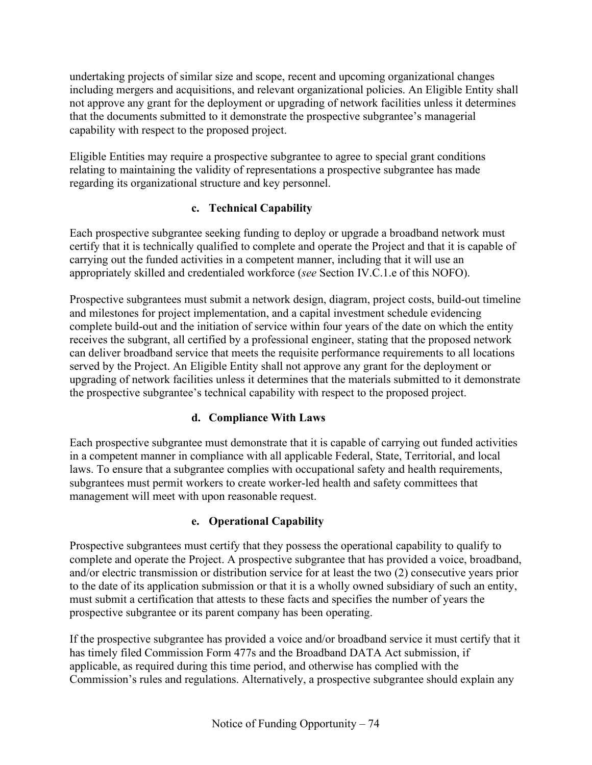undertaking projects of similar size and scope, recent and upcoming organizational changes including mergers and acquisitions, and relevant organizational policies. An Eligible Entity shall not approve any grant for the deployment or upgrading of network facilities unless it determines that the documents submitted to it demonstrate the prospective subgrantee's managerial capability with respect to the proposed project.

Eligible Entities may require a prospective subgrantee to agree to special grant conditions relating to maintaining the validity of representations a prospective subgrantee has made regarding its organizational structure and key personnel.

## **c. Technical Capability**

Each prospective subgrantee seeking funding to deploy or upgrade a broadband network must certify that it is technically qualified to complete and operate the Project and that it is capable of carrying out the funded activities in a competent manner, including that it will use an appropriately skilled and credentialed workforce (*see* Section [IV.C.1.e](#page-55-0) of this NOFO).

Prospective subgrantees must submit a network design, diagram, project costs, build-out timeline and milestones for project implementation, and a capital investment schedule evidencing complete build-out and the initiation of service within four years of the date on which the entity receives the subgrant, all certified by a professional engineer, stating that the proposed network can deliver broadband service that meets the requisite performance requirements to all locations served by the Project. An Eligible Entity shall not approve any grant for the deployment or upgrading of network facilities unless it determines that the materials submitted to it demonstrate the prospective subgrantee's technical capability with respect to the proposed project.

## **d. Compliance With Laws**

Each prospective subgrantee must demonstrate that it is capable of carrying out funded activities in a competent manner in compliance with all applicable Federal, State, Territorial, and local laws. To ensure that a subgrantee complies with occupational safety and health requirements, subgrantees must permit workers to create worker-led health and safety committees that management will meet with upon reasonable request.

## **e. Operational Capability**

Prospective subgrantees must certify that they possess the operational capability to qualify to complete and operate the Project. A prospective subgrantee that has provided a voice, broadband, and/or electric transmission or distribution service for at least the two (2) consecutive years prior to the date of its application submission or that it is a wholly owned subsidiary of such an entity, must submit a certification that attests to these facts and specifies the number of years the prospective subgrantee or its parent company has been operating.

If the prospective subgrantee has provided a voice and/or broadband service it must certify that it has timely filed Commission Form 477s and the Broadband DATA Act submission, if applicable, as required during this time period, and otherwise has complied with the Commission's rules and regulations. Alternatively, a prospective subgrantee should explain any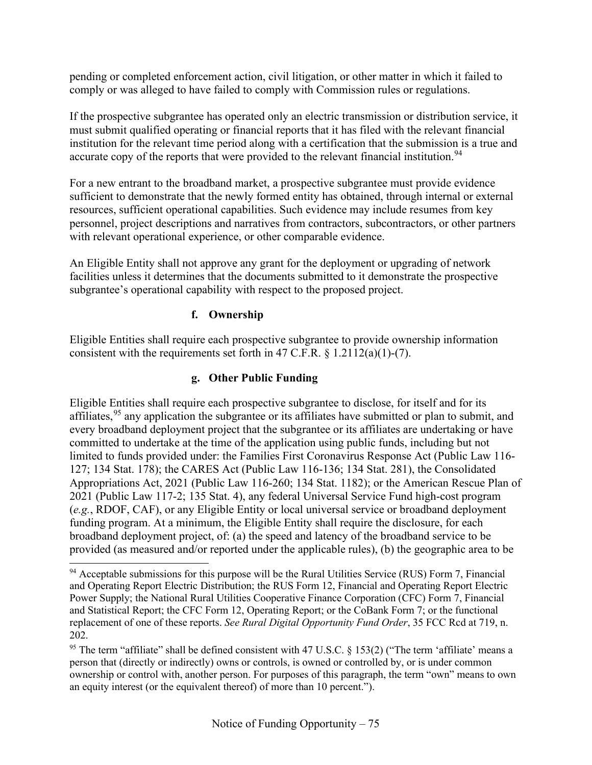pending or completed enforcement action, civil litigation, or other matter in which it failed to comply or was alleged to have failed to comply with Commission rules or regulations.

If the prospective subgrantee has operated only an electric transmission or distribution service, it must submit qualified operating or financial reports that it has filed with the relevant financial institution for the relevant time period along with a certification that the submission is a true and accurate copy of the reports that were provided to the relevant financial institution.<sup>[94](#page-74-0)</sup>

For a new entrant to the broadband market, a prospective subgrantee must provide evidence sufficient to demonstrate that the newly formed entity has obtained, through internal or external resources, sufficient operational capabilities. Such evidence may include resumes from key personnel, project descriptions and narratives from contractors, subcontractors, or other partners with relevant operational experience, or other comparable evidence.

An Eligible Entity shall not approve any grant for the deployment or upgrading of network facilities unless it determines that the documents submitted to it demonstrate the prospective subgrantee's operational capability with respect to the proposed project.

### **f. Ownership**

Eligible Entities shall require each prospective subgrantee to provide ownership information consistent with the requirements set forth in 47 C.F.R.  $\S$  1.2112(a)(1)-(7).

### **g. Other Public Funding**

Eligible Entities shall require each prospective subgrantee to disclose, for itself and for its affiliates,<sup>[95](#page-74-1)</sup> any application the subgrantee or its affiliates have submitted or plan to submit, and every broadband deployment project that the subgrantee or its affiliates are undertaking or have committed to undertake at the time of the application using public funds, including but not limited to funds provided under: the Families First Coronavirus Response Act (Public Law 116- 127; 134 Stat. 178); the CARES Act (Public Law 116-136; 134 Stat. 281), the Consolidated Appropriations Act, 2021 (Public Law 116-260; 134 Stat. 1182); or the American Rescue Plan of 2021 (Public Law 117-2; 135 Stat. 4), any federal Universal Service Fund high-cost program (*e.g.*, RDOF, CAF), or any Eligible Entity or local universal service or broadband deployment funding program. At a minimum, the Eligible Entity shall require the disclosure, for each broadband deployment project, of: (a) the speed and latency of the broadband service to be provided (as measured and/or reported under the applicable rules), (b) the geographic area to be

<span id="page-74-0"></span><sup>&</sup>lt;sup>94</sup> Acceptable submissions for this purpose will be the Rural Utilities Service (RUS) Form 7, Financial and Operating Report Electric Distribution; the RUS Form 12, Financial and Operating Report Electric Power Supply; the National Rural Utilities Cooperative Finance Corporation (CFC) Form 7, Financial and Statistical Report; the CFC Form 12, Operating Report; or the CoBank Form 7; or the functional replacement of one of these reports. *See Rural Digital Opportunity Fund Order*, 35 FCC Rcd at 719, n. 202.

<span id="page-74-1"></span><sup>&</sup>lt;sup>95</sup> The term "affiliate" shall be defined consistent with 47 U.S.C. § 153(2) ("The term 'affiliate' means a person that (directly or indirectly) owns or controls, is owned or controlled by, or is under common ownership or control with, another person. For purposes of this paragraph, the term "own" means to own an equity interest (or the equivalent thereof) of more than 10 percent.").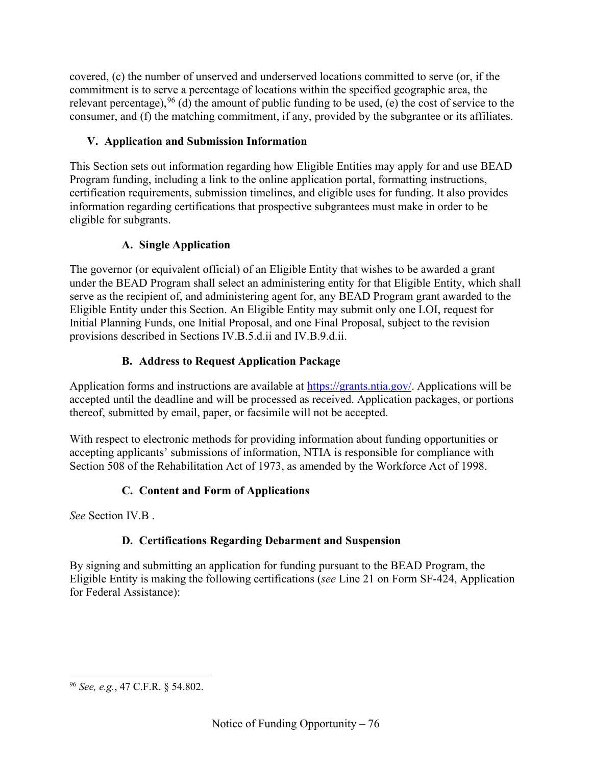covered, (c) the number of unserved and underserved locations committed to serve (or, if the commitment is to serve a percentage of locations within the specified geographic area, the relevant percentage),  $96$  (d) the amount of public funding to be used, (e) the cost of service to the consumer, and (f) the matching commitment, if any, provided by the subgrantee or its affiliates.

## **V. Application and Submission Information**

This Section sets out information regarding how Eligible Entities may apply for and use BEAD Program funding, including a link to the online application portal, formatting instructions, certification requirements, submission timelines, and eligible uses for funding. It also provides information regarding certifications that prospective subgrantees must make in order to be eligible for subgrants.

## **A. Single Application**

The governor (or equivalent official) of an Eligible Entity that wishes to be awarded a grant under the BEAD Program shall select an administering entity for that Eligible Entity, which shall serve as the recipient of, and administering agent for, any BEAD Program grant awarded to the Eligible Entity under this Section. An Eligible Entity may submit only one LOI, request for Initial Planning Funds, one Initial Proposal, and one Final Proposal, subject to the revision provisions described in Sections [IV.B.5.d.ii](#page-33-0) and [IV.B.9.d.ii.](#page-48-0)

# **B. Address to Request Application Package**

Application forms and instructions are available at [https://grants.ntia.gov/.](https://grants.ntia.gov/%20.) Applications will be accepted until the deadline and will be processed as received. Application packages, or portions thereof, submitted by email, paper, or facsimile will not be accepted.

With respect to electronic methods for providing information about funding opportunities or accepting applicants' submissions of information, NTIA is responsible for compliance with Section 508 of the Rehabilitation Act of 1973, as amended by the Workforce Act of 1998.

# **C. Content and Form of Applications**

*See* Section [IV.B](#page-22-0) .

# **D. Certifications Regarding Debarment and Suspension**

By signing and submitting an application for funding pursuant to the BEAD Program, the Eligible Entity is making the following certifications (*see* Line 21 on Form SF-424, Application for Federal Assistance):

<span id="page-75-0"></span><sup>96</sup> *See, e.g.*, 47 C.F.R. § 54.802.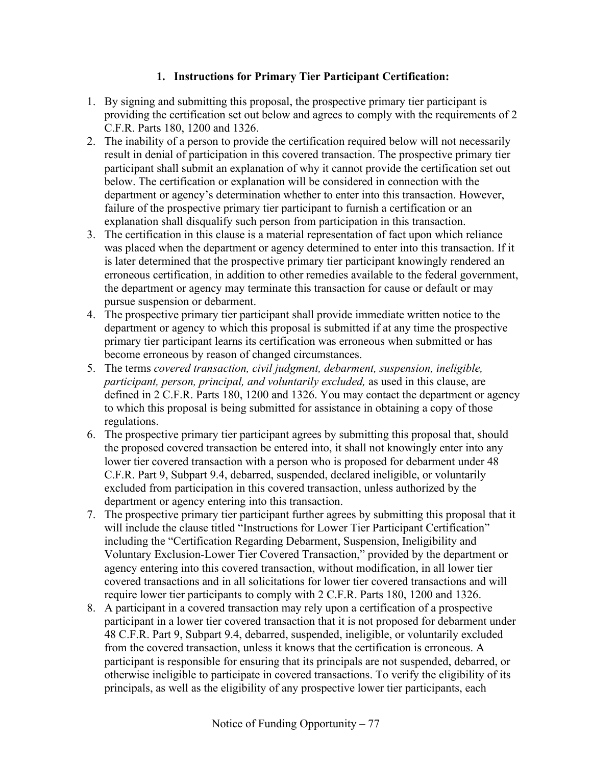#### **1. Instructions for Primary Tier Participant Certification:**

- 1. By signing and submitting this proposal, the prospective primary tier participant is providing the certification set out below and agrees to comply with the requirements of 2 C.F.R. Parts 180, 1200 and 1326.
- 2. The inability of a person to provide the certification required below will not necessarily result in denial of participation in this covered transaction. The prospective primary tier participant shall submit an explanation of why it cannot provide the certification set out below. The certification or explanation will be considered in connection with the department or agency's determination whether to enter into this transaction. However, failure of the prospective primary tier participant to furnish a certification or an explanation shall disqualify such person from participation in this transaction.
- 3. The certification in this clause is a material representation of fact upon which reliance was placed when the department or agency determined to enter into this transaction. If it is later determined that the prospective primary tier participant knowingly rendered an erroneous certification, in addition to other remedies available to the federal government, the department or agency may terminate this transaction for cause or default or may pursue suspension or debarment.
- 4. The prospective primary tier participant shall provide immediate written notice to the department or agency to which this proposal is submitted if at any time the prospective primary tier participant learns its certification was erroneous when submitted or has become erroneous by reason of changed circumstances.
- 5. The terms *covered transaction, civil judgment, debarment, suspension, ineligible, participant, person, principal, and voluntarily excluded, as used in this clause, are* defined in 2 C.F.R. Parts 180, 1200 and 1326. You may contact the department or agency to which this proposal is being submitted for assistance in obtaining a copy of those regulations.
- 6. The prospective primary tier participant agrees by submitting this proposal that, should the proposed covered transaction be entered into, it shall not knowingly enter into any lower tier covered transaction with a person who is proposed for debarment under 48 C.F.R. Part 9, Subpart 9.4, debarred, suspended, declared ineligible, or voluntarily excluded from participation in this covered transaction, unless authorized by the department or agency entering into this transaction.
- 7. The prospective primary tier participant further agrees by submitting this proposal that it will include the clause titled "Instructions for Lower Tier Participant Certification" including the "Certification Regarding Debarment, Suspension, Ineligibility and Voluntary Exclusion-Lower Tier Covered Transaction," provided by the department or agency entering into this covered transaction, without modification, in all lower tier covered transactions and in all solicitations for lower tier covered transactions and will require lower tier participants to comply with 2 C.F.R. Parts 180, 1200 and 1326.
- 8. A participant in a covered transaction may rely upon a certification of a prospective participant in a lower tier covered transaction that it is not proposed for debarment under 48 C.F.R. Part 9, Subpart 9.4, debarred, suspended, ineligible, or voluntarily excluded from the covered transaction, unless it knows that the certification is erroneous. A participant is responsible for ensuring that its principals are not suspended, debarred, or otherwise ineligible to participate in covered transactions. To verify the eligibility of its principals, as well as the eligibility of any prospective lower tier participants, each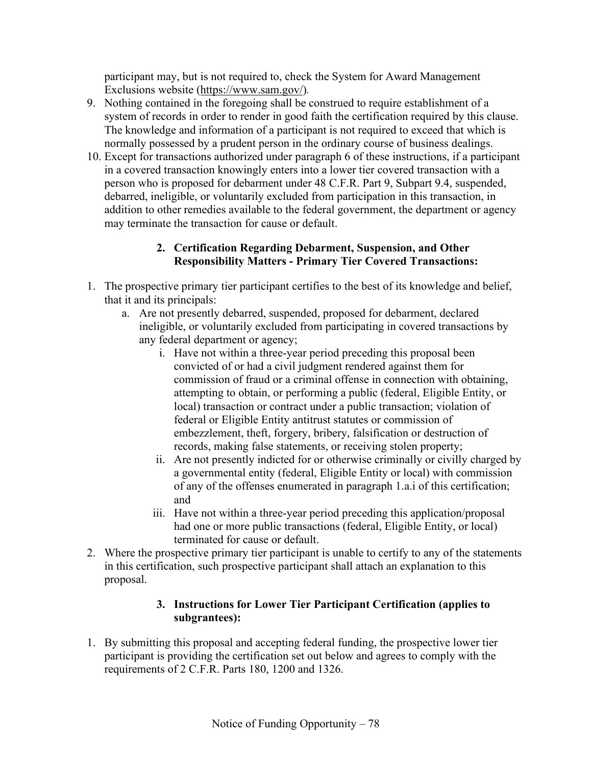participant may, but is not required to, check the System for Award Management Exclusions website [\(https://www.sam.gov/\)](https://www.sam.gov/)*.*

- 9. Nothing contained in the foregoing shall be construed to require establishment of a system of records in order to render in good faith the certification required by this clause. The knowledge and information of a participant is not required to exceed that which is normally possessed by a prudent person in the ordinary course of business dealings.
- 10. Except for transactions authorized under paragraph 6 of these instructions, if a participant in a covered transaction knowingly enters into a lower tier covered transaction with a person who is proposed for debarment under 48 C.F.R. Part 9, Subpart 9.4, suspended, debarred, ineligible, or voluntarily excluded from participation in this transaction, in addition to other remedies available to the federal government, the department or agency may terminate the transaction for cause or default.

#### **2. Certification Regarding Debarment, Suspension, and Other Responsibility Matters - Primary Tier Covered Transactions:**

- 1. The prospective primary tier participant certifies to the best of its knowledge and belief, that it and its principals:
	- a. Are not presently debarred, suspended, proposed for debarment, declared ineligible, or voluntarily excluded from participating in covered transactions by any federal department or agency;
		- i. Have not within a three-year period preceding this proposal been convicted of or had a civil judgment rendered against them for commission of fraud or a criminal offense in connection with obtaining, attempting to obtain, or performing a public (federal, Eligible Entity, or local) transaction or contract under a public transaction; violation of federal or Eligible Entity antitrust statutes or commission of embezzlement, theft, forgery, bribery, falsification or destruction of records, making false statements, or receiving stolen property;
		- ii. Are not presently indicted for or otherwise criminally or civilly charged by a governmental entity (federal, Eligible Entity or local) with commission of any of the offenses enumerated in paragraph 1.a.i of this certification; and
		- iii. Have not within a three-year period preceding this application/proposal had one or more public transactions (federal, Eligible Entity, or local) terminated for cause or default.
- 2. Where the prospective primary tier participant is unable to certify to any of the statements in this certification, such prospective participant shall attach an explanation to this proposal.

#### **3. Instructions for Lower Tier Participant Certification (applies to subgrantees):**

1. By submitting this proposal and accepting federal funding, the prospective lower tier participant is providing the certification set out below and agrees to comply with the requirements of 2 C.F.R. Parts 180, 1200 and 1326.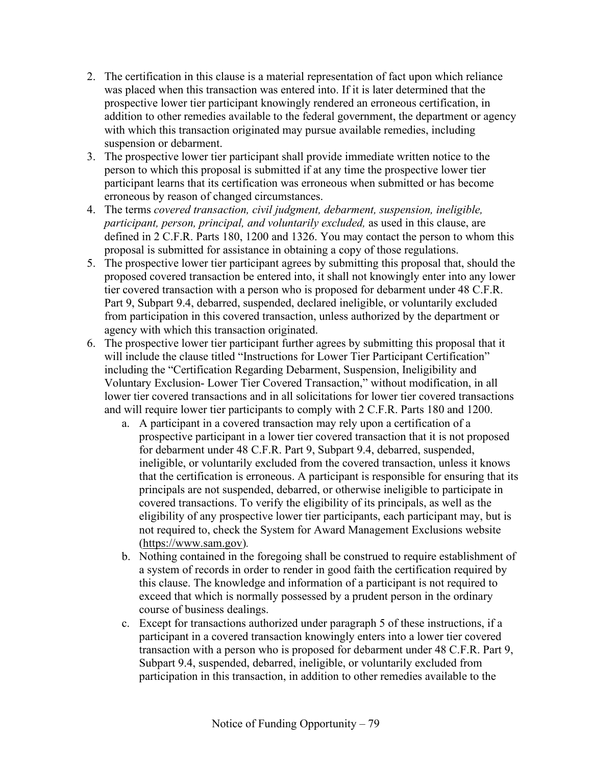- 2. The certification in this clause is a material representation of fact upon which reliance was placed when this transaction was entered into. If it is later determined that the prospective lower tier participant knowingly rendered an erroneous certification, in addition to other remedies available to the federal government, the department or agency with which this transaction originated may pursue available remedies, including suspension or debarment.
- 3. The prospective lower tier participant shall provide immediate written notice to the person to which this proposal is submitted if at any time the prospective lower tier participant learns that its certification was erroneous when submitted or has become erroneous by reason of changed circumstances.
- 4. The terms *covered transaction, civil judgment, debarment, suspension, ineligible, participant, person, principal, and voluntarily excluded, as used in this clause, are* defined in 2 C.F.R. Parts 180, 1200 and 1326. You may contact the person to whom this proposal is submitted for assistance in obtaining a copy of those regulations.
- 5. The prospective lower tier participant agrees by submitting this proposal that, should the proposed covered transaction be entered into, it shall not knowingly enter into any lower tier covered transaction with a person who is proposed for debarment under 48 C.F.R. Part 9, Subpart 9.4, debarred, suspended, declared ineligible, or voluntarily excluded from participation in this covered transaction, unless authorized by the department or agency with which this transaction originated.
- 6. The prospective lower tier participant further agrees by submitting this proposal that it will include the clause titled "Instructions for Lower Tier Participant Certification" including the "Certification Regarding Debarment, Suspension, Ineligibility and Voluntary Exclusion- Lower Tier Covered Transaction," without modification, in all lower tier covered transactions and in all solicitations for lower tier covered transactions and will require lower tier participants to comply with 2 C.F.R. Parts 180 and 1200.
	- a. A participant in a covered transaction may rely upon a certification of a prospective participant in a lower tier covered transaction that it is not proposed for debarment under 48 C.F.R. Part 9, Subpart 9.4, debarred, suspended, ineligible, or voluntarily excluded from the covered transaction, unless it knows that the certification is erroneous. A participant is responsible for ensuring that its principals are not suspended, debarred, or otherwise ineligible to participate in covered transactions. To verify the eligibility of its principals, as well as the eligibility of any prospective lower tier participants, each participant may, but is not required to, check the System for Award Management Exclusions website [\(https://www.sam.gov\)](https://www.sam.gov/)*.*
	- b. Nothing contained in the foregoing shall be construed to require establishment of a system of records in order to render in good faith the certification required by this clause. The knowledge and information of a participant is not required to exceed that which is normally possessed by a prudent person in the ordinary course of business dealings.
	- c. Except for transactions authorized under paragraph 5 of these instructions, if a participant in a covered transaction knowingly enters into a lower tier covered transaction with a person who is proposed for debarment under 48 C.F.R. Part 9, Subpart 9.4, suspended, debarred, ineligible, or voluntarily excluded from participation in this transaction, in addition to other remedies available to the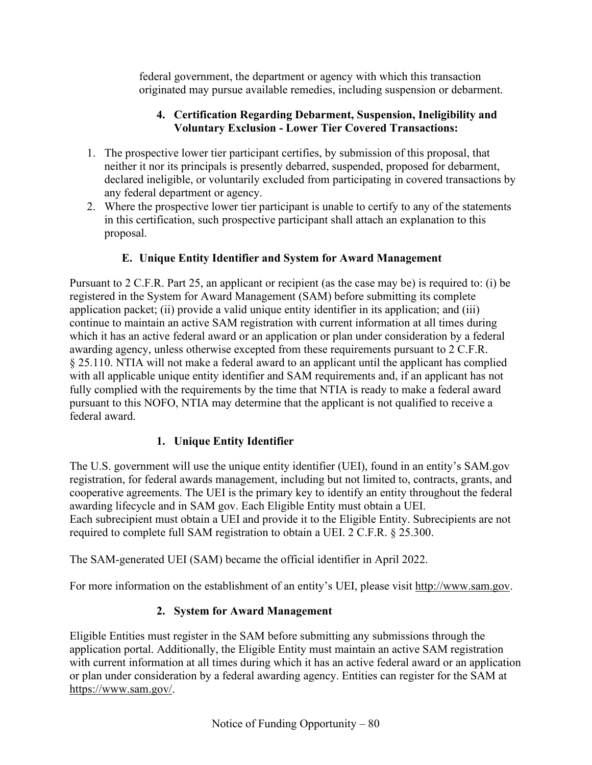federal government, the department or agency with which this transaction originated may pursue available remedies, including suspension or debarment.

### **4. Certification Regarding Debarment, Suspension, Ineligibility and Voluntary Exclusion - Lower Tier Covered Transactions:**

- 1. The prospective lower tier participant certifies, by submission of this proposal, that neither it nor its principals is presently debarred, suspended, proposed for debarment, declared ineligible, or voluntarily excluded from participating in covered transactions by any federal department or agency.
- 2. Where the prospective lower tier participant is unable to certify to any of the statements in this certification, such prospective participant shall attach an explanation to this proposal.

## **E. Unique Entity Identifier and System for Award Management**

Pursuant to 2 C.F.R. Part 25, an applicant or recipient (as the case may be) is required to: (i) be registered in the System for Award Management (SAM) before submitting its complete application packet; (ii) provide a valid unique entity identifier in its application; and (iii) continue to maintain an active SAM registration with current information at all times during which it has an active federal award or an application or plan under consideration by a federal awarding agency, unless otherwise excepted from these requirements pursuant to 2 C.F.R. § 25.110. NTIA will not make a federal award to an applicant until the applicant has complied with all applicable unique entity identifier and SAM requirements and, if an applicant has not fully complied with the requirements by the time that NTIA is ready to make a federal award pursuant to this NOFO, NTIA may determine that the applicant is not qualified to receive a federal award.

## **1. Unique Entity Identifier**

The U.S. government will use the unique entity identifier (UEI), found in an entity's SAM.gov registration, for federal awards management, including but not limited to, contracts, grants, and cooperative agreements. The UEI is the primary key to identify an entity throughout the federal awarding lifecycle and in SAM gov. Each Eligible Entity must obtain a UEI.

Each subrecipient must obtain a UEI and provide it to the Eligible Entity. Subrecipients are not required to complete full SAM registration to obtain a UEI. 2 C.F.R. § 25.300.

The SAM-generated UEI (SAM) became the official identifier in April 2022.

For more information on the establishment of an entity's UEI, please visit [http://www.sam.gov.](http://www.sam.gov/)

## **2. System for Award Management**

Eligible Entities must register in the SAM before submitting any submissions through the application portal. Additionally, the Eligible Entity must maintain an active SAM registration with current information at all times during which it has an active federal award or an application or plan under consideration by a federal awarding agency. Entities can register for the SAM at [https://www.sam.gov/.](https://www.sam.gov/)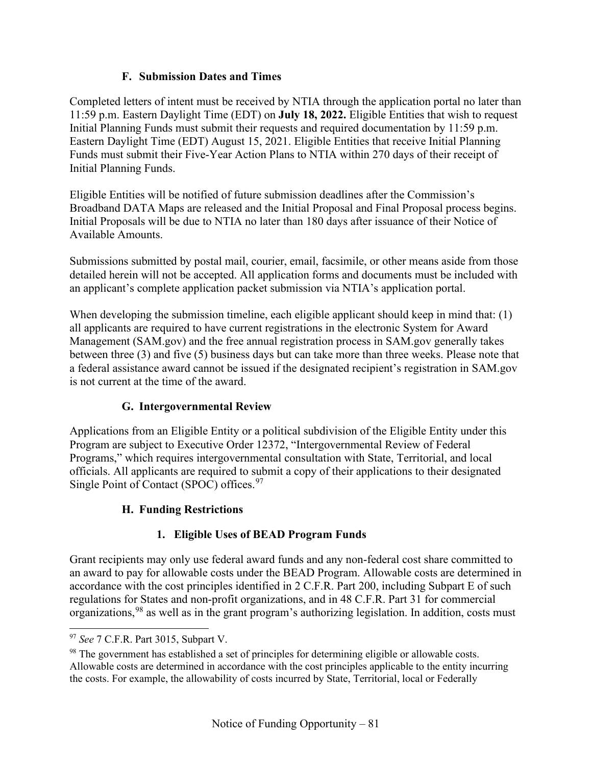### **F. Submission Dates and Times**

Completed letters of intent must be received by NTIA through the application portal no later than 11:59 p.m. Eastern Daylight Time (EDT) on **July 18, 2022.** Eligible Entities that wish to request Initial Planning Funds must submit their requests and required documentation by 11:59 p.m. Eastern Daylight Time (EDT) August 15, 2021. Eligible Entities that receive Initial Planning Funds must submit their Five-Year Action Plans to NTIA within 270 days of their receipt of Initial Planning Funds.

Eligible Entities will be notified of future submission deadlines after the Commission's Broadband DATA Maps are released and the Initial Proposal and Final Proposal process begins. Initial Proposals will be due to NTIA no later than 180 days after issuance of their Notice of Available Amounts.

Submissions submitted by postal mail, courier, email, facsimile, or other means aside from those detailed herein will not be accepted. All application forms and documents must be included with an applicant's complete application packet submission via NTIA's application portal.

When developing the submission timeline, each eligible applicant should keep in mind that: (1) all applicants are required to have current registrations in the electronic System for Award Management (SAM.gov) and the free annual registration process in SAM.gov generally takes between three (3) and five (5) business days but can take more than three weeks. Please note that a federal assistance award cannot be issued if the designated recipient's registration in SAM.gov is not current at the time of the award.

## **G. Intergovernmental Review**

Applications from an Eligible Entity or a political subdivision of the Eligible Entity under this Program are subject to Executive Order 12372, "Intergovernmental Review of Federal Programs," which requires intergovernmental consultation with State, Territorial, and local officials. All applicants are required to submit a copy of their applications to their designated Single Point of Contact (SPOC) offices.<sup>[97](#page-80-0)</sup>

## **H. Funding Restrictions**

# **1. Eligible Uses of BEAD Program Funds**

Grant recipients may only use federal award funds and any non-federal cost share committed to an award to pay for allowable costs under the BEAD Program. Allowable costs are determined in accordance with the cost principles identified in 2 C.F.R. Part 200, including Subpart E of such regulations for States and non-profit organizations, and in 48 C.F.R. Part 31 for commercial organizations,[98](#page-80-1) as well as in the grant program's authorizing legislation. In addition, costs must

<span id="page-80-0"></span><sup>97</sup> *See* 7 C.F.R. Part 3015, Subpart V.

<span id="page-80-1"></span><sup>&</sup>lt;sup>98</sup> The government has established a set of principles for determining eligible or allowable costs. Allowable costs are determined in accordance with the cost principles applicable to the entity incurring the costs. For example, the allowability of costs incurred by State, Territorial, local or Federally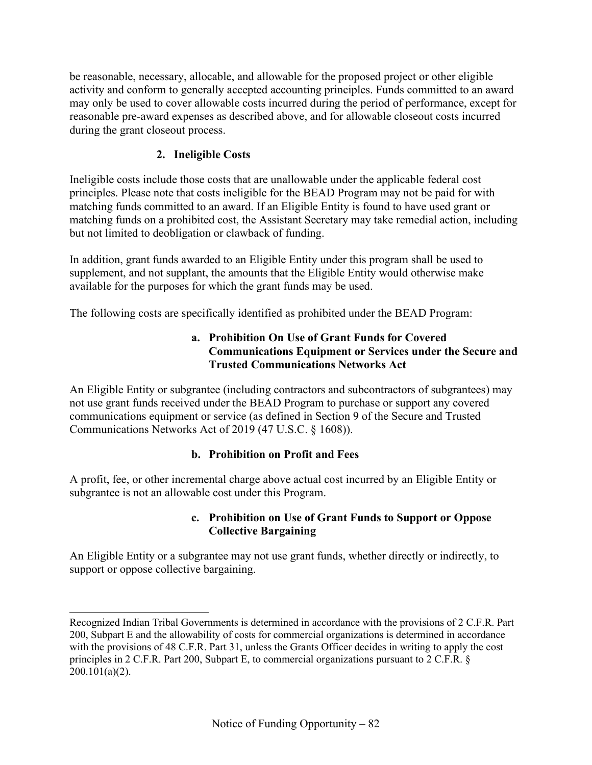be reasonable, necessary, allocable, and allowable for the proposed project or other eligible activity and conform to generally accepted accounting principles. Funds committed to an award may only be used to cover allowable costs incurred during the period of performance, except for reasonable pre-award expenses as described above, and for allowable closeout costs incurred during the grant closeout process.

### **2. Ineligible Costs**

Ineligible costs include those costs that are unallowable under the applicable federal cost principles. Please note that costs ineligible for the BEAD Program may not be paid for with matching funds committed to an award. If an Eligible Entity is found to have used grant or matching funds on a prohibited cost, the Assistant Secretary may take remedial action, including but not limited to deobligation or clawback of funding.

In addition, grant funds awarded to an Eligible Entity under this program shall be used to supplement, and not supplant, the amounts that the Eligible Entity would otherwise make available for the purposes for which the grant funds may be used.

The following costs are specifically identified as prohibited under the BEAD Program:

#### **a. Prohibition On Use of Grant Funds for Covered Communications Equipment or Services under the Secure and Trusted Communications Networks Act**

An Eligible Entity or subgrantee (including contractors and subcontractors of subgrantees) may not use grant funds received under the BEAD Program to purchase or support any covered communications equipment or service (as defined in Section 9 of the Secure and Trusted Communications Networks Act of 2019 (47 U.S.C. § 1608)).

#### **b. Prohibition on Profit and Fees**

A profit, fee, or other incremental charge above actual cost incurred by an Eligible Entity or subgrantee is not an allowable cost under this Program.

#### **c. Prohibition on Use of Grant Funds to Support or Oppose Collective Bargaining**

An Eligible Entity or a subgrantee may not use grant funds, whether directly or indirectly, to support or oppose collective bargaining.

Recognized Indian Tribal Governments is determined in accordance with the provisions of 2 C.F.R. Part 200, Subpart E and the allowability of costs for commercial organizations is determined in accordance with the provisions of 48 C.F.R. Part 31, unless the Grants Officer decides in writing to apply the cost principles in 2 C.F.R. Part 200, Subpart E, to commercial organizations pursuant to 2 C.F.R. §  $200.101(a)(2)$ .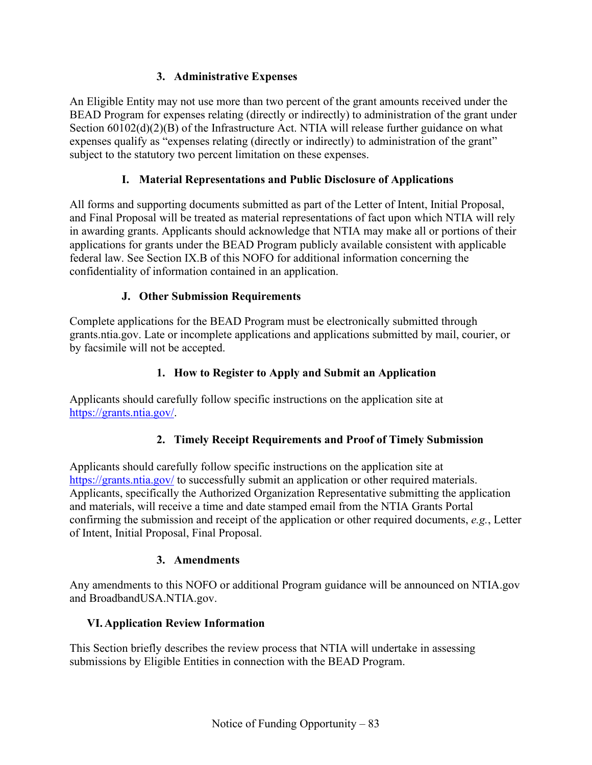## **3. Administrative Expenses**

An Eligible Entity may not use more than two percent of the grant amounts received under the BEAD Program for expenses relating (directly or indirectly) to administration of the grant under Section  $60102(d)(2)(B)$  of the Infrastructure Act. NTIA will release further guidance on what expenses qualify as "expenses relating (directly or indirectly) to administration of the grant" subject to the statutory two percent limitation on these expenses.

### **I. Material Representations and Public Disclosure of Applications**

All forms and supporting documents submitted as part of the Letter of Intent, Initial Proposal, and Final Proposal will be treated as material representations of fact upon which NTIA will rely in awarding grants. Applicants should acknowledge that NTIA may make all or portions of their applications for grants under the BEAD Program publicly available consistent with applicable federal law. See Section [IX.B](#page-93-0) of this NOFO for additional information concerning the confidentiality of information contained in an application.

### **J. Other Submission Requirements**

Complete applications for the BEAD Program must be electronically submitted through grants.ntia.gov. Late or incomplete applications and applications submitted by mail, courier, or by facsimile will not be accepted.

### **1. How to Register to Apply and Submit an Application**

Applicants should carefully follow specific instructions on the application site at [https://grants.ntia.gov/.](https://grants.ntia.gov/)

## **2. Timely Receipt Requirements and Proof of Timely Submission**

Applicants should carefully follow specific instructions on the application site at <https://grants.ntia.gov/> to successfully submit an application or other required materials. Applicants, specifically the Authorized Organization Representative submitting the application and materials, will receive a time and date stamped email from the NTIA Grants Portal confirming the submission and receipt of the application or other required documents, *e.g.*, Letter of Intent, Initial Proposal, Final Proposal.

#### **3. Amendments**

Any amendments to this NOFO or additional Program guidance will be announced on NTIA.gov and BroadbandUSA.NTIA.gov.

#### **VI.Application Review Information**

This Section briefly describes the review process that NTIA will undertake in assessing submissions by Eligible Entities in connection with the BEAD Program.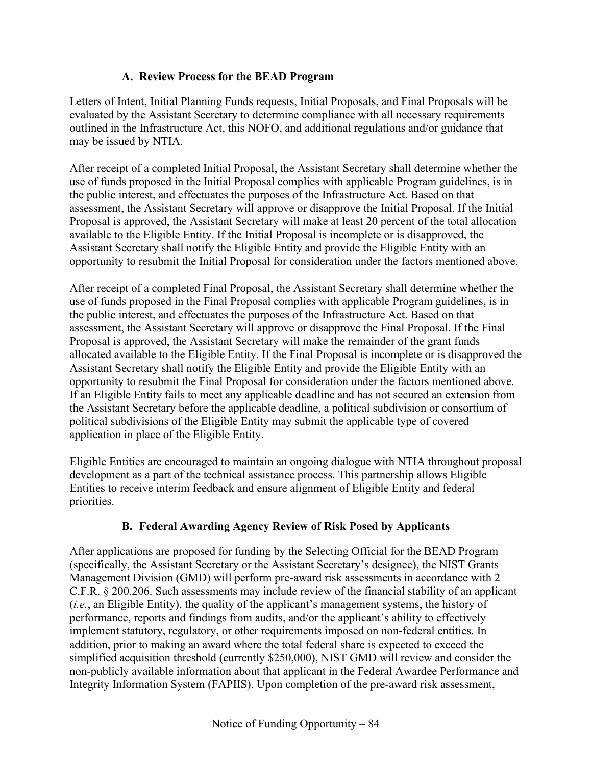### **A. Review Process for the BEAD Program**

<span id="page-83-0"></span>Letters of Intent, Initial Planning Funds requests, Initial Proposals, and Final Proposals will be evaluated by the Assistant Secretary to determine compliance with all necessary requirements outlined in the Infrastructure Act, this NOFO, and additional regulations and/or guidance that may be issued by NTIA.

After receipt of a completed Initial Proposal, the Assistant Secretary shall determine whether the use of funds proposed in the Initial Proposal complies with applicable Program guidelines, is in the public interest, and effectuates the purposes of the Infrastructure Act. Based on that assessment, the Assistant Secretary will approve or disapprove the Initial Proposal. If the Initial Proposal is approved, the Assistant Secretary will make at least 20 percent of the total allocation available to the Eligible Entity. If the Initial Proposal is incomplete or is disapproved, the Assistant Secretary shall notify the Eligible Entity and provide the Eligible Entity with an opportunity to resubmit the Initial Proposal for consideration under the factors mentioned above.

After receipt of a completed Final Proposal, the Assistant Secretary shall determine whether the use of funds proposed in the Final Proposal complies with applicable Program guidelines, is in the public interest, and effectuates the purposes of the Infrastructure Act. Based on that assessment, the Assistant Secretary will approve or disapprove the Final Proposal. If the Final Proposal is approved, the Assistant Secretary will make the remainder of the grant funds allocated available to the Eligible Entity. If the Final Proposal is incomplete or is disapproved the Assistant Secretary shall notify the Eligible Entity and provide the Eligible Entity with an opportunity to resubmit the Final Proposal for consideration under the factors mentioned above. If an Eligible Entity fails to meet any applicable deadline and has not secured an extension from the Assistant Secretary before the applicable deadline, a political subdivision or consortium of political subdivisions of the Eligible Entity may submit the applicable type of covered application in place of the Eligible Entity.

Eligible Entities are encouraged to maintain an ongoing dialogue with NTIA throughout proposal development as a part of the technical assistance process. This partnership allows Eligible Entities to receive interim feedback and ensure alignment of Eligible Entity and federal priorities.

## **B. Federal Awarding Agency Review of Risk Posed by Applicants**

After applications are proposed for funding by the Selecting Official for the BEAD Program (specifically, the Assistant Secretary or the Assistant Secretary's designee), the NIST Grants Management Division (GMD) will perform pre-award risk assessments in accordance with 2 C.F.R. § 200.206. Such assessments may include review of the financial stability of an applicant (*i.e.*, an Eligible Entity), the quality of the applicant's management systems, the history of performance, reports and findings from audits, and/or the applicant's ability to effectively implement statutory, regulatory, or other requirements imposed on non-federal entities. In addition, prior to making an award where the total federal share is expected to exceed the simplified acquisition threshold (currently \$250,000), NIST GMD will review and consider the non-publicly available information about that applicant in the Federal Awardee Performance and Integrity Information System (FAPIIS). Upon completion of the pre-award risk assessment,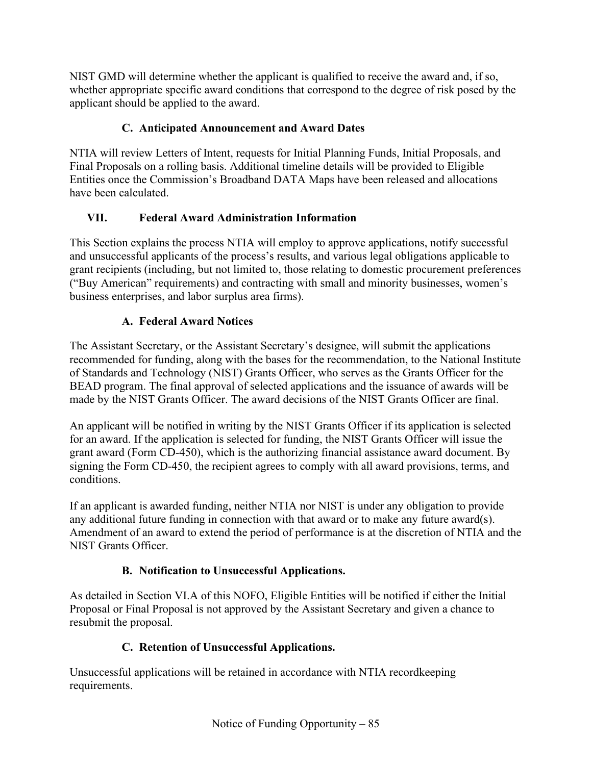NIST GMD will determine whether the applicant is qualified to receive the award and, if so, whether appropriate specific award conditions that correspond to the degree of risk posed by the applicant should be applied to the award.

## **C. Anticipated Announcement and Award Dates**

NTIA will review Letters of Intent, requests for Initial Planning Funds, Initial Proposals, and Final Proposals on a rolling basis. Additional timeline details will be provided to Eligible Entities once the Commission's Broadband DATA Maps have been released and allocations have been calculated.

## **VII. Federal Award Administration Information**

This Section explains the process NTIA will employ to approve applications, notify successful and unsuccessful applicants of the process's results, and various legal obligations applicable to grant recipients (including, but not limited to, those relating to domestic procurement preferences ("Buy American" requirements) and contracting with small and minority businesses, women's business enterprises, and labor surplus area firms).

## **A. Federal Award Notices**

The Assistant Secretary, or the Assistant Secretary's designee, will submit the applications recommended for funding, along with the bases for the recommendation, to the National Institute of Standards and Technology (NIST) Grants Officer, who serves as the Grants Officer for the BEAD program. The final approval of selected applications and the issuance of awards will be made by the NIST Grants Officer. The award decisions of the NIST Grants Officer are final.

An applicant will be notified in writing by the NIST Grants Officer if its application is selected for an award. If the application is selected for funding, the NIST Grants Officer will issue the grant award (Form CD-450), which is the authorizing financial assistance award document. By signing the Form CD-450, the recipient agrees to comply with all award provisions, terms, and conditions.

If an applicant is awarded funding, neither NTIA nor NIST is under any obligation to provide any additional future funding in connection with that award or to make any future award(s). Amendment of an award to extend the period of performance is at the discretion of NTIA and the NIST Grants Officer.

# **B. Notification to Unsuccessful Applications.**

As detailed in Section [VI.A](#page-83-0) of this NOFO, Eligible Entities will be notified if either the Initial Proposal or Final Proposal is not approved by the Assistant Secretary and given a chance to resubmit the proposal.

# **C. Retention of Unsuccessful Applications.**

Unsuccessful applications will be retained in accordance with NTIA recordkeeping requirements.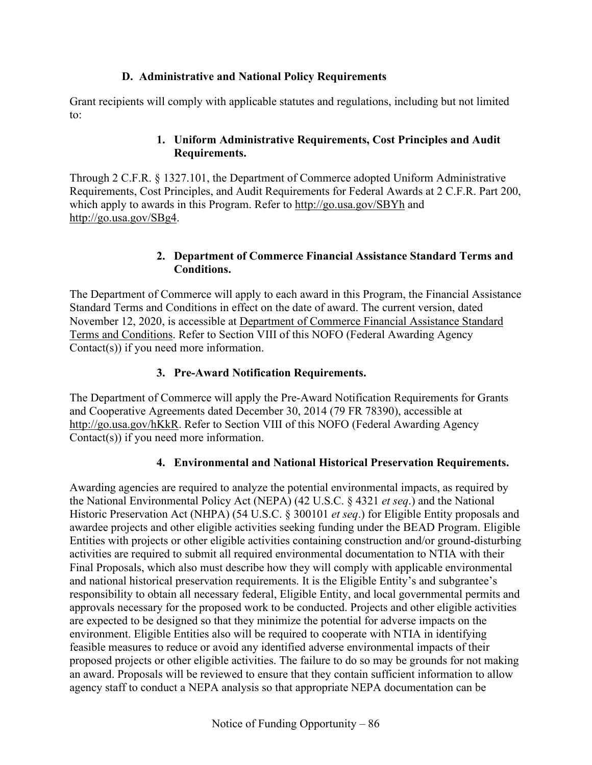### **D. Administrative and National Policy Requirements**

Grant recipients will comply with applicable statutes and regulations, including but not limited to:

### **1. Uniform Administrative Requirements, Cost Principles and Audit Requirements.**

Through 2 C.F.R. § 1327.101, the Department of Commerce adopted Uniform Administrative Requirements, Cost Principles, and Audit Requirements for Federal Awards at 2 C.F.R. Part 200, which apply to awards in this Program. Refer to<http://go.usa.gov/SBYh> and [http://go.usa.gov/SBg4.](http://go.usa.gov/SBg4)

#### **2. Department of Commerce Financial Assistance Standard Terms and Conditions.**

The Department of Commerce will apply to each award in this Program, the Financial Assistance Standard Terms and Conditions in effect on the date of award. The current version, dated November 12, 2020, is accessible at [Department of Commerce Financial Assistance Standard](https://www.commerce.gov/sites/default/files/2020-11/DOC%20Standard%20Terms%20and%20Conditions%20-%2012%20November%202020%20PDF_0.pdf)  [Terms and Conditions.](https://www.commerce.gov/sites/default/files/2020-11/DOC%20Standard%20Terms%20and%20Conditions%20-%2012%20November%202020%20PDF_0.pdf) Refer to Section [VIII](#page-92-0) of this NOFO (Federal Awarding Agency Contact(s)) if you need more information.

## **3. Pre-Award Notification Requirements.**

The Department of Commerce will apply the Pre-Award Notification Requirements for Grants and Cooperative Agreements dated December 30, 2014 (79 FR 78390), accessible at [http://go.usa.gov/hKkR.](http://go.usa.gov/hKkR) Refer to Section [VIII](#page-92-0) of this NOFO (Federal Awarding Agency Contact(s)) if you need more information.

## **4. Environmental and National Historical Preservation Requirements.**

Awarding agencies are required to analyze the potential environmental impacts, as required by the National Environmental Policy Act (NEPA) (42 U.S.C. § 4321 *et seq*.) and the National Historic Preservation Act (NHPA) (54 U.S.C. § 300101 *et seq*.) for Eligible Entity proposals and awardee projects and other eligible activities seeking funding under the BEAD Program. Eligible Entities with projects or other eligible activities containing construction and/or ground-disturbing activities are required to submit all required environmental documentation to NTIA with their Final Proposals, which also must describe how they will comply with applicable environmental and national historical preservation requirements. It is the Eligible Entity's and subgrantee's responsibility to obtain all necessary federal, Eligible Entity, and local governmental permits and approvals necessary for the proposed work to be conducted. Projects and other eligible activities are expected to be designed so that they minimize the potential for adverse impacts on the environment. Eligible Entities also will be required to cooperate with NTIA in identifying feasible measures to reduce or avoid any identified adverse environmental impacts of their proposed projects or other eligible activities. The failure to do so may be grounds for not making an award. Proposals will be reviewed to ensure that they contain sufficient information to allow agency staff to conduct a NEPA analysis so that appropriate NEPA documentation can be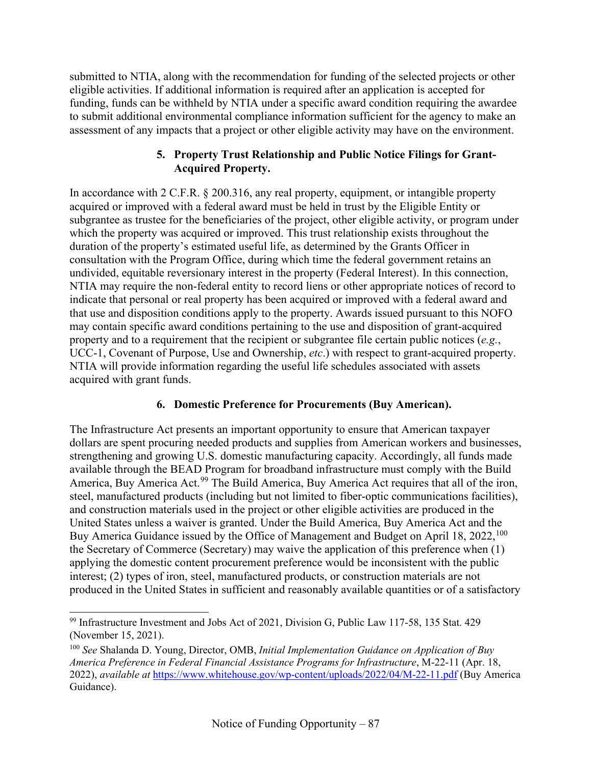submitted to NTIA, along with the recommendation for funding of the selected projects or other eligible activities. If additional information is required after an application is accepted for funding, funds can be withheld by NTIA under a specific award condition requiring the awardee to submit additional environmental compliance information sufficient for the agency to make an assessment of any impacts that a project or other eligible activity may have on the environment.

#### **5. Property Trust Relationship and Public Notice Filings for Grant-Acquired Property.**

In accordance with 2 C.F.R. § 200.316, any real property, equipment, or intangible property acquired or improved with a federal award must be held in trust by the Eligible Entity or subgrantee as trustee for the beneficiaries of the project, other eligible activity, or program under which the property was acquired or improved. This trust relationship exists throughout the duration of the property's estimated useful life, as determined by the Grants Officer in consultation with the Program Office, during which time the federal government retains an undivided, equitable reversionary interest in the property (Federal Interest). In this connection, NTIA may require the non-federal entity to record liens or other appropriate notices of record to indicate that personal or real property has been acquired or improved with a federal award and that use and disposition conditions apply to the property. Awards issued pursuant to this NOFO may contain specific award conditions pertaining to the use and disposition of grant-acquired property and to a requirement that the recipient or subgrantee file certain public notices (*e.g.*, UCC-1, Covenant of Purpose, Use and Ownership, *etc*.) with respect to grant-acquired property. NTIA will provide information regarding the useful life schedules associated with assets acquired with grant funds.

## **6. Domestic Preference for Procurements (Buy American).**

The Infrastructure Act presents an important opportunity to ensure that American taxpayer dollars are spent procuring needed products and supplies from American workers and businesses, strengthening and growing U.S. domestic manufacturing capacity. Accordingly, all funds made available through the BEAD Program for broadband infrastructure must comply with the Build America, Buy America Act.<sup>[99](#page-86-0)</sup> The Build America, Buy America Act requires that all of the iron, steel, manufactured products (including but not limited to fiber-optic communications facilities), and construction materials used in the project or other eligible activities are produced in the United States unless a waiver is granted. Under the Build America, Buy America Act and the Buy America Guidance issued by the Office of Management and Budget on April 18, 2022,  $^{100}$  $^{100}$  $^{100}$ the Secretary of Commerce (Secretary) may waive the application of this preference when (1) applying the domestic content procurement preference would be inconsistent with the public interest; (2) types of iron, steel, manufactured products, or construction materials are not produced in the United States in sufficient and reasonably available quantities or of a satisfactory

<span id="page-86-0"></span><sup>99</sup> Infrastructure Investment and Jobs Act of 2021, Division G, Public Law 117-58, 135 Stat. 429 (November 15, 2021).

<span id="page-86-1"></span><sup>100</sup> *See* Shalanda D. Young, Director, OMB, *Initial Implementation Guidance on Application of Buy America Preference in Federal Financial Assistance Programs for Infrastructure*, M-22-11 (Apr. 18, 2022), *available at* <https://www.whitehouse.gov/wp-content/uploads/2022/04/M-22-11.pdf> (Buy America Guidance).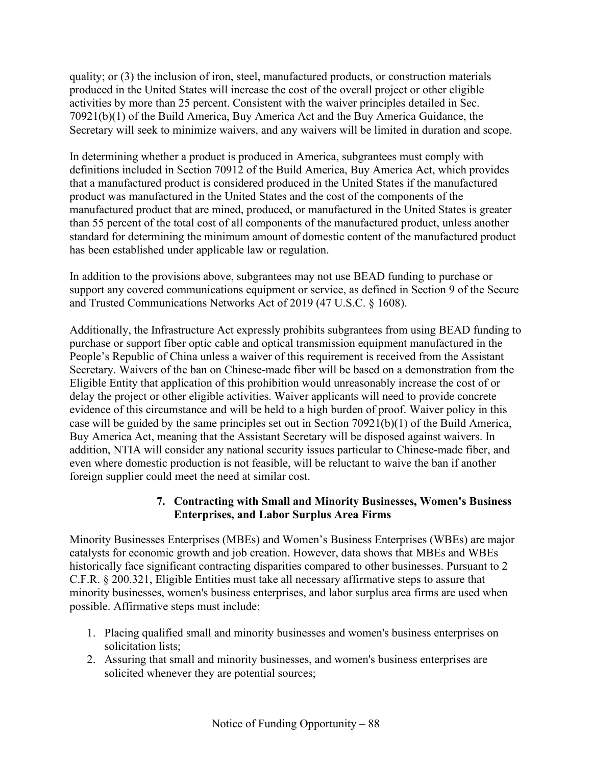quality; or (3) the inclusion of iron, steel, manufactured products, or construction materials produced in the United States will increase the cost of the overall project or other eligible activities by more than 25 percent. Consistent with the waiver principles detailed in Sec. 70921(b)(1) of the Build America, Buy America Act and the Buy America Guidance, the Secretary will seek to minimize waivers, and any waivers will be limited in duration and scope.

In determining whether a product is produced in America, subgrantees must comply with definitions included in Section 70912 of the Build America, Buy America Act, which provides that a manufactured product is considered produced in the United States if the manufactured product was manufactured in the United States and the cost of the components of the manufactured product that are mined, produced, or manufactured in the United States is greater than 55 percent of the total cost of all components of the manufactured product, unless another standard for determining the minimum amount of domestic content of the manufactured product has been established under applicable law or regulation.

In addition to the provisions above, subgrantees may not use BEAD funding to purchase or support any covered communications equipment or service, as defined in Section 9 of the Secure and Trusted Communications Networks Act of 2019 (47 U.S.C. § 1608).

Additionally, the Infrastructure Act expressly prohibits subgrantees from using BEAD funding to purchase or support fiber optic cable and optical transmission equipment manufactured in the People's Republic of China unless a waiver of this requirement is received from the Assistant Secretary. Waivers of the ban on Chinese-made fiber will be based on a demonstration from the Eligible Entity that application of this prohibition would unreasonably increase the cost of or delay the project or other eligible activities. Waiver applicants will need to provide concrete evidence of this circumstance and will be held to a high burden of proof. Waiver policy in this case will be guided by the same principles set out in Section 70921(b)(1) of the Build America, Buy America Act, meaning that the Assistant Secretary will be disposed against waivers. In addition, NTIA will consider any national security issues particular to Chinese-made fiber, and even where domestic production is not feasible, will be reluctant to waive the ban if another foreign supplier could meet the need at similar cost.

### **7. Contracting with Small and Minority Businesses, Women's Business Enterprises, and Labor Surplus Area Firms**

Minority Businesses Enterprises (MBEs) and Women's Business Enterprises (WBEs) are major catalysts for economic growth and job creation. However, data shows that MBEs and WBEs historically face significant contracting disparities compared to other businesses. Pursuant to 2 C.F.R. § 200.321, Eligible Entities must take all necessary affirmative steps to assure that minority businesses, women's business enterprises, and labor surplus area firms are used when possible. Affirmative steps must include:

- 1. Placing qualified small and minority businesses and women's business enterprises on solicitation lists;
- 2. Assuring that small and minority businesses, and women's business enterprises are solicited whenever they are potential sources;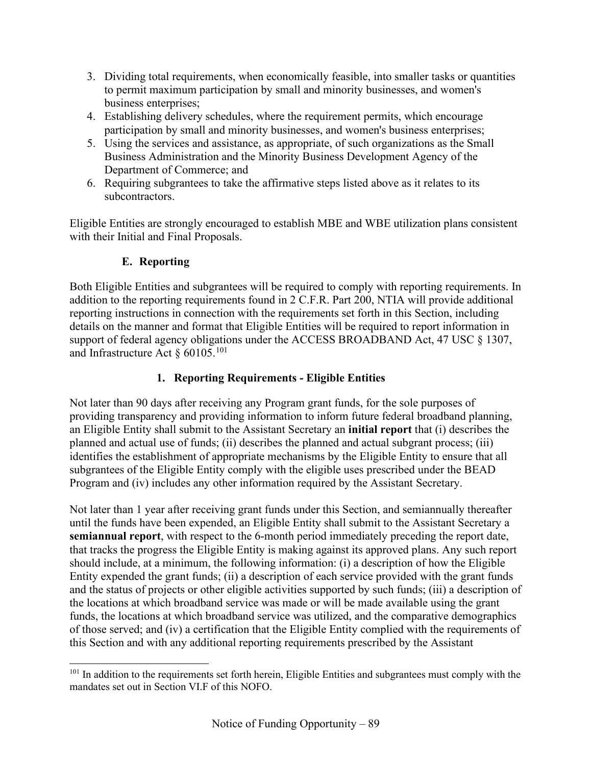- 3. Dividing total requirements, when economically feasible, into smaller tasks or quantities to permit maximum participation by small and minority businesses, and women's business enterprises;
- 4. Establishing delivery schedules, where the requirement permits, which encourage participation by small and minority businesses, and women's business enterprises;
- 5. Using the services and assistance, as appropriate, of such organizations as the Small Business Administration and the Minority Business Development Agency of the Department of Commerce; and
- 6. Requiring subgrantees to take the affirmative steps listed above as it relates to its subcontractors.

Eligible Entities are strongly encouraged to establish MBE and WBE utilization plans consistent with their Initial and Final Proposals.

# **E. Reporting**

Both Eligible Entities and subgrantees will be required to comply with reporting requirements. In addition to the reporting requirements found in 2 C.F.R. Part 200, NTIA will provide additional reporting instructions in connection with the requirements set forth in this Section, including details on the manner and format that Eligible Entities will be required to report information in support of federal agency obligations under the ACCESS BROADBAND Act, 47 USC § 1307, and Infrastructure Act  $\delta$  60105.<sup>[101](#page-88-0)</sup>

## **1. Reporting Requirements - Eligible Entities**

Not later than 90 days after receiving any Program grant funds, for the sole purposes of providing transparency and providing information to inform future federal broadband planning, an Eligible Entity shall submit to the Assistant Secretary an **initial report** that (i) describes the planned and actual use of funds; (ii) describes the planned and actual subgrant process; (iii) identifies the establishment of appropriate mechanisms by the Eligible Entity to ensure that all subgrantees of the Eligible Entity comply with the eligible uses prescribed under the BEAD Program and (iv) includes any other information required by the Assistant Secretary.

Not later than 1 year after receiving grant funds under this Section, and semiannually thereafter until the funds have been expended, an Eligible Entity shall submit to the Assistant Secretary a **semiannual report**, with respect to the 6-month period immediately preceding the report date, that tracks the progress the Eligible Entity is making against its approved plans. Any such report should include, at a minimum, the following information: (i) a description of how the Eligible Entity expended the grant funds; (ii) a description of each service provided with the grant funds and the status of projects or other eligible activities supported by such funds; (iii) a description of the locations at which broadband service was made or will be made available using the grant funds, the locations at which broadband service was utilized, and the comparative demographics of those served; and (iv) a certification that the Eligible Entity complied with the requirements of this Section and with any additional reporting requirements prescribed by the Assistant

<span id="page-88-0"></span><sup>&</sup>lt;sup>101</sup> In addition to the requirements set forth herein, Eligible Entities and subgrantees must comply with the mandates set out in Section [VI.F](#page-91-0) of this NOFO.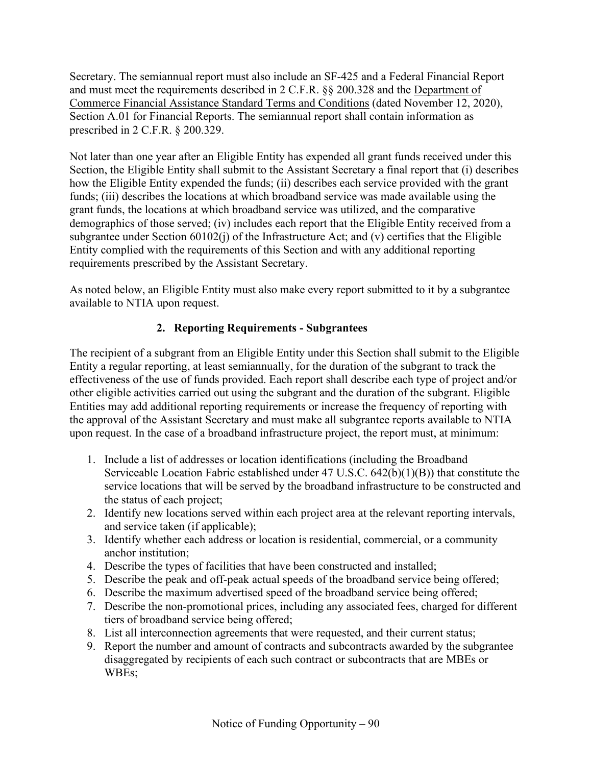Secretary. The semiannual report must also include an SF-425 and a Federal Financial Report and must meet the requirements described in 2 C.F.R. §§ 200.328 and the [Department of](https://www.commerce.gov/sites/default/files/2020-11/DOC%20Standard%20Terms%20and%20Conditions%20-%2012%20November%202020%20PDF_0.pdf)  [Commerce Financial Assistance Standard Terms and Conditions](https://www.commerce.gov/sites/default/files/2020-11/DOC%20Standard%20Terms%20and%20Conditions%20-%2012%20November%202020%20PDF_0.pdf) (dated November 12, 2020), Section A.01 for Financial Reports. The semiannual report shall contain information as prescribed in 2 C.F.R. § 200.329.

Not later than one year after an Eligible Entity has expended all grant funds received under this Section, the Eligible Entity shall submit to the Assistant Secretary a final report that (i) describes how the Eligible Entity expended the funds; (ii) describes each service provided with the grant funds; (iii) describes the locations at which broadband service was made available using the grant funds, the locations at which broadband service was utilized, and the comparative demographics of those served; (iv) includes each report that the Eligible Entity received from a subgrantee under Section 60102(j) of the Infrastructure Act; and (v) certifies that the Eligible Entity complied with the requirements of this Section and with any additional reporting requirements prescribed by the Assistant Secretary.

<span id="page-89-0"></span>As noted below, an Eligible Entity must also make every report submitted to it by a subgrantee available to NTIA upon request.

## **2. Reporting Requirements - Subgrantees**

The recipient of a subgrant from an Eligible Entity under this Section shall submit to the Eligible Entity a regular reporting, at least semiannually, for the duration of the subgrant to track the effectiveness of the use of funds provided. Each report shall describe each type of project and/or other eligible activities carried out using the subgrant and the duration of the subgrant. Eligible Entities may add additional reporting requirements or increase the frequency of reporting with the approval of the Assistant Secretary and must make all subgrantee reports available to NTIA upon request. In the case of a broadband infrastructure project, the report must, at minimum:

- 1. Include a list of addresses or location identifications (including the Broadband Serviceable Location Fabric established under 47 U.S.C. 642(b)(1)(B)) that constitute the service locations that will be served by the broadband infrastructure to be constructed and the status of each project;
- 2. Identify new locations served within each project area at the relevant reporting intervals, and service taken (if applicable);
- 3. Identify whether each address or location is residential, commercial, or a community anchor institution;
- 4. Describe the types of facilities that have been constructed and installed;
- 5. Describe the peak and off-peak actual speeds of the broadband service being offered;
- 6. Describe the maximum advertised speed of the broadband service being offered;
- 7. Describe the non-promotional prices, including any associated fees, charged for different tiers of broadband service being offered;
- 8. List all interconnection agreements that were requested, and their current status;
- 9. Report the number and amount of contracts and subcontracts awarded by the subgrantee disaggregated by recipients of each such contract or subcontracts that are MBEs or WBEs;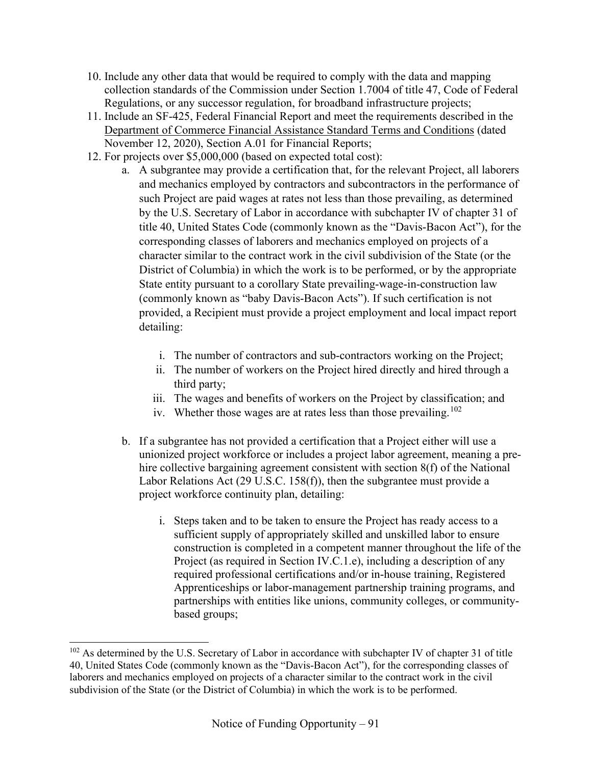- 10. Include any other data that would be required to comply with the data and mapping collection standards of the Commission under Section 1.7004 of title 47, Code of Federal Regulations, or any successor regulation, for broadband infrastructure projects;
- 11. Include an SF-425, Federal Financial Report and meet the requirements described in the [Department of Commerce Financial Assistance Standard Terms and](https://www.commerce.gov/sites/default/files/2020-11/DOC%20Standard%20Terms%20and%20Conditions%20-%2012%20November%202020%20PDF_0.pdf) Conditions (dated November 12, 2020), Section A.01 for Financial Reports;
- 12. For projects over \$5,000,000 (based on expected total cost):
	- a. A subgrantee may provide a certification that, for the relevant Project, all laborers and mechanics employed by contractors and subcontractors in the performance of such Project are paid wages at rates not less than those prevailing, as determined by the U.S. Secretary of Labor in accordance with subchapter IV of chapter 31 of title 40, United States Code (commonly known as the "Davis-Bacon Act"), for the corresponding classes of laborers and mechanics employed on projects of a character similar to the contract work in the civil subdivision of the State (or the District of Columbia) in which the work is to be performed, or by the appropriate State entity pursuant to a corollary State prevailing-wage-in-construction law (commonly known as "baby Davis-Bacon Acts"). If such certification is not provided, a Recipient must provide a project employment and local impact report detailing:
		- i. The number of contractors and sub-contractors working on the Project;
		- ii. The number of workers on the Project hired directly and hired through a third party;
		- iii. The wages and benefits of workers on the Project by classification; and
		- iv. Whether those wages are at rates less than those prevailing.<sup>[102](#page-90-0)</sup>
	- b. If a subgrantee has not provided a certification that a Project either will use a unionized project workforce or includes a project labor agreement, meaning a prehire collective bargaining agreement consistent with section 8(f) of the National Labor Relations Act (29 U.S.C. 158(f)), then the subgrantee must provide a project workforce continuity plan, detailing:
		- i. Steps taken and to be taken to ensure the Project has ready access to a sufficient supply of appropriately skilled and unskilled labor to ensure construction is completed in a competent manner throughout the life of the Project (as required in Section [IV.C.1.e\)](#page-55-0), including a description of any required professional certifications and/or in-house training, Registered Apprenticeships or labor-management partnership training programs, and partnerships with entities like unions, community colleges, or communitybased groups;

<span id="page-90-0"></span><sup>&</sup>lt;sup>102</sup> As determined by the U.S. Secretary of Labor in accordance with subchapter IV of chapter 31 of title 40, United States Code (commonly known as the "Davis-Bacon Act"), for the corresponding classes of laborers and mechanics employed on projects of a character similar to the contract work in the civil subdivision of the State (or the District of Columbia) in which the work is to be performed.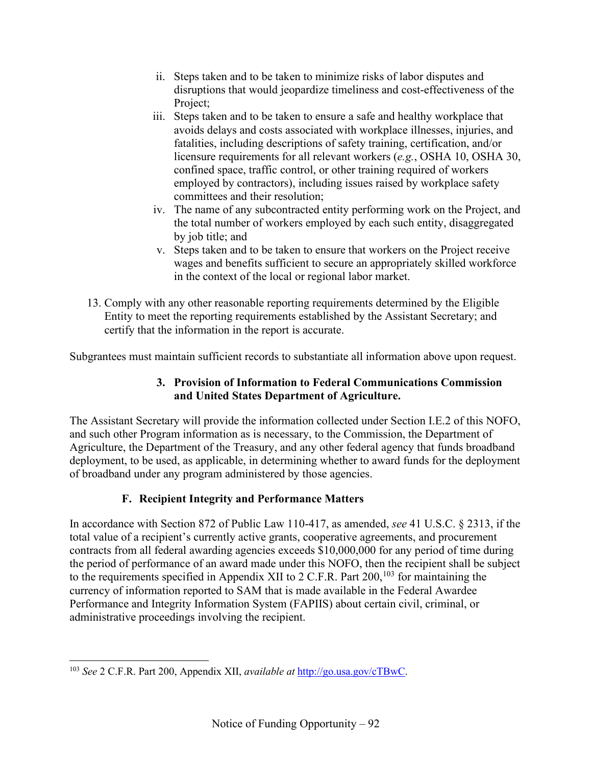- ii. Steps taken and to be taken to minimize risks of labor disputes and disruptions that would jeopardize timeliness and cost-effectiveness of the Project;
- iii. Steps taken and to be taken to ensure a safe and healthy workplace that avoids delays and costs associated with workplace illnesses, injuries, and fatalities, including descriptions of safety training, certification, and/or licensure requirements for all relevant workers (*e.g.*, OSHA 10, OSHA 30, confined space, traffic control, or other training required of workers employed by contractors), including issues raised by workplace safety committees and their resolution;
- iv. The name of any subcontracted entity performing work on the Project, and the total number of workers employed by each such entity, disaggregated by job title; and
- v. Steps taken and to be taken to ensure that workers on the Project receive wages and benefits sufficient to secure an appropriately skilled workforce in the context of the local or regional labor market.
- 13. Comply with any other reasonable reporting requirements determined by the Eligible Entity to meet the reporting requirements established by the Assistant Secretary; and certify that the information in the report is accurate.

Subgrantees must maintain sufficient records to substantiate all information above upon request.

## **3. Provision of Information to Federal Communications Commission and United States Department of Agriculture.**

The Assistant Secretary will provide the information collected under Section [I.E.2](#page-89-0) of this NOFO, and such other Program information as is necessary, to the Commission, the Department of Agriculture, the Department of the Treasury, and any other federal agency that funds broadband deployment, to be used, as applicable, in determining whether to award funds for the deployment of broadband under any program administered by those agencies.

# **F. Recipient Integrity and Performance Matters**

<span id="page-91-0"></span>In accordance with Section 872 of Public Law 110-417, as amended, *see* 41 U.S.C. § 2313, if the total value of a recipient's currently active grants, cooperative agreements, and procurement contracts from all federal awarding agencies exceeds \$10,000,000 for any period of time during the period of performance of an award made under this NOFO, then the recipient shall be subject to the requirements specified in Appendix XII to 2 C.F.R. Part  $200$ ,  $103$  for maintaining the currency of information reported to SAM that is made available in the Federal Awardee Performance and Integrity Information System (FAPIIS) about certain civil, criminal, or administrative proceedings involving the recipient.

<span id="page-91-1"></span><sup>103</sup> *See* 2 C.F.R. Part 200, Appendix XII, *available at* [http://go.usa.gov/cTBwC.](http://go.usa.gov/cTBwC)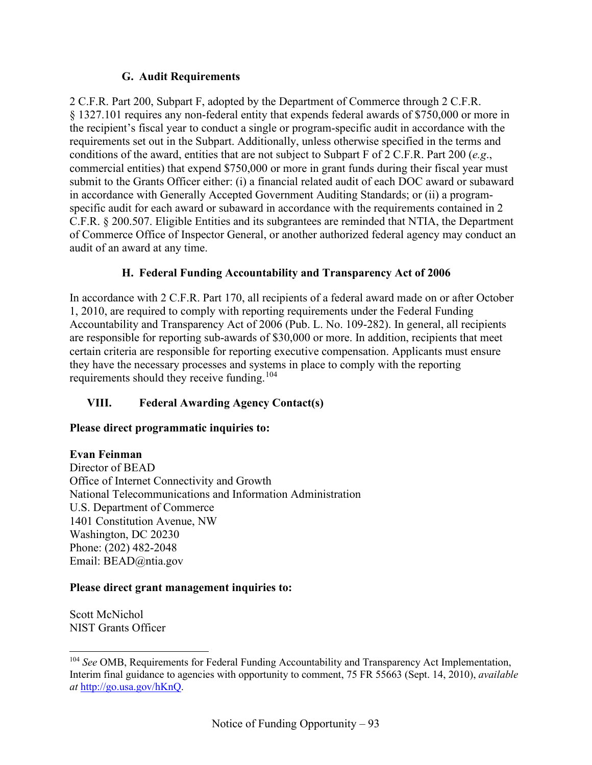#### **G. Audit Requirements**

2 C.F.R. Part 200, Subpart F, adopted by the Department of Commerce through 2 C.F.R. § 1327.101 requires any non-federal entity that expends federal awards of \$750,000 or more in the recipient's fiscal year to conduct a single or program-specific audit in accordance with the requirements set out in the Subpart. Additionally, unless otherwise specified in the terms and conditions of the award, entities that are not subject to Subpart F of 2 C.F.R. Part 200 (*e.g*., commercial entities) that expend \$750,000 or more in grant funds during their fiscal year must submit to the Grants Officer either: (i) a financial related audit of each DOC award or subaward in accordance with Generally Accepted Government Auditing Standards; or (ii) a programspecific audit for each award or subaward in accordance with the requirements contained in 2 C.F.R. § 200.507. Eligible Entities and its subgrantees are reminded that NTIA, the Department of Commerce Office of Inspector General, or another authorized federal agency may conduct an audit of an award at any time.

#### **H. Federal Funding Accountability and Transparency Act of 2006**

In accordance with 2 C.F.R. Part 170, all recipients of a federal award made on or after October 1, 2010, are required to comply with reporting requirements under the Federal Funding Accountability and Transparency Act of 2006 (Pub. L. No. 109-282). In general, all recipients are responsible for reporting sub-awards of \$30,000 or more. In addition, recipients that meet certain criteria are responsible for reporting executive compensation. Applicants must ensure they have the necessary processes and systems in place to comply with the reporting requirements should they receive funding.[104](#page-92-1)

## <span id="page-92-0"></span>**VIII. Federal Awarding Agency Contact(s)**

#### **Please direct programmatic inquiries to:**

#### **Evan Feinman**

Director of BEAD Office of Internet Connectivity and Growth National Telecommunications and Information Administration U.S. Department of Commerce 1401 Constitution Avenue, NW Washington, DC 20230 Phone: (202) 482-2048 Email: BEAD@ntia.gov

#### **Please direct grant management inquiries to:**

Scott McNichol NIST Grants Officer

<span id="page-92-1"></span><sup>104</sup> *See* OMB, Requirements for Federal Funding Accountability and Transparency Act Implementation, Interim final guidance to agencies with opportunity to comment, 75 FR 55663 (Sept. 14, 2010), *available at* [http://go.usa.gov/hKnQ.](http://go.usa.gov/hKnQ)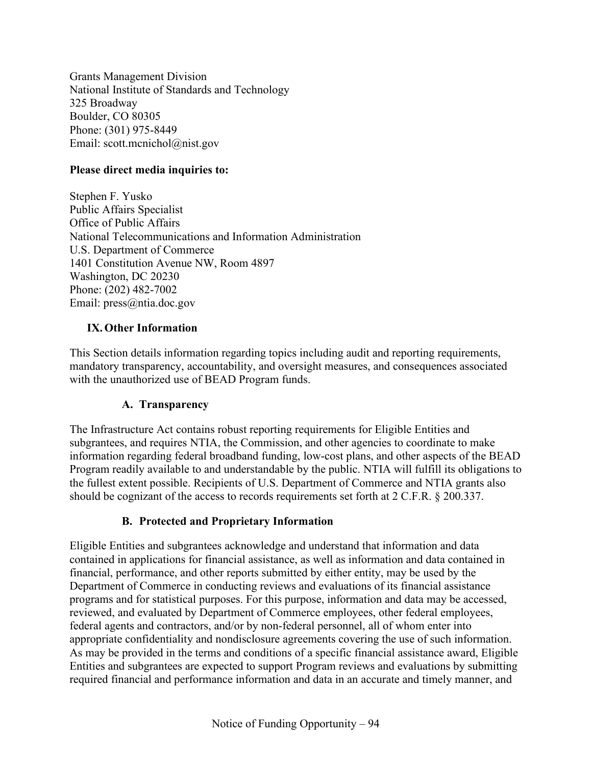Grants Management Division National Institute of Standards and Technology 325 Broadway Boulder, CO 80305 Phone: (301) 975-8449 Email: scott.mcnichol@nist.gov

#### **Please direct media inquiries to:**

Stephen F. Yusko Public Affairs Specialist Office of Public Affairs National Telecommunications and Information Administration U.S. Department of Commerce 1401 Constitution Avenue NW, Room 4897 Washington, DC 20230 Phone: (202) 482-7002 Email: press@ntia.doc.gov

#### **IX.Other Information**

This Section details information regarding topics including audit and reporting requirements, mandatory transparency, accountability, and oversight measures, and consequences associated with the unauthorized use of BEAD Program funds.

#### **A. Transparency**

The Infrastructure Act contains robust reporting requirements for Eligible Entities and subgrantees, and requires NTIA, the Commission, and other agencies to coordinate to make information regarding federal broadband funding, low-cost plans, and other aspects of the BEAD Program readily available to and understandable by the public. NTIA will fulfill its obligations to the fullest extent possible. Recipients of U.S. Department of Commerce and NTIA grants also should be cognizant of the access to records requirements set forth at 2 C.F.R. § 200.337.

#### **B. Protected and Proprietary Information**

<span id="page-93-0"></span>Eligible Entities and subgrantees acknowledge and understand that information and data contained in applications for financial assistance, as well as information and data contained in financial, performance, and other reports submitted by either entity, may be used by the Department of Commerce in conducting reviews and evaluations of its financial assistance programs and for statistical purposes. For this purpose, information and data may be accessed, reviewed, and evaluated by Department of Commerce employees, other federal employees, federal agents and contractors, and/or by non-federal personnel, all of whom enter into appropriate confidentiality and nondisclosure agreements covering the use of such information. As may be provided in the terms and conditions of a specific financial assistance award, Eligible Entities and subgrantees are expected to support Program reviews and evaluations by submitting required financial and performance information and data in an accurate and timely manner, and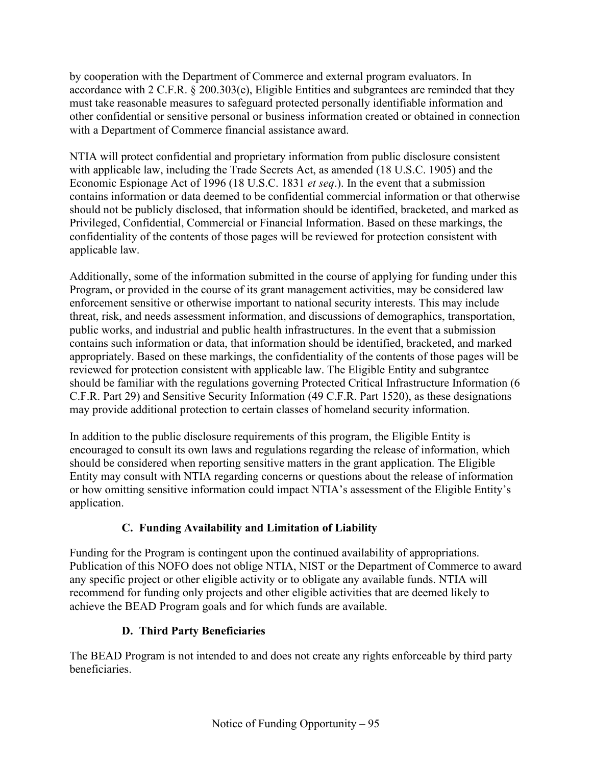by cooperation with the Department of Commerce and external program evaluators. In accordance with 2 C.F.R. § 200.303(e), Eligible Entities and subgrantees are reminded that they must take reasonable measures to safeguard protected personally identifiable information and other confidential or sensitive personal or business information created or obtained in connection with a Department of Commerce financial assistance award.

NTIA will protect confidential and proprietary information from public disclosure consistent with applicable law, including the Trade Secrets Act, as amended (18 U.S.C. 1905) and the Economic Espionage Act of 1996 (18 U.S.C. 1831 *et seq*.). In the event that a submission contains information or data deemed to be confidential commercial information or that otherwise should not be publicly disclosed, that information should be identified, bracketed, and marked as Privileged, Confidential, Commercial or Financial Information. Based on these markings, the confidentiality of the contents of those pages will be reviewed for protection consistent with applicable law.

Additionally, some of the information submitted in the course of applying for funding under this Program, or provided in the course of its grant management activities, may be considered law enforcement sensitive or otherwise important to national security interests. This may include threat, risk, and needs assessment information, and discussions of demographics, transportation, public works, and industrial and public health infrastructures. In the event that a submission contains such information or data, that information should be identified, bracketed, and marked appropriately. Based on these markings, the confidentiality of the contents of those pages will be reviewed for protection consistent with applicable law. The Eligible Entity and subgrantee should be familiar with the regulations governing Protected Critical Infrastructure Information (6 C.F.R. Part 29) and Sensitive Security Information (49 C.F.R. Part 1520), as these designations may provide additional protection to certain classes of homeland security information.

In addition to the public disclosure requirements of this program, the Eligible Entity is encouraged to consult its own laws and regulations regarding the release of information, which should be considered when reporting sensitive matters in the grant application. The Eligible Entity may consult with NTIA regarding concerns or questions about the release of information or how omitting sensitive information could impact NTIA's assessment of the Eligible Entity's application.

## **C. Funding Availability and Limitation of Liability**

Funding for the Program is contingent upon the continued availability of appropriations. Publication of this NOFO does not oblige NTIA, NIST or the Department of Commerce to award any specific project or other eligible activity or to obligate any available funds. NTIA will recommend for funding only projects and other eligible activities that are deemed likely to achieve the BEAD Program goals and for which funds are available.

## **D. Third Party Beneficiaries**

The BEAD Program is not intended to and does not create any rights enforceable by third party beneficiaries.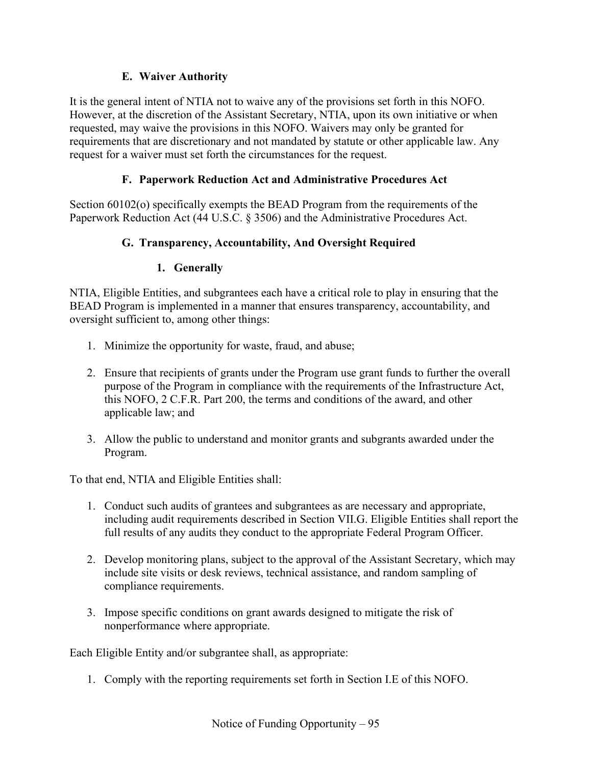### **E. Waiver Authority**

It is the general intent of NTIA not to waive any of the provisions set forth in this NOFO. However, at the discretion of the Assistant Secretary, NTIA, upon its own initiative or when requested, may waive the provisions in this NOFO. Waivers may only be granted for requirements that are discretionary and not mandated by statute or other applicable law. Any request for a waiver must set forth the circumstances for the request.

### **F. Paperwork Reduction Act and Administrative Procedures Act**

Section 60102(o) specifically exempts the BEAD Program from the requirements of the Paperwork Reduction Act (44 U.S.C. § 3506) and the Administrative Procedures Act.

### **G. Transparency, Accountability, And Oversight Required**

#### **1. Generally**

NTIA, Eligible Entities, and subgrantees each have a critical role to play in ensuring that the BEAD Program is implemented in a manner that ensures transparency, accountability, and oversight sufficient to, among other things:

- 1. Minimize the opportunity for waste, fraud, and abuse;
- 2. Ensure that recipients of grants under the Program use grant funds to further the overall purpose of the Program in compliance with the requirements of the Infrastructure Act, this NOFO, 2 C.F.R. Part 200, the terms and conditions of the award, and other applicable law; and
- 3. Allow the public to understand and monitor grants and subgrants awarded under the Program.

To that end, NTIA and Eligible Entities shall:

- 1. Conduct such audits of grantees and subgrantees as are necessary and appropriate, including audit requirements described in Section VII.G. Eligible Entities shall report the full results of any audits they conduct to the appropriate Federal Program Officer.
- 2. Develop monitoring plans, subject to the approval of the Assistant Secretary, which may include site visits or desk reviews, technical assistance, and random sampling of compliance requirements.
- 3. Impose specific conditions on grant awards designed to mitigate the risk of nonperformance where appropriate.

Each Eligible Entity and/or subgrantee shall, as appropriate:

1. Comply with the reporting requirements set forth in Section I.E of this NOFO.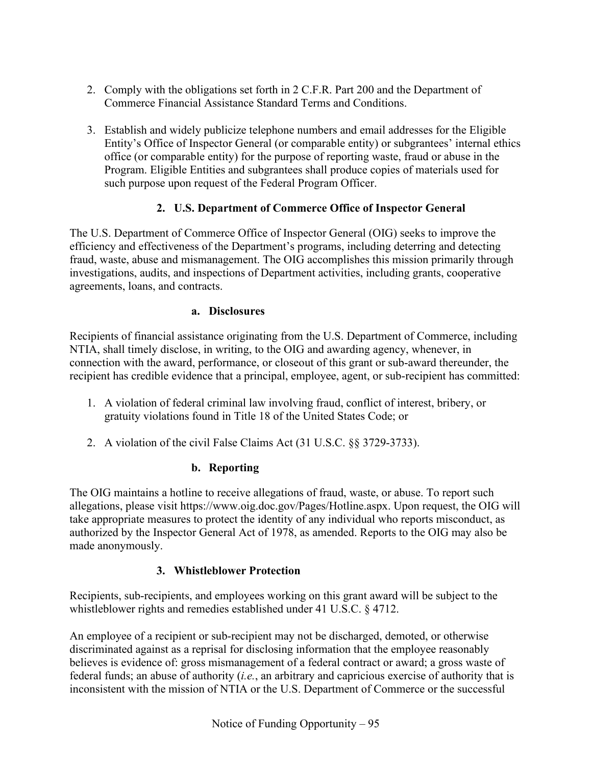- 2. Comply with the obligations set forth in 2 C.F.R. Part 200 and the Department of Commerce Financial Assistance Standard Terms and Conditions.
- 3. Establish and widely publicize telephone numbers and email addresses for the Eligible Entity's Office of Inspector General (or comparable entity) or subgrantees' internal ethics office (or comparable entity) for the purpose of reporting waste, fraud or abuse in the Program. Eligible Entities and subgrantees shall produce copies of materials used for such purpose upon request of the Federal Program Officer.

## **2. U.S. Department of Commerce Office of Inspector General**

The U.S. Department of Commerce Office of Inspector General (OIG) seeks to improve the efficiency and effectiveness of the Department's programs, including deterring and detecting fraud, waste, abuse and mismanagement. The OIG accomplishes this mission primarily through investigations, audits, and inspections of Department activities, including grants, cooperative agreements, loans, and contracts.

### **a. Disclosures**

Recipients of financial assistance originating from the U.S. Department of Commerce, including NTIA, shall timely disclose, in writing, to the OIG and awarding agency, whenever, in connection with the award, performance, or closeout of this grant or sub-award thereunder, the recipient has credible evidence that a principal, employee, agent, or sub-recipient has committed:

- 1. A violation of federal criminal law involving fraud, conflict of interest, bribery, or gratuity violations found in Title 18 of the United States Code; or
- 2. A violation of the civil False Claims Act (31 U.S.C. §§ 3729-3733).

## **b. Reporting**

The OIG maintains a hotline to receive allegations of fraud, waste, or abuse. To report such allegations, please visit https://www.oig.doc.gov/Pages/Hotline.aspx. Upon request, the OIG will take appropriate measures to protect the identity of any individual who reports misconduct, as authorized by the Inspector General Act of 1978, as amended. Reports to the OIG may also be made anonymously.

## **3. Whistleblower Protection**

Recipients, sub-recipients, and employees working on this grant award will be subject to the whistleblower rights and remedies established under 41 U.S.C. § 4712.

An employee of a recipient or sub-recipient may not be discharged, demoted, or otherwise discriminated against as a reprisal for disclosing information that the employee reasonably believes is evidence of: gross mismanagement of a federal contract or award; a gross waste of federal funds; an abuse of authority (*i.e.*, an arbitrary and capricious exercise of authority that is inconsistent with the mission of NTIA or the U.S. Department of Commerce or the successful